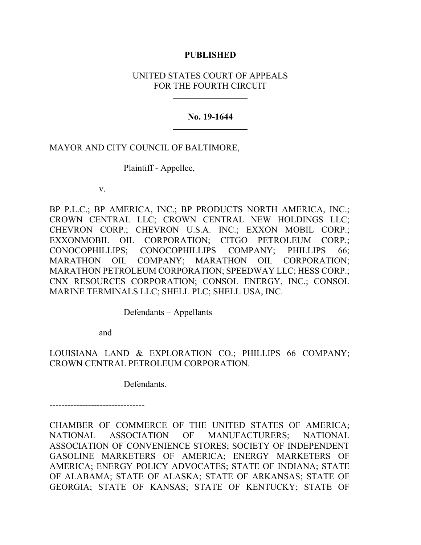## **PUBLISHED**

# UNITED STATES COURT OF APPEALS FOR THE FOURTH CIRCUIT

## **No. 19-1644**

# MAYOR AND CITY COUNCIL OF BALTIMORE,

Plaintiff - Appellee,

v.

BP P.L.C.; BP AMERICA, INC.; BP PRODUCTS NORTH AMERICA, INC.; CROWN CENTRAL LLC; CROWN CENTRAL NEW HOLDINGS LLC; CHEVRON CORP.; CHEVRON U.S.A. INC.; EXXON MOBIL CORP.; EXXONMOBIL OIL CORPORATION; CITGO PETROLEUM CORP.; CONOCOPHILLIPS; CONOCOPHILLIPS COMPANY; PHILLIPS 66; MARATHON OIL COMPANY; MARATHON OIL CORPORATION; MARATHON PETROLEUM CORPORATION; SPEEDWAY LLC; HESS CORP.; CNX RESOURCES CORPORATION; CONSOL ENERGY, INC.; CONSOL MARINE TERMINALS LLC; SHELL PLC; SHELL USA, INC.

Defendants – Appellants

and

LOUISIANA LAND & EXPLORATION CO.; PHILLIPS 66 COMPANY; CROWN CENTRAL PETROLEUM CORPORATION.

Defendants.

--------------------------------

CHAMBER OF COMMERCE OF THE UNITED STATES OF AMERICA; NATIONAL ASSOCIATION OF MANUFACTURERS; NATIONAL ASSOCIATION OF CONVENIENCE STORES; SOCIETY OF INDEPENDENT GASOLINE MARKETERS OF AMERICA; ENERGY MARKETERS OF AMERICA; ENERGY POLICY ADVOCATES; STATE OF INDIANA; STATE OF ALABAMA; STATE OF ALASKA; STATE OF ARKANSAS; STATE OF GEORGIA; STATE OF KANSAS; STATE OF KENTUCKY; STATE OF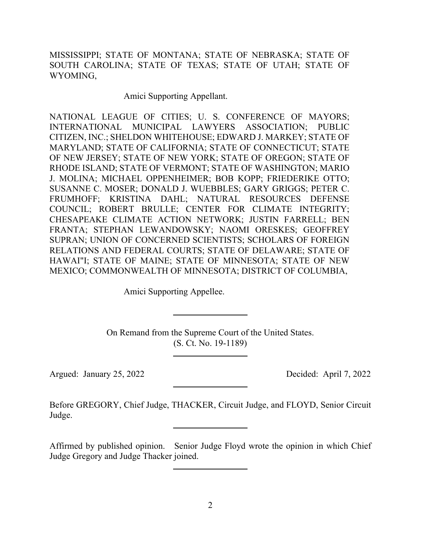MISSISSIPPI; STATE OF MONTANA; STATE OF NEBRASKA; STATE OF SOUTH CAROLINA; STATE OF TEXAS; STATE OF UTAH; STATE OF WYOMING,

Amici Supporting Appellant.

NATIONAL LEAGUE OF CITIES; U. S. CONFERENCE OF MAYORS; INTERNATIONAL MUNICIPAL LAWYERS ASSOCIATION; PUBLIC CITIZEN, INC.; SHELDON WHITEHOUSE; EDWARD J. MARKEY; STATE OF MARYLAND; STATE OF CALIFORNIA; STATE OF CONNECTICUT; STATE OF NEW JERSEY; STATE OF NEW YORK; STATE OF OREGON; STATE OF RHODE ISLAND; STATE OF VERMONT; STATE OF WASHINGTON; MARIO J. MOLINA; MICHAEL OPPENHEIMER; BOB KOPP; FRIEDERIKE OTTO; SUSANNE C. MOSER; DONALD J. WUEBBLES; GARY GRIGGS; PETER C. FRUMHOFF; KRISTINA DAHL; NATURAL RESOURCES DEFENSE COUNCIL; ROBERT BRULLE; CENTER FOR CLIMATE INTEGRITY; CHESAPEAKE CLIMATE ACTION NETWORK; JUSTIN FARRELL; BEN FRANTA; STEPHAN LEWANDOWSKY; NAOMI ORESKES; GEOFFREY SUPRAN; UNION OF CONCERNED SCIENTISTS; SCHOLARS OF FOREIGN RELATIONS AND FEDERAL COURTS; STATE OF DELAWARE; STATE OF HAWAI"I; STATE OF MAINE; STATE OF MINNESOTA; STATE OF NEW MEXICO; COMMONWEALTH OF MINNESOTA; DISTRICT OF COLUMBIA,

Amici Supporting Appellee.

On Remand from the Supreme Court of the United States. (S. Ct. No. 19-1189)

Argued: January 25, 2022 Decided: April 7, 2022

Before GREGORY, Chief Judge, THACKER, Circuit Judge, and FLOYD, Senior Circuit Judge.

Affirmed by published opinion. Senior Judge Floyd wrote the opinion in which Chief Judge Gregory and Judge Thacker joined.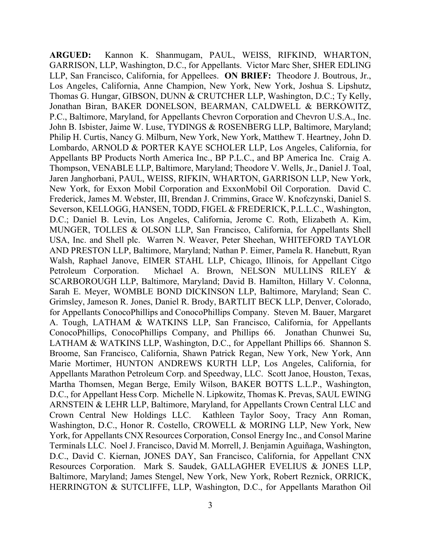**ARGUED:** Kannon K. Shanmugam, PAUL, WEISS, RIFKIND, WHARTON, GARRISON, LLP, Washington, D.C., for Appellants. Victor Marc Sher, SHER EDLING LLP, San Francisco, California, for Appellees. **ON BRIEF:** Theodore J. Boutrous, Jr., Los Angeles, California, Anne Champion, New York, New York, Joshua S. Lipshutz, Thomas G. Hungar, GIBSON, DUNN & CRUTCHER LLP, Washington, D.C.; Ty Kelly, Jonathan Biran, BAKER DONELSON, BEARMAN, CALDWELL & BERKOWITZ, P.C., Baltimore, Maryland, for Appellants Chevron Corporation and Chevron U.S.A., Inc. John B. Isbister, Jaime W. Luse, TYDINGS & ROSENBERG LLP, Baltimore, Maryland; Philip H. Curtis, Nancy G. Milburn, New York, New York, Matthew T. Heartney, John D. Lombardo, ARNOLD & PORTER KAYE SCHOLER LLP, Los Angeles, California, for Appellants BP Products North America Inc., BP P.L.C., and BP America Inc. Craig A. Thompson, VENABLE LLP, Baltimore, Maryland; Theodore V. Wells, Jr., Daniel J. Toal, Jaren Janghorbani, PAUL, WEISS, RIFKIN, WHARTON, GARRISON LLP, New York, New York, for Exxon Mobil Corporation and ExxonMobil Oil Corporation. David C. Frederick, James M. Webster, III, Brendan J. Crimmins, Grace W. Knofczynski, Daniel S. Severson, KELLOGG, HANSEN, TODD, FIGEL & FREDERICK, P.L.L.C., Washington, D.C.; Daniel B. Levin, Los Angeles, California, Jerome C. Roth, Elizabeth A. Kim, MUNGER, TOLLES & OLSON LLP, San Francisco, California, for Appellants Shell USA, Inc. and Shell plc. Warren N. Weaver, Peter Sheehan, WHITEFORD TAYLOR AND PRESTON LLP, Baltimore, Maryland; Nathan P. Eimer, Pamela R. Hanebutt, Ryan Walsh, Raphael Janove, EIMER STAHL LLP, Chicago, Illinois, for Appellant Citgo Petroleum Corporation. Michael A. Brown, NELSON MULLINS RILEY & SCARBOROUGH LLP, Baltimore, Maryland; David B. Hamilton, Hillary V. Colonna, Sarah E. Meyer, WOMBLE BOND DICKINSON LLP, Baltimore, Maryland; Sean C. Grimsley, Jameson R. Jones, Daniel R. Brody, BARTLIT BECK LLP, Denver, Colorado, for Appellants ConocoPhillips and ConocoPhillips Company. Steven M. Bauer, Margaret A. Tough, LATHAM & WATKINS LLP, San Francisco, California, for Appellants ConocoPhillips, ConocoPhillips Company, and Phillips 66. Jonathan Chunwei Su, LATHAM & WATKINS LLP, Washington, D.C., for Appellant Phillips 66. Shannon S. Broome, San Francisco, California, Shawn Patrick Regan, New York, New York, Ann Marie Mortimer, HUNTON ANDREWS KURTH LLP, Los Angeles, California, for Appellants Marathon Petroleum Corp. and Speedway, LLC. Scott Janoe, Houston, Texas, Martha Thomsen, Megan Berge, Emily Wilson, BAKER BOTTS L.L.P., Washington, D.C., for Appellant Hess Corp. Michelle N. Lipkowitz, Thomas K. Prevas, SAUL EWING ARNSTEIN & LEHR LLP, Baltimore, Maryland, for Appellants Crown Central LLC and Crown Central New Holdings LLC. Kathleen Taylor Sooy, Tracy Ann Roman, Washington, D.C., Honor R. Costello, CROWELL & MORING LLP, New York, New York, for Appellants CNX Resources Corporation, Consol Energy Inc., and Consol Marine Terminals LLC. Noel J. Francisco, David M. Morrell, J. Benjamin Aguiñaga, Washington, D.C., David C. Kiernan, JONES DAY, San Francisco, California, for Appellant CNX Resources Corporation. Mark S. Saudek, GALLAGHER EVELIUS & JONES LLP, Baltimore, Maryland; James Stengel, New York, New York, Robert Reznick, ORRICK, HERRINGTON & SUTCLIFFE, LLP, Washington, D.C., for Appellants Marathon Oil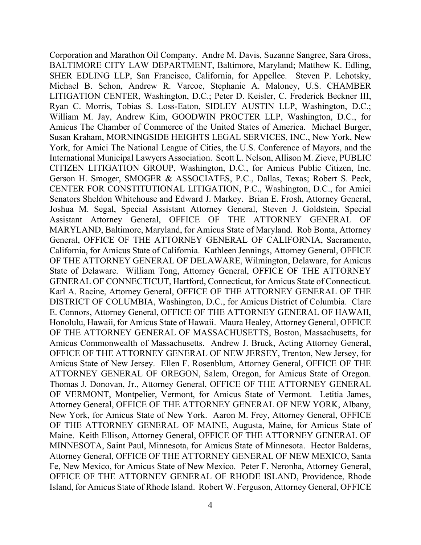Corporation and Marathon Oil Company. Andre M. Davis, Suzanne Sangree, Sara Gross, BALTIMORE CITY LAW DEPARTMENT, Baltimore, Maryland; Matthew K. Edling, SHER EDLING LLP, San Francisco, California, for Appellee. Steven P. Lehotsky, Michael B. Schon, Andrew R. Varcoe, Stephanie A. Maloney, U.S. CHAMBER LITIGATION CENTER, Washington, D.C.; Peter D. Keisler, C. Frederick Beckner III, Ryan C. Morris, Tobias S. Loss-Eaton, SIDLEY AUSTIN LLP, Washington, D.C.; William M. Jay, Andrew Kim, GOODWIN PROCTER LLP, Washington, D.C., for Amicus The Chamber of Commerce of the United States of America. Michael Burger, Susan Kraham, MORNINGSIDE HEIGHTS LEGAL SERVICES, INC., New York, New York, for Amici The National League of Cities, the U.S. Conference of Mayors, and the International Municipal Lawyers Association. Scott L. Nelson, Allison M. Zieve, PUBLIC CITIZEN LITIGATION GROUP, Washington, D.C., for Amicus Public Citizen, Inc. Gerson H. Smoger, SMOGER & ASSOCIATES, P.C., Dallas, Texas; Robert S. Peck, CENTER FOR CONSTITUTIONAL LITIGATION, P.C., Washington, D.C., for Amici Senators Sheldon Whitehouse and Edward J. Markey. Brian E. Frosh, Attorney General, Joshua M. Segal, Special Assistant Attorney General, Steven J. Goldstein, Special Assistant Attorney General, OFFICE OF THE ATTORNEY GENERAL OF MARYLAND, Baltimore, Maryland, for Amicus State of Maryland. Rob Bonta, Attorney General, OFFICE OF THE ATTORNEY GENERAL OF CALIFORNIA, Sacramento, California, for Amicus State of California. Kathleen Jennings, Attorney General, OFFICE OF THE ATTORNEY GENERAL OF DELAWARE, Wilmington, Delaware, for Amicus State of Delaware. William Tong, Attorney General, OFFICE OF THE ATTORNEY GENERAL OF CONNECTICUT, Hartford, Connecticut, for Amicus State of Connecticut. Karl A. Racine, Attorney General, OFFICE OF THE ATTORNEY GENERAL OF THE DISTRICT OF COLUMBIA, Washington, D.C., for Amicus District of Columbia. Clare E. Connors, Attorney General, OFFICE OF THE ATTORNEY GENERAL OF HAWAII, Honolulu, Hawaii, for Amicus State of Hawaii. Maura Healey, Attorney General, OFFICE OF THE ATTORNEY GENERAL OF MASSACHUSETTS, Boston, Massachusetts, for Amicus Commonwealth of Massachusetts. Andrew J. Bruck, Acting Attorney General, OFFICE OF THE ATTORNEY GENERAL OF NEW JERSEY, Trenton, New Jersey, for Amicus State of New Jersey. Ellen F. Rosenblum, Attorney General, OFFICE OF THE ATTORNEY GENERAL OF OREGON, Salem, Oregon, for Amicus State of Oregon. Thomas J. Donovan, Jr., Attorney General, OFFICE OF THE ATTORNEY GENERAL OF VERMONT, Montpelier, Vermont, for Amicus State of Vermont. Letitia James, Attorney General, OFFICE OF THE ATTORNEY GENERAL OF NEW YORK, Albany, New York, for Amicus State of New York. Aaron M. Frey, Attorney General, OFFICE OF THE ATTORNEY GENERAL OF MAINE, Augusta, Maine, for Amicus State of Maine. Keith Ellison, Attorney General, OFFICE OF THE ATTORNEY GENERAL OF MINNESOTA, Saint Paul, Minnesota, for Amicus State of Minnesota. Hector Balderas, Attorney General, OFFICE OF THE ATTORNEY GENERAL OF NEW MEXICO, Santa Fe, New Mexico, for Amicus State of New Mexico. Peter F. Neronha, Attorney General, OFFICE OF THE ATTORNEY GENERAL OF RHODE ISLAND, Providence, Rhode Island, for Amicus State of Rhode Island. Robert W. Ferguson, Attorney General, OFFICE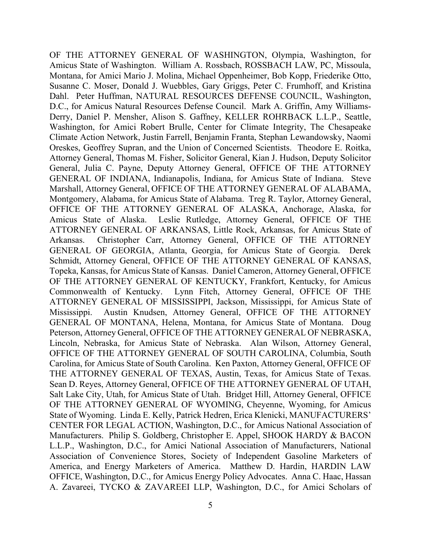OF THE ATTORNEY GENERAL OF WASHINGTON, Olympia, Washington, for Amicus State of Washington. William A. Rossbach, ROSSBACH LAW, PC, Missoula, Montana, for Amici Mario J. Molina, Michael Oppenheimer, Bob Kopp, Friederike Otto, Susanne C. Moser, Donald J. Wuebbles, Gary Griggs, Peter C. Frumhoff, and Kristina Dahl. Peter Huffman, NATURAL RESOURCES DEFENSE COUNCIL, Washington, D.C., for Amicus Natural Resources Defense Council. Mark A. Griffin, Amy Williams-Derry, Daniel P. Mensher, Alison S. Gaffney, KELLER ROHRBACK L.L.P., Seattle, Washington, for Amici Robert Brulle, Center for Climate Integrity, The Chesapeake Climate Action Network, Justin Farrell, Benjamin Franta, Stephan Lewandowsky, Naomi Oreskes, Geoffrey Supran, and the Union of Concerned Scientists. Theodore E. Roitka, Attorney General, Thomas M. Fisher, Solicitor General, Kian J. Hudson, Deputy Solicitor General, Julia C. Payne, Deputy Attorney General, OFFICE OF THE ATTORNEY GENERAL OF INDIANA, Indianapolis, Indiana, for Amicus State of Indiana. Steve Marshall, Attorney General, OFFICE OF THE ATTORNEY GENERAL OF ALABAMA, Montgomery, Alabama, for Amicus State of Alabama. Treg R. Taylor, Attorney General, OFFICE OF THE ATTORNEY GENERAL OF ALASKA, Anchorage, Alaska, for Amicus State of Alaska. Leslie Rutledge, Attorney General, OFFICE OF THE ATTORNEY GENERAL OF ARKANSAS, Little Rock, Arkansas, for Amicus State of Arkansas. Christopher Carr, Attorney General, OFFICE OF THE ATTORNEY GENERAL OF GEORGIA, Atlanta, Georgia, for Amicus State of Georgia. Derek Schmidt, Attorney General, OFFICE OF THE ATTORNEY GENERAL OF KANSAS, Topeka, Kansas, for Amicus State of Kansas. Daniel Cameron, Attorney General, OFFICE OF THE ATTORNEY GENERAL OF KENTUCKY, Frankfort, Kentucky, for Amicus Commonwealth of Kentucky. Lynn Fitch, Attorney General, OFFICE OF THE ATTORNEY GENERAL OF MISSISSIPPI, Jackson, Mississippi, for Amicus State of Mississippi. Austin Knudsen, Attorney General, OFFICE OF THE ATTORNEY GENERAL OF MONTANA, Helena, Montana, for Amicus State of Montana. Doug Peterson, Attorney General, OFFICE OF THE ATTORNEY GENERAL OF NEBRASKA, Lincoln, Nebraska, for Amicus State of Nebraska. Alan Wilson, Attorney General, OFFICE OF THE ATTORNEY GENERAL OF SOUTH CAROLINA, Columbia, South Carolina, for Amicus State of South Carolina. Ken Paxton, Attorney General, OFFICE OF THE ATTORNEY GENERAL OF TEXAS, Austin, Texas, for Amicus State of Texas. Sean D. Reyes, Attorney General, OFFICE OF THE ATTORNEY GENERAL OF UTAH, Salt Lake City, Utah, for Amicus State of Utah. Bridget Hill, Attorney General, OFFICE OF THE ATTORNEY GENERAL OF WYOMING, Cheyenne, Wyoming, for Amicus State of Wyoming. Linda E. Kelly, Patrick Hedren, Erica Klenicki, MANUFACTURERS' CENTER FOR LEGAL ACTION, Washington, D.C., for Amicus National Association of Manufacturers. Philip S. Goldberg, Christopher E. Appel, SHOOK HARDY & BACON L.L.P., Washington, D.C., for Amici National Association of Manufacturers, National Association of Convenience Stores, Society of Independent Gasoline Marketers of America, and Energy Marketers of America. Matthew D. Hardin, HARDIN LAW OFFICE, Washington, D.C., for Amicus Energy Policy Advocates. Anna C. Haac, Hassan A. Zavareei, TYCKO & ZAVAREEI LLP, Washington, D.C., for Amici Scholars of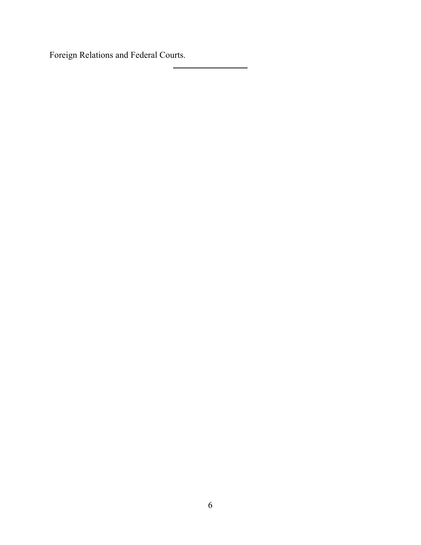Foreign Relations and Federal Courts.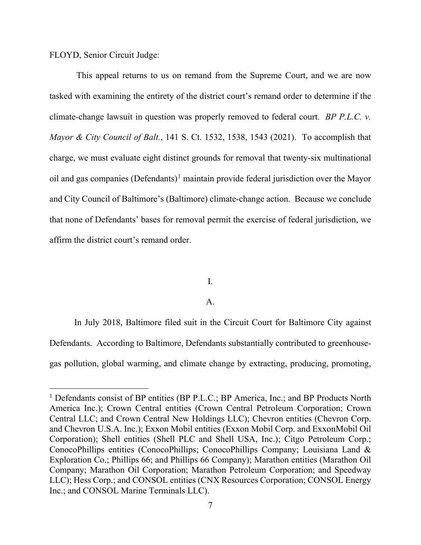FLOYD, Senior Circuit Judge:

This appeal returns to us on remand from the Supreme Court, and we are now tasked with examining the entirety of the district court's remand order to determine if the climate-change lawsuit in question was properly removed to federal court. *BP P.L.C. v. Mayor & City Council of Balt.*, 141 S. Ct. 1532, 1538, 1543 (2021).To accomplish that charge, we must evaluate eight distinct grounds for removal that twenty-six multinational oil and gas companies (Defendants)<sup>[1](#page-6-0)</sup> maintain provide federal jurisdiction over the Mayor and City Council of Baltimore's (Baltimore) climate-change action. Because we conclude that none of Defendants' bases for removal permit the exercise of federal jurisdiction, we affirm the district court's remand order.

## I.

## A.

In July 2018, Baltimore filed suit in the Circuit Court for Baltimore City against Defendants. According to Baltimore, Defendants substantially contributed to greenhousegas pollution, global warming, and climate change by extracting, producing, promoting,

<span id="page-6-0"></span><sup>&</sup>lt;sup>1</sup> Defendants consist of BP entities (BP P.L.C.; BP America, Inc.; and BP Products North America Inc.); Crown Central entities (Crown Central Petroleum Corporation; Crown Central LLC; and Crown Central New Holdings LLC); Chevron entities (Chevron Corp. and Chevron U.S.A. Inc.); Exxon Mobil entities (Exxon Mobil Corp. and ExxonMobil Oil Corporation); Shell entities (Shell PLC and Shell USA, Inc.); Citgo Petroleum Corp.; ConocoPhillips entities (ConocoPhillips; ConocoPhillips Company; Louisiana Land & Exploration Co.; Phillips 66; and Phillips 66 Company); Marathon entities (Marathon Oil Company; Marathon Oil Corporation; Marathon Petroleum Corporation; and Speedway LLC); Hess Corp.; and CONSOL entities (CNX Resources Corporation; CONSOL Energy Inc.; and CONSOL Marine Terminals LLC).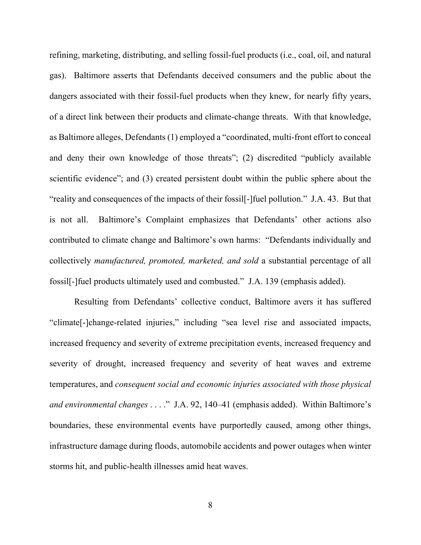refining, marketing, distributing, and selling fossil-fuel products (i.e., coal, oil, and natural gas). Baltimore asserts that Defendants deceived consumers and the public about the dangers associated with their fossil-fuel products when they knew, for nearly fifty years, of a direct link between their products and climate-change threats. With that knowledge, as Baltimore alleges, Defendants (1) employed a "coordinated, multi-front effort to conceal and deny their own knowledge of those threats"; (2) discredited "publicly available scientific evidence"; and (3) created persistent doubt within the public sphere about the "reality and consequences of the impacts of their fossil[-]fuel pollution." J.A. 43. But that is not all. Baltimore's Complaint emphasizes that Defendants' other actions also contributed to climate change and Baltimore's own harms: "Defendants individually and collectively *manufactured, promoted, marketed, and sold* a substantial percentage of all fossil[-]fuel products ultimately used and combusted." J.A. 139 (emphasis added).

Resulting from Defendants' collective conduct, Baltimore avers it has suffered "climate[-]change-related injuries," including "sea level rise and associated impacts, increased frequency and severity of extreme precipitation events, increased frequency and severity of drought, increased frequency and severity of heat waves and extreme temperatures, and *consequent social and economic injuries associated with those physical and environmental changes* . . . ." J.A. 92, 140–41 (emphasis added). Within Baltimore's boundaries, these environmental events have purportedly caused, among other things, infrastructure damage during floods, automobile accidents and power outages when winter storms hit, and public-health illnesses amid heat waves.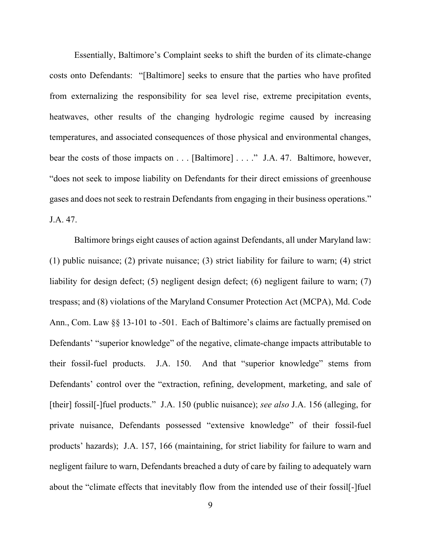Essentially, Baltimore's Complaint seeks to shift the burden of its climate-change costs onto Defendants: "[Baltimore] seeks to ensure that the parties who have profited from externalizing the responsibility for sea level rise, extreme precipitation events, heatwaves, other results of the changing hydrologic regime caused by increasing temperatures, and associated consequences of those physical and environmental changes, bear the costs of those impacts on . . . [Baltimore] . . . ." J.A. 47. Baltimore, however, "does not seek to impose liability on Defendants for their direct emissions of greenhouse gases and does not seek to restrain Defendants from engaging in their business operations." J.A. 47.

Baltimore brings eight causes of action against Defendants, all under Maryland law: (1) public nuisance; (2) private nuisance; (3) strict liability for failure to warn; (4) strict liability for design defect; (5) negligent design defect; (6) negligent failure to warn; (7) trespass; and (8) violations of the Maryland Consumer Protection Act (MCPA), Md. Code Ann., Com. Law §§ 13-101 to -501. Each of Baltimore's claims are factually premised on Defendants' "superior knowledge" of the negative, climate-change impacts attributable to their fossil-fuel products. J.A. 150. And that "superior knowledge" stems from Defendants' control over the "extraction, refining, development, marketing, and sale of [their] fossil[-]fuel products." J.A. 150 (public nuisance); *see also* J.A. 156 (alleging, for private nuisance, Defendants possessed "extensive knowledge" of their fossil-fuel products' hazards); J.A. 157, 166 (maintaining, for strict liability for failure to warn and negligent failure to warn, Defendants breached a duty of care by failing to adequately warn about the "climate effects that inevitably flow from the intended use of their fossil[-]fuel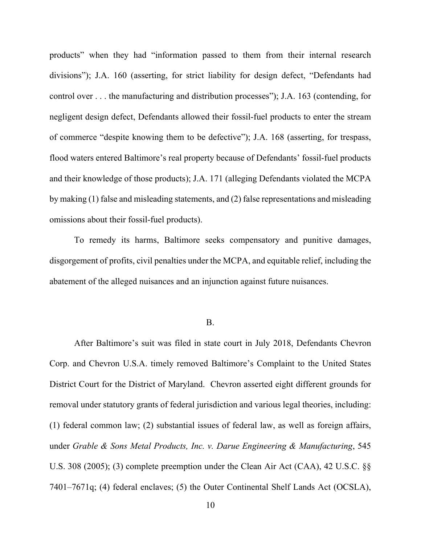products" when they had "information passed to them from their internal research divisions"); J.A. 160 (asserting, for strict liability for design defect, "Defendants had control over . . . the manufacturing and distribution processes"); J.A. 163 (contending, for negligent design defect, Defendants allowed their fossil-fuel products to enter the stream of commerce "despite knowing them to be defective"); J.A. 168 (asserting, for trespass, flood waters entered Baltimore's real property because of Defendants' fossil-fuel products and their knowledge of those products); J.A. 171 (alleging Defendants violated the MCPA by making (1) false and misleading statements, and (2) false representations and misleading omissions about their fossil-fuel products).

To remedy its harms, Baltimore seeks compensatory and punitive damages, disgorgement of profits, civil penalties under the MCPA, and equitable relief, including the abatement of the alleged nuisances and an injunction against future nuisances.

### B.

After Baltimore's suit was filed in state court in July 2018, Defendants Chevron Corp. and Chevron U.S.A. timely removed Baltimore's Complaint to the United States District Court for the District of Maryland. Chevron asserted eight different grounds for removal under statutory grants of federal jurisdiction and various legal theories, including: (1) federal common law; (2) substantial issues of federal law, as well as foreign affairs, under *Grable & Sons Metal Products, Inc. v. Darue Engineering & Manufacturing*, 545 U.S. 308 (2005); (3) complete preemption under the Clean Air Act (CAA), 42 U.S.C. §§ 7401–7671q; (4) federal enclaves; (5) the Outer Continental Shelf Lands Act (OCSLA),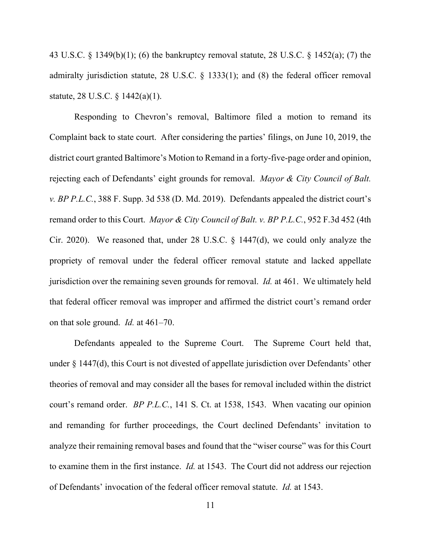43 U.S.C. § 1349(b)(1); (6) the bankruptcy removal statute, 28 U.S.C. § 1452(a); (7) the admiralty jurisdiction statute, 28 U.S.C. § 1333(1); and (8) the federal officer removal statute, 28 U.S.C. § 1442(a)(1).

Responding to Chevron's removal, Baltimore filed a motion to remand its Complaint back to state court. After considering the parties' filings, on June 10, 2019, the district court granted Baltimore's Motion to Remand in a forty-five-page order and opinion, rejecting each of Defendants' eight grounds for removal. *Mayor & City Council of Balt. v. BP P.L.C.*, 388 F. Supp. 3d 538 (D. Md. 2019). Defendants appealed the district court's remand order to this Court. *Mayor & City Council of Balt. v. BP P.L.C.*, 952 F.3d 452 (4th Cir. 2020). We reasoned that, under 28 U.S.C. § 1447(d), we could only analyze the propriety of removal under the federal officer removal statute and lacked appellate jurisdiction over the remaining seven grounds for removal. *Id.* at 461. We ultimately held that federal officer removal was improper and affirmed the district court's remand order on that sole ground. *Id.* at 461–70.

Defendants appealed to the Supreme Court. The Supreme Court held that, under § 1447(d), this Court is not divested of appellate jurisdiction over Defendants' other theories of removal and may consider all the bases for removal included within the district court's remand order. *BP P.L.C.*, 141 S. Ct. at 1538, 1543. When vacating our opinion and remanding for further proceedings, the Court declined Defendants' invitation to analyze their remaining removal bases and found that the "wiser course" was for this Court to examine them in the first instance. *Id.* at 1543. The Court did not address our rejection of Defendants' invocation of the federal officer removal statute. *Id.* at 1543.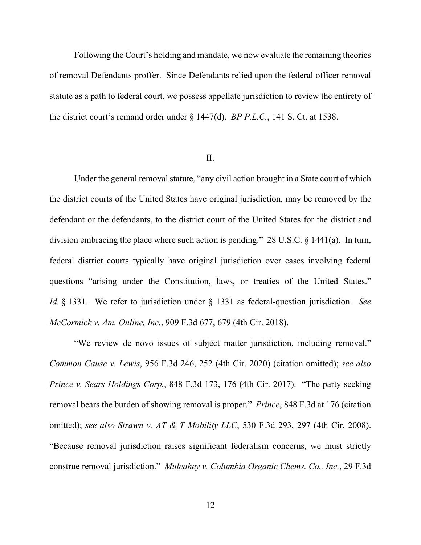Following the Court's holding and mandate, we now evaluate the remaining theories of removal Defendants proffer. Since Defendants relied upon the federal officer removal statute as a path to federal court, we possess appellate jurisdiction to review the entirety of the district court's remand order under § 1447(d). *BP P.L.C.*, 141 S. Ct. at 1538.

#### II.

Under the general removal statute, "any civil action brought in a State court of which the district courts of the United States have original jurisdiction, may be removed by the defendant or the defendants, to the district court of the United States for the district and division embracing the place where such action is pending." 28 U.S.C. § 1441(a). In turn, federal district courts typically have original jurisdiction over cases involving federal questions "arising under the Constitution, laws, or treaties of the United States." *Id.* § 1331. We refer to jurisdiction under § 1331 as federal-question jurisdiction. *See McCormick v. Am. Online, Inc.*, 909 F.3d 677, 679 (4th Cir. 2018).

"We review de novo issues of subject matter jurisdiction, including removal." *Common Cause v. Lewis*, 956 F.3d 246, 252 (4th Cir. 2020) (citation omitted); *see also Prince v. Sears Holdings Corp.*, 848 F.3d 173, 176 (4th Cir. 2017). "The party seeking removal bears the burden of showing removal is proper." *Prince*, 848 F.3d at 176 (citation omitted); *see also Strawn v. AT & T Mobility LLC*, 530 F.3d 293, 297 (4th Cir. 2008). "Because removal jurisdiction raises significant federalism concerns, we must strictly construe removal jurisdiction." *Mulcahey v. Columbia Organic Chems. Co., Inc.*, 29 F.3d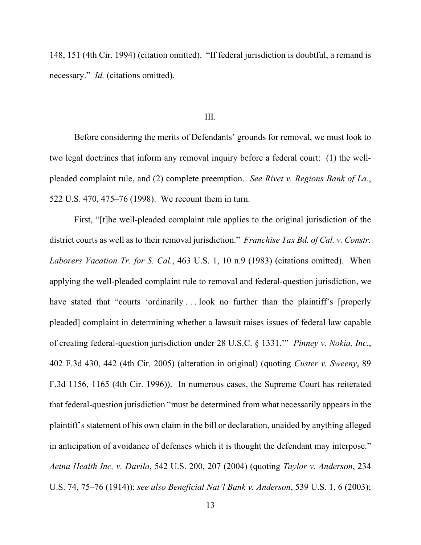148, 151 (4th Cir. 1994) (citation omitted). "If federal jurisdiction is doubtful, a remand is necessary." *Id.* (citations omitted).

### III.

Before considering the merits of Defendants' grounds for removal, we must look to two legal doctrines that inform any removal inquiry before a federal court: (1) the wellpleaded complaint rule, and (2) complete preemption. *See Rivet v. Regions Bank of La.*, 522 U.S. 470, 475–76 (1998). We recount them in turn.

First, "[t]he well-pleaded complaint rule applies to the original jurisdiction of the district courts as well as to their removal jurisdiction." *Franchise Tax Bd. of Cal. v. Constr. Laborers Vacation Tr. for S. Cal.*, 463 U.S. 1, 10 n.9 (1983) (citations omitted). When applying the well-pleaded complaint rule to removal and federal-question jurisdiction, we have stated that "courts 'ordinarily ... look no further than the plaintiff's [properly pleaded] complaint in determining whether a lawsuit raises issues of federal law capable of creating federal-question jurisdiction under 28 U.S.C. § 1331.'" *Pinney v. Nokia, Inc.*, 402 F.3d 430, 442 (4th Cir. 2005) (alteration in original) (quoting *Custer v. Sweeny*, 89 F.3d 1156, 1165 (4th Cir. 1996)). In numerous cases, the Supreme Court has reiterated that federal-question jurisdiction "must be determined from what necessarily appears in the plaintiff's statement of his own claim in the bill or declaration, unaided by anything alleged in anticipation of avoidance of defenses which it is thought the defendant may interpose." *Aetna Health Inc. v. Davila*, 542 U.S. 200, 207 (2004) (quoting *Taylor v. Anderson*, 234 U.S. 74, 75–76 (1914)); *see also Beneficial Nat'l Bank v. Anderson*, 539 U.S. 1, 6 (2003);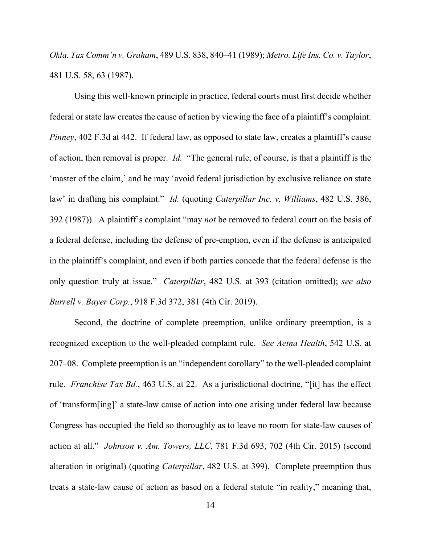*Okla. Tax Comm'n v. Graham*, 489 U.S. 838, 840–41 (1989); *Metro. Life Ins. Co. v. Taylor*, 481 U.S. 58, 63 (1987).

Using this well-known principle in practice, federal courts must first decide whether federal or state law creates the cause of action by viewing the face of a plaintiff's complaint. *Pinney*, 402 F.3d at 442. If federal law, as opposed to state law, creates a plaintiff's cause of action, then removal is proper. *Id.* "The general rule, of course, is that a plaintiff is the 'master of the claim,' and he may 'avoid federal jurisdiction by exclusive reliance on state law' in drafting his complaint." *Id.* (quoting *Caterpillar Inc. v. Williams*, 482 U.S. 386, 392 (1987)). A plaintiff's complaint "may *not* be removed to federal court on the basis of a federal defense, including the defense of pre-emption, even if the defense is anticipated in the plaintiff's complaint, and even if both parties concede that the federal defense is the only question truly at issue." *Caterpillar*, 482 U.S. at 393 (citation omitted); *see also Burrell v. Bayer Corp.*, 918 F.3d 372, 381 (4th Cir. 2019).

Second, the doctrine of complete preemption, unlike ordinary preemption, is a recognized exception to the well-pleaded complaint rule. *See Aetna Health*, 542 U.S. at 207–08. Complete preemption is an "independent corollary" to the well-pleaded complaint rule. *Franchise Tax Bd.*, 463 U.S. at 22. As a jurisdictional doctrine, "[it] has the effect of 'transform[ing]' a state-law cause of action into one arising under federal law because Congress has occupied the field so thoroughly as to leave no room for state-law causes of action at all." *Johnson v. Am. Towers, LLC*, 781 F.3d 693, 702 (4th Cir. 2015) (second alteration in original) (quoting *Caterpillar*, 482 U.S. at 399). Complete preemption thus treats a state-law cause of action as based on a federal statute "in reality," meaning that,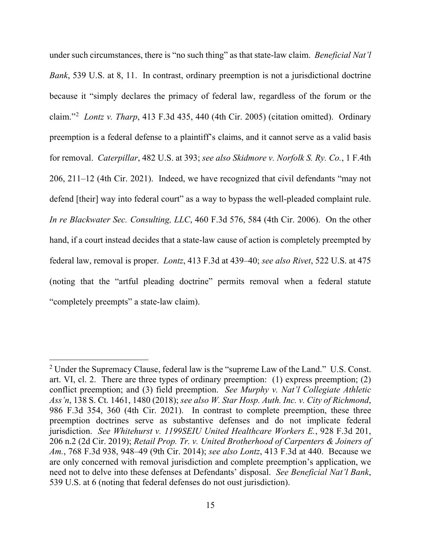under such circumstances, there is "no such thing" as that state-law claim. *Beneficial Nat'l Bank*, 539 U.S. at 8, 11. In contrast, ordinary preemption is not a jurisdictional doctrine because it "simply declares the primacy of federal law, regardless of the forum or the claim."[2](#page-14-0) *Lontz v. Tharp*, 413 F.3d 435, 440 (4th Cir. 2005) (citation omitted). Ordinary preemption is a federal defense to a plaintiff's claims, and it cannot serve as a valid basis for removal. *Caterpillar*, 482 U.S. at 393; *see also Skidmore v. Norfolk S. Ry. Co.*, 1 F.4th 206, 211–12 (4th Cir. 2021). Indeed, we have recognized that civil defendants "may not defend [their] way into federal court" as a way to bypass the well-pleaded complaint rule. *In re Blackwater Sec. Consulting, LLC*, 460 F.3d 576, 584 (4th Cir. 2006). On the other hand, if a court instead decides that a state-law cause of action is completely preempted by federal law, removal is proper. *Lontz*, 413 F.3d at 439–40; *see also Rivet*, 522 U.S. at 475 (noting that the "artful pleading doctrine" permits removal when a federal statute "completely preempts" a state-law claim).

<span id="page-14-0"></span><sup>2</sup> Under the Supremacy Clause, federal law is the "supreme Law of the Land." U.S. Const. art. VI, cl. 2. There are three types of ordinary preemption: (1) express preemption; (2) conflict preemption; and (3) field preemption. *See Murphy v. Nat'l Collegiate Athletic Ass'n*, 138 S. Ct. 1461, 1480 (2018); *see also W. Star Hosp. Auth. Inc. v. City of Richmond*, 986 F.3d 354, 360 (4th Cir. 2021). In contrast to complete preemption, these three preemption doctrines serve as substantive defenses and do not implicate federal jurisdiction. *See Whitehurst v. 1199SEIU United Healthcare Workers E.*, 928 F.3d 201, 206 n.2 (2d Cir. 2019); *Retail Prop. Tr. v. United Brotherhood of Carpenters & Joiners of Am.*, 768 F.3d 938, 948–49 (9th Cir. 2014); *see also Lontz*, 413 F.3d at 440. Because we are only concerned with removal jurisdiction and complete preemption's application, we need not to delve into these defenses at Defendants' disposal. *See Beneficial Nat'l Bank*, 539 U.S. at 6 (noting that federal defenses do not oust jurisdiction).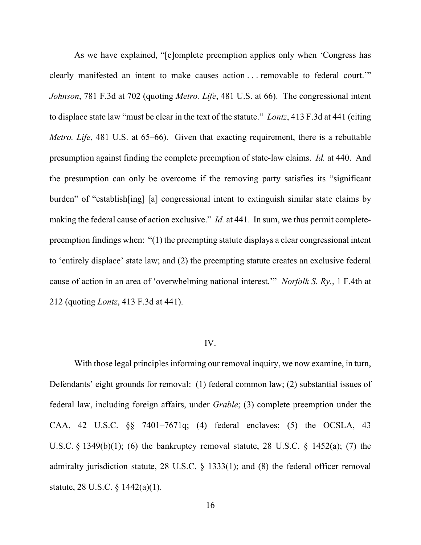As we have explained, "[c]omplete preemption applies only when 'Congress has clearly manifested an intent to make causes action . . . removable to federal court.'" *Johnson*, 781 F.3d at 702 (quoting *Metro. Life*, 481 U.S. at 66). The congressional intent to displace state law "must be clear in the text of the statute." *Lontz*, 413 F.3d at 441 (citing *Metro. Life*, 481 U.S. at 65–66). Given that exacting requirement, there is a rebuttable presumption against finding the complete preemption of state-law claims. *Id.* at 440. And the presumption can only be overcome if the removing party satisfies its "significant burden" of "establish[ing] [a] congressional intent to extinguish similar state claims by making the federal cause of action exclusive." *Id.* at 441. In sum, we thus permit completepreemption findings when: "(1) the preempting statute displays a clear congressional intent to 'entirely displace' state law; and (2) the preempting statute creates an exclusive federal cause of action in an area of 'overwhelming national interest.'" *Norfolk S. Ry.*, 1 F.4th at 212 (quoting *Lontz*, 413 F.3d at 441).

### IV.

With those legal principles informing our removal inquiry, we now examine, in turn, Defendants' eight grounds for removal: (1) federal common law; (2) substantial issues of federal law, including foreign affairs, under *Grable*; (3) complete preemption under the CAA, 42 U.S.C. §§ 7401–7671q; (4) federal enclaves; (5) the OCSLA, 43 U.S.C. § 1349(b)(1); (6) the bankruptcy removal statute, 28 U.S.C. § 1452(a); (7) the admiralty jurisdiction statute, 28 U.S.C. § 1333(1); and (8) the federal officer removal statute, 28 U.S.C. § 1442(a)(1).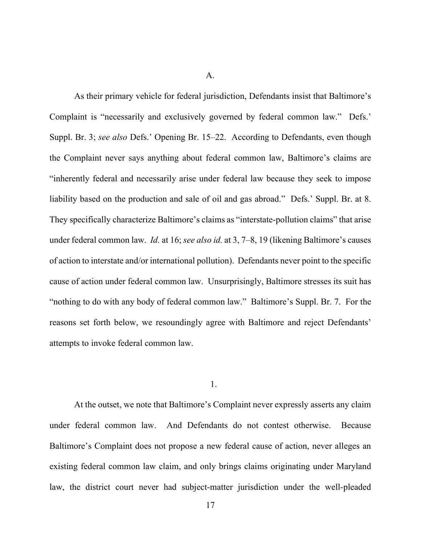A.

As their primary vehicle for federal jurisdiction, Defendants insist that Baltimore's Complaint is "necessarily and exclusively governed by federal common law." Defs.' Suppl. Br. 3; *see also* Defs.' Opening Br. 15–22. According to Defendants, even though the Complaint never says anything about federal common law, Baltimore's claims are "inherently federal and necessarily arise under federal law because they seek to impose liability based on the production and sale of oil and gas abroad." Defs.' Suppl. Br. at 8. They specifically characterize Baltimore's claims as "interstate-pollution claims" that arise under federal common law. *Id.* at 16; *see also id.* at 3, 7–8, 19 (likening Baltimore's causes of action to interstate and/or international pollution). Defendants never point to the specific cause of action under federal common law. Unsurprisingly, Baltimore stresses its suit has "nothing to do with any body of federal common law." Baltimore's Suppl. Br. 7. For the reasons set forth below, we resoundingly agree with Baltimore and reject Defendants' attempts to invoke federal common law.

#### 1.

At the outset, we note that Baltimore's Complaint never expressly asserts any claim under federal common law. And Defendants do not contest otherwise. Because Baltimore's Complaint does not propose a new federal cause of action, never alleges an existing federal common law claim, and only brings claims originating under Maryland law, the district court never had subject-matter jurisdiction under the well-pleaded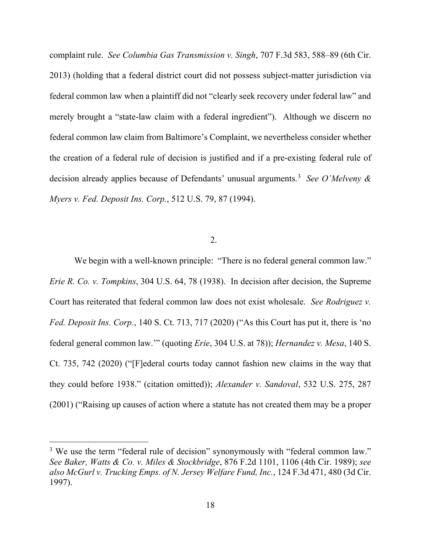complaint rule. *See Columbia Gas Transmission v. Singh*, 707 F.3d 583, 588–89 (6th Cir. 2013) (holding that a federal district court did not possess subject-matter jurisdiction via federal common law when a plaintiff did not "clearly seek recovery under federal law" and merely brought a "state-law claim with a federal ingredient"). Although we discern no federal common law claim from Baltimore's Complaint, we nevertheless consider whether the creation of a federal rule of decision is justified and if a pre-existing federal rule of decision already applies because of Defendants' unusual arguments. [3](#page-17-0) *See O'Melveny & Myers v. Fed. Deposit Ins. Corp.*, 512 U.S. 79, 87 (1994).

## 2.

We begin with a well-known principle: "There is no federal general common law." *Erie R. Co. v. Tompkins*, 304 U.S. 64, 78 (1938). In decision after decision, the Supreme Court has reiterated that federal common law does not exist wholesale. *See Rodriguez v. Fed. Deposit Ins. Corp.*, 140 S. Ct. 713, 717 (2020) ("As this Court has put it, there is 'no federal general common law.'" (quoting *Erie*, 304 U.S. at 78)); *Hernandez v. Mesa*, 140 S. Ct. 735, 742 (2020) ("[F]ederal courts today cannot fashion new claims in the way that they could before 1938." (citation omitted)); *Alexander v. Sandoval*, 532 U.S. 275, 287 (2001) ("Raising up causes of action where a statute has not created them may be a proper

<span id="page-17-0"></span><sup>&</sup>lt;sup>3</sup> We use the term "federal rule of decision" synonymously with "federal common law." *See Baker, Watts & Co. v. Miles & Stockbridge*, 876 F.2d 1101, 1106 (4th Cir. 1989); *see also McGurl v. Trucking Emps. of N. Jersey Welfare Fund, Inc.*, 124 F.3d 471, 480 (3d Cir. 1997).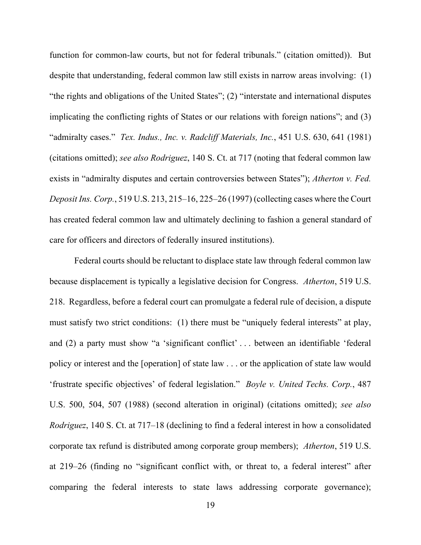function for common-law courts, but not for federal tribunals." (citation omitted)). But despite that understanding, federal common law still exists in narrow areas involving: (1) "the rights and obligations of the United States"; (2) "interstate and international disputes implicating the conflicting rights of States or our relations with foreign nations"; and (3) "admiralty cases." *Tex. Indus., Inc. v. Radcliff Materials, Inc.*, 451 U.S. 630, 641 (1981) (citations omitted); *see also Rodriguez*, 140 S. Ct. at 717 (noting that federal common law exists in "admiralty disputes and certain controversies between States"); *Atherton v. Fed. Deposit Ins. Corp.*, 519 U.S. 213, 215–16, 225–26 (1997) (collecting cases where the Court has created federal common law and ultimately declining to fashion a general standard of care for officers and directors of federally insured institutions).

Federal courts should be reluctant to displace state law through federal common law because displacement is typically a legislative decision for Congress. *Atherton*, 519 U.S. 218.Regardless, before a federal court can promulgate a federal rule of decision, a dispute must satisfy two strict conditions: (1) there must be "uniquely federal interests" at play, and (2) a party must show "a 'significant conflict' . . . between an identifiable 'federal policy or interest and the [operation] of state law . . . or the application of state law would 'frustrate specific objectives' of federal legislation." *Boyle v. United Techs. Corp.*, 487 U.S. 500, 504, 507 (1988) (second alteration in original) (citations omitted); *see also Rodriguez*, 140 S. Ct. at 717–18 (declining to find a federal interest in how a consolidated corporate tax refund is distributed among corporate group members); *Atherton*, 519 U.S. at 219–26 (finding no "significant conflict with, or threat to, a federal interest" after comparing the federal interests to state laws addressing corporate governance);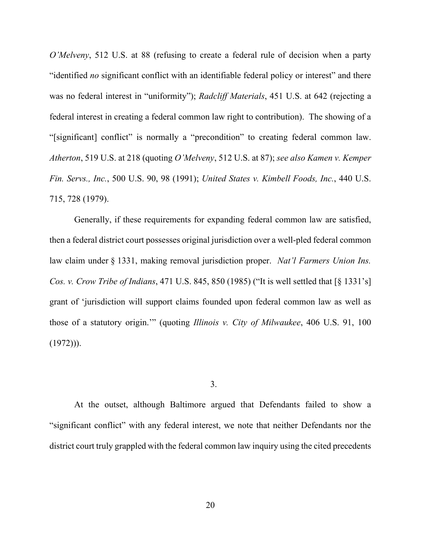*O'Melveny*, 512 U.S. at 88 (refusing to create a federal rule of decision when a party "identified *no* significant conflict with an identifiable federal policy or interest" and there was no federal interest in "uniformity"); *Radcliff Materials*, 451 U.S. at 642 (rejecting a federal interest in creating a federal common law right to contribution). The showing of a "[significant] conflict" is normally a "precondition" to creating federal common law. *Atherton*, 519 U.S. at 218 (quoting *O'Melveny*, 512 U.S. at 87); *see also Kamen v. Kemper Fin. Servs., Inc.*, 500 U.S. 90, 98 (1991); *United States v. Kimbell Foods, Inc.*, 440 U.S. 715, 728 (1979).

Generally, if these requirements for expanding federal common law are satisfied, then a federal district court possesses original jurisdiction over a well-pled federal common law claim under § 1331, making removal jurisdiction proper. *Nat'l Farmers Union Ins. Cos. v. Crow Tribe of Indians*, 471 U.S. 845, 850 (1985) ("It is well settled that [§ 1331's] grant of 'jurisdiction will support claims founded upon federal common law as well as those of a statutory origin.'" (quoting *Illinois v. City of Milwaukee*, 406 U.S. 91, 100  $(1972))$ .

3.

At the outset, although Baltimore argued that Defendants failed to show a "significant conflict" with any federal interest, we note that neither Defendants nor the district court truly grappled with the federal common law inquiry using the cited precedents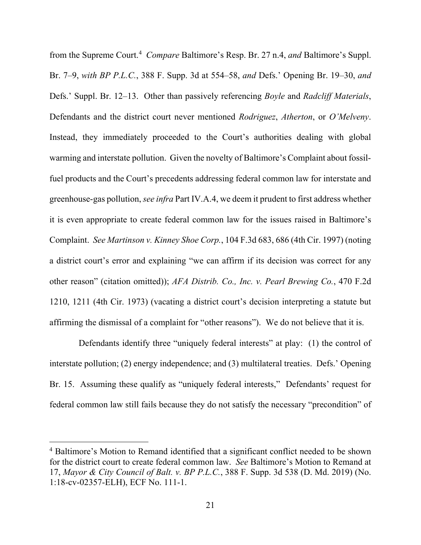from the Supreme Court.[4](#page-20-0) *Compare* Baltimore's Resp. Br. 27 n.4, *and* Baltimore's Suppl. Br. 7–9, *with BP P.L.C.*, 388 F. Supp. 3d at 554–58, *and* Defs.' Opening Br. 19–30, *and*  Defs.' Suppl. Br. 12–13. Other than passively referencing *Boyle* and *Radcliff Materials*, Defendants and the district court never mentioned *Rodriguez*, *Atherton*, or *O'Melveny*. Instead, they immediately proceeded to the Court's authorities dealing with global warming and interstate pollution. Given the novelty of Baltimore's Complaint about fossilfuel products and the Court's precedents addressing federal common law for interstate and greenhouse-gas pollution, *see infra* Part IV.A.4, we deem it prudent to first address whether it is even appropriate to create federal common law for the issues raised in Baltimore's Complaint. *See Martinson v. Kinney Shoe Corp.*, 104 F.3d 683, 686 (4th Cir. 1997) (noting a district court's error and explaining "we can affirm if its decision was correct for any other reason" (citation omitted)); *AFA Distrib. Co., Inc. v. Pearl Brewing Co.*, 470 F.2d 1210, 1211 (4th Cir. 1973) (vacating a district court's decision interpreting a statute but affirming the dismissal of a complaint for "other reasons"). We do not believe that it is.

Defendants identify three "uniquely federal interests" at play: (1) the control of interstate pollution; (2) energy independence; and (3) multilateral treaties. Defs.' Opening Br. 15. Assuming these qualify as "uniquely federal interests," Defendants' request for federal common law still fails because they do not satisfy the necessary "precondition" of

<span id="page-20-0"></span><sup>4</sup> Baltimore's Motion to Remand identified that a significant conflict needed to be shown for the district court to create federal common law. *See* Baltimore's Motion to Remand at 17, *Mayor & City Council of Balt. v. BP P.L.C.*, 388 F. Supp. 3d 538 (D. Md. 2019) (No. 1:18-cv-02357-ELH), ECF No. 111-1.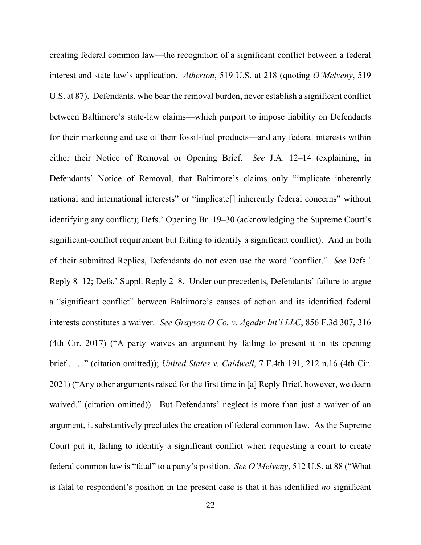creating federal common law—the recognition of a significant conflict between a federal interest and state law's application. *Atherton*, 519 U.S. at 218 (quoting *O'Melveny*, 519 U.S. at 87). Defendants, who bear the removal burden, never establish a significant conflict between Baltimore's state-law claims—which purport to impose liability on Defendants for their marketing and use of their fossil-fuel products—and any federal interests within either their Notice of Removal or Opening Brief. *See* J.A. 12–14 (explaining, in Defendants' Notice of Removal, that Baltimore's claims only "implicate inherently national and international interests" or "implicate<sup>[]</sup> inherently federal concerns" without identifying any conflict); Defs.' Opening Br. 19–30 (acknowledging the Supreme Court's significant-conflict requirement but failing to identify a significant conflict). And in both of their submitted Replies, Defendants do not even use the word "conflict." *See* Defs.' Reply 8–12; Defs.' Suppl. Reply 2–8. Under our precedents, Defendants' failure to argue a "significant conflict" between Baltimore's causes of action and its identified federal interests constitutes a waiver. *See Grayson O Co. v. Agadir Int'l LLC*, 856 F.3d 307, 316 (4th Cir. 2017) ("A party waives an argument by failing to present it in its opening brief . . . ." (citation omitted)); *United States v. Caldwell*, 7 F.4th 191, 212 n.16 (4th Cir. 2021) ("Any other arguments raised for the first time in [a] Reply Brief, however, we deem waived." (citation omitted)). But Defendants' neglect is more than just a waiver of an argument, it substantively precludes the creation of federal common law. As the Supreme Court put it, failing to identify a significant conflict when requesting a court to create federal common law is "fatal" to a party's position. *See O'Melveny*, 512 U.S. at 88 ("What is fatal to respondent's position in the present case is that it has identified *no* significant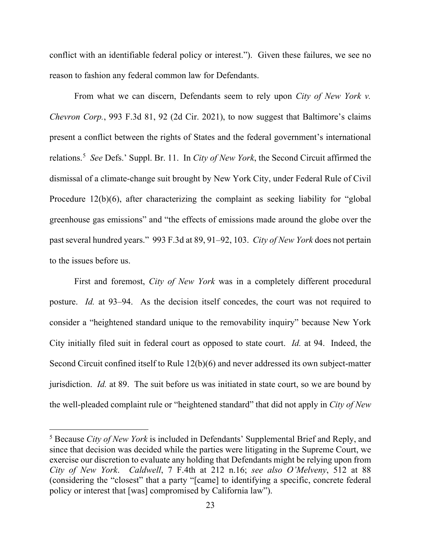conflict with an identifiable federal policy or interest.").Given these failures, we see no reason to fashion any federal common law for Defendants.

From what we can discern, Defendants seem to rely upon *City of New York v. Chevron Corp.*, 993 F.3d 81, 92 (2d Cir. 2021), to now suggest that Baltimore's claims present a conflict between the rights of States and the federal government's international relations. [5](#page-22-0) *See* Defs.' Suppl. Br. 11. In *City of New York*, the Second Circuit affirmed the dismissal of a climate-change suit brought by New York City, under Federal Rule of Civil Procedure 12(b)(6), after characterizing the complaint as seeking liability for "global greenhouse gas emissions" and "the effects of emissions made around the globe over the past several hundred years." 993 F.3d at 89, 91–92, 103. *City of New York* does not pertain to the issues before us.

First and foremost, *City of New York* was in a completely different procedural posture. *Id.* at 93–94. As the decision itself concedes, the court was not required to consider a "heightened standard unique to the removability inquiry" because New York City initially filed suit in federal court as opposed to state court. *Id.* at 94. Indeed, the Second Circuit confined itself to Rule 12(b)(6) and never addressed its own subject-matter jurisdiction. *Id.* at 89. The suit before us was initiated in state court, so we are bound by the well-pleaded complaint rule or "heightened standard" that did not apply in *City of New* 

<span id="page-22-0"></span><sup>5</sup> Because *City of New York* is included in Defendants' Supplemental Brief and Reply, and since that decision was decided while the parties were litigating in the Supreme Court, we exercise our discretion to evaluate any holding that Defendants might be relying upon from *City of New York*. *Caldwell*, 7 F.4th at 212 n.16; *see also O'Melveny*, 512 at 88 (considering the "closest" that a party "[came] to identifying a specific, concrete federal policy or interest that [was] compromised by California law").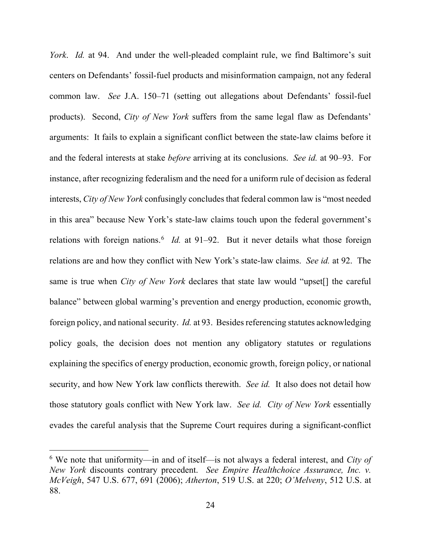*York*. *Id.* at 94.And under the well-pleaded complaint rule, we find Baltimore's suit centers on Defendants' fossil-fuel products and misinformation campaign, not any federal common law. *See* J.A. 150–71 (setting out allegations about Defendants' fossil-fuel products). Second, *City of New York* suffers from the same legal flaw as Defendants' arguments: It fails to explain a significant conflict between the state-law claims before it and the federal interests at stake *before* arriving at its conclusions. *See id.* at 90–93. For instance, after recognizing federalism and the need for a uniform rule of decision as federal interests, *City of New York* confusingly concludes that federal common law is "most needed in this area" because New York's state-law claims touch upon the federal government's relations with foreign nations.<sup>[6](#page-23-0)</sup> *Id.* at 91–92. But it never details what those foreign relations are and how they conflict with New York's state-law claims. *See id.* at 92.The same is true when *City of New York* declares that state law would "upset[] the careful balance" between global warming's prevention and energy production, economic growth, foreign policy, and national security. *Id.* at 93. Besides referencing statutes acknowledging policy goals, the decision does not mention any obligatory statutes or regulations explaining the specifics of energy production, economic growth, foreign policy, or national security, and how New York law conflicts therewith. *See id.* It also does not detail how those statutory goals conflict with New York law. *See id. City of New York* essentially evades the careful analysis that the Supreme Court requires during a significant-conflict

<span id="page-23-0"></span><sup>6</sup> We note that uniformity—in and of itself—is not always a federal interest, and *City of New York* discounts contrary precedent. *See Empire Healthchoice Assurance, Inc. v. McVeigh*, 547 U.S. 677, 691 (2006); *Atherton*, 519 U.S. at 220; *O'Melveny*, 512 U.S. at 88.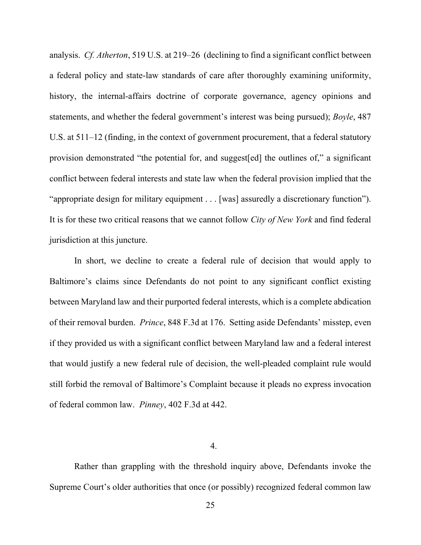analysis. *Cf. Atherton*, 519 U.S. at 219–26(declining to find a significant conflict between a federal policy and state-law standards of care after thoroughly examining uniformity, history, the internal-affairs doctrine of corporate governance, agency opinions and statements, and whether the federal government's interest was being pursued); *Boyle*, 487 U.S. at 511–12 (finding, in the context of government procurement, that a federal statutory provision demonstrated "the potential for, and suggest[ed] the outlines of," a significant conflict between federal interests and state law when the federal provision implied that the "appropriate design for military equipment . . . [was] assuredly a discretionary function"). It is for these two critical reasons that we cannot follow *City of New York* and find federal jurisdiction at this juncture.

In short, we decline to create a federal rule of decision that would apply to Baltimore's claims since Defendants do not point to any significant conflict existing between Maryland law and their purported federal interests, which is a complete abdication of their removal burden. *Prince*, 848 F.3d at 176. Setting aside Defendants' misstep, even if they provided us with a significant conflict between Maryland law and a federal interest that would justify a new federal rule of decision, the well-pleaded complaint rule would still forbid the removal of Baltimore's Complaint because it pleads no express invocation of federal common law. *Pinney*, 402 F.3d at 442.

4.

Rather than grappling with the threshold inquiry above, Defendants invoke the Supreme Court's older authorities that once (or possibly) recognized federal common law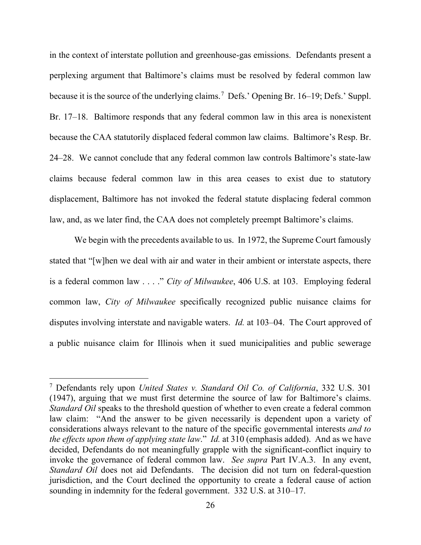in the context of interstate pollution and greenhouse-gas emissions. Defendants present a perplexing argument that Baltimore's claims must be resolved by federal common law because it is the source of the underlying claims.<sup>[7](#page-25-0)</sup> Defs.' Opening Br. 16–19; Defs.' Suppl. Br. 17–18. Baltimore responds that any federal common law in this area is nonexistent because the CAA statutorily displaced federal common law claims. Baltimore's Resp. Br. 24–28. We cannot conclude that any federal common law controls Baltimore's state-law claims because federal common law in this area ceases to exist due to statutory displacement, Baltimore has not invoked the federal statute displacing federal common law, and, as we later find, the CAA does not completely preempt Baltimore's claims.

We begin with the precedents available to us. In 1972, the Supreme Court famously stated that "[w]hen we deal with air and water in their ambient or interstate aspects, there is a federal common law . . . ." *City of Milwaukee*, 406 U.S. at 103. Employing federal common law, *City of Milwaukee* specifically recognized public nuisance claims for disputes involving interstate and navigable waters. *Id.* at 103–04. The Court approved of a public nuisance claim for Illinois when it sued municipalities and public sewerage

<span id="page-25-0"></span><sup>7</sup> Defendants rely upon *United States v. Standard Oil Co. of California*, 332 U.S. 301 (1947), arguing that we must first determine the source of law for Baltimore's claims. *Standard Oil* speaks to the threshold question of whether to even create a federal common law claim: "And the answer to be given necessarily is dependent upon a variety of considerations always relevant to the nature of the specific governmental interests *and to the effects upon them of applying state law*." *Id.* at 310 (emphasis added). And as we have decided, Defendants do not meaningfully grapple with the significant-conflict inquiry to invoke the governance of federal common law. *See supra* Part IV.A.3. In any event, *Standard Oil* does not aid Defendants. The decision did not turn on federal-question jurisdiction, and the Court declined the opportunity to create a federal cause of action sounding in indemnity for the federal government. 332 U.S. at 310–17.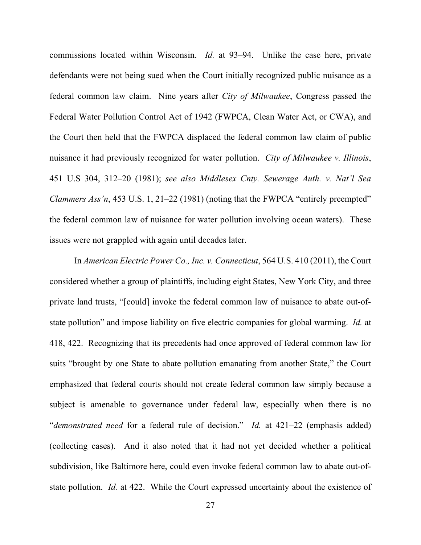commissions located within Wisconsin. *Id.* at 93–94. Unlike the case here, private defendants were not being sued when the Court initially recognized public nuisance as a federal common law claim. Nine years after *City of Milwaukee*, Congress passed the Federal Water Pollution Control Act of 1942 (FWPCA, Clean Water Act, or CWA), and the Court then held that the FWPCA displaced the federal common law claim of public nuisance it had previously recognized for water pollution. *City of Milwaukee v. Illinois*, 451 U.S 304, 312–20 (1981); *see also Middlesex Cnty. Sewerage Auth. v. Nat'l Sea Clammers Ass'n*, 453 U.S. 1, 21–22 (1981) (noting that the FWPCA "entirely preempted" the federal common law of nuisance for water pollution involving ocean waters). These issues were not grappled with again until decades later.

In *American Electric Power Co., Inc. v. Connecticut*, 564 U.S. 410 (2011), the Court considered whether a group of plaintiffs, including eight States, New York City, and three private land trusts, "[could] invoke the federal common law of nuisance to abate out-ofstate pollution" and impose liability on five electric companies for global warming. *Id.* at 418, 422. Recognizing that its precedents had once approved of federal common law for suits "brought by one State to abate pollution emanating from another State," the Court emphasized that federal courts should not create federal common law simply because a subject is amenable to governance under federal law, especially when there is no "*demonstrated need* for a federal rule of decision." *Id.* at 421–22 (emphasis added) (collecting cases). And it also noted that it had not yet decided whether a political subdivision, like Baltimore here, could even invoke federal common law to abate out-ofstate pollution. *Id.* at 422. While the Court expressed uncertainty about the existence of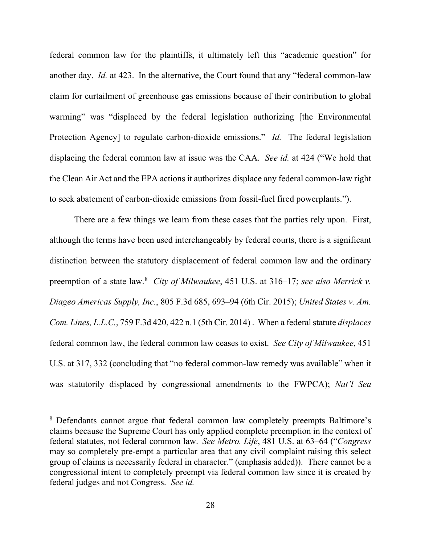federal common law for the plaintiffs, it ultimately left this "academic question" for another day. *Id.* at 423. In the alternative, the Court found that any "federal common-law claim for curtailment of greenhouse gas emissions because of their contribution to global warming" was "displaced by the federal legislation authorizing [the Environmental Protection Agency] to regulate carbon-dioxide emissions." *Id.* The federal legislation displacing the federal common law at issue was the CAA. *See id.* at 424 ("We hold that the Clean Air Act and the EPA actions it authorizes displace any federal common-law right to seek abatement of carbon-dioxide emissions from fossil-fuel fired powerplants.").

There are a few things we learn from these cases that the parties rely upon. First, although the terms have been used interchangeably by federal courts, there is a significant distinction between the statutory displacement of federal common law and the ordinary preemption of a state law.<sup>[8](#page-27-0)</sup> *City of Milwaukee*, 451 U.S. at 316–17; *see also Merrick v. Diageo Americas Supply, Inc.*, 805 F.3d 685, 693–94 (6th Cir. 2015); *United States v. Am. Com. Lines, L.L.C.*, 759 F.3d 420, 422 n.1 (5th Cir. 2014) . When a federal statute *displaces* federal common law, the federal common law ceases to exist. *See City of Milwaukee*, 451 U.S. at 317, 332 (concluding that "no federal common-law remedy was available" when it was statutorily displaced by congressional amendments to the FWPCA); *Nat'l Sea* 

<span id="page-27-0"></span><sup>8</sup> Defendants cannot argue that federal common law completely preempts Baltimore's claims because the Supreme Court has only applied complete preemption in the context of federal statutes, not federal common law. *See Metro. Life*, 481 U.S. at 63–64 ("*Congress*  may so completely pre-empt a particular area that any civil complaint raising this select group of claims is necessarily federal in character." (emphasis added)). There cannot be a congressional intent to completely preempt via federal common law since it is created by federal judges and not Congress. *See id.*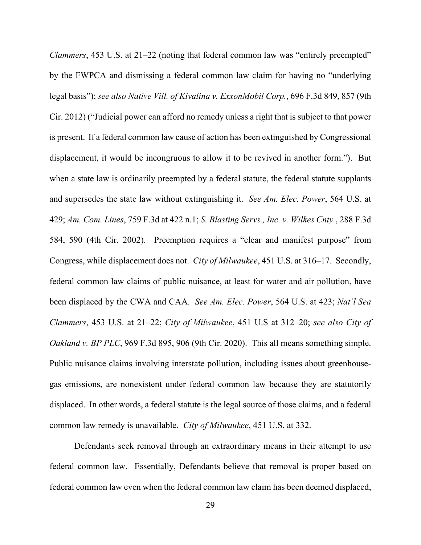*Clammers*, 453 U.S. at 21–22 (noting that federal common law was "entirely preempted" by the FWPCA and dismissing a federal common law claim for having no "underlying legal basis"); *see also Native Vill. of Kivalina v. ExxonMobil Corp.*, 696 F.3d 849, 857 (9th Cir. 2012) ("Judicial power can afford no remedy unless a right that is subject to that power is present. If a federal common law cause of action has been extinguished by Congressional displacement, it would be incongruous to allow it to be revived in another form."). But when a state law is ordinarily preempted by a federal statute, the federal statute supplants and supersedes the state law without extinguishing it. *See Am. Elec. Power*, 564 U.S. at 429; *Am. Com. Lines*, 759 F.3d at 422 n.1; *S. Blasting Servs., Inc. v. Wilkes Cnty.*, 288 F.3d 584, 590 (4th Cir. 2002). Preemption requires a "clear and manifest purpose" from Congress, while displacement does not. *City of Milwaukee*, 451 U.S. at 316–17. Secondly, federal common law claims of public nuisance, at least for water and air pollution, have been displaced by the CWA and CAA. *See Am. Elec. Power*, 564 U.S. at 423; *Nat'l Sea Clammers*, 453 U.S. at 21–22; *City of Milwaukee*, 451 U.S at 312–20; *see also City of Oakland v. BP PLC*, 969 F.3d 895, 906 (9th Cir. 2020). This all means something simple. Public nuisance claims involving interstate pollution, including issues about greenhousegas emissions, are nonexistent under federal common law because they are statutorily displaced. In other words, a federal statute is the legal source of those claims, and a federal common law remedy is unavailable. *City of Milwaukee*, 451 U.S. at 332.

Defendants seek removal through an extraordinary means in their attempt to use federal common law. Essentially, Defendants believe that removal is proper based on federal common law even when the federal common law claim has been deemed displaced,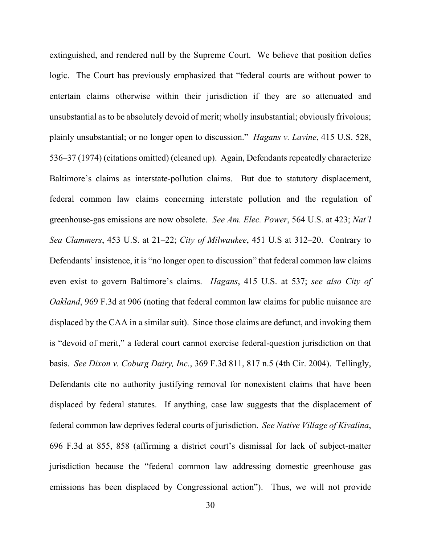extinguished, and rendered null by the Supreme Court. We believe that position defies logic. The Court has previously emphasized that "federal courts are without power to entertain claims otherwise within their jurisdiction if they are so attenuated and unsubstantial as to be absolutely devoid of merit; wholly insubstantial; obviously frivolous; plainly unsubstantial; or no longer open to discussion." *Hagans v. Lavine*, 415 U.S. 528, 536–37 (1974) (citations omitted) (cleaned up). Again, Defendants repeatedly characterize Baltimore's claims as interstate-pollution claims. But due to statutory displacement, federal common law claims concerning interstate pollution and the regulation of greenhouse-gas emissions are now obsolete. *See Am. Elec. Power*, 564 U.S. at 423; *Nat'l Sea Clammers*, 453 U.S. at 21–22; *City of Milwaukee*, 451 U.S at 312–20. Contrary to Defendants' insistence, it is "no longer open to discussion" that federal common law claims even exist to govern Baltimore's claims. *Hagans*, 415 U.S. at 537; *see also City of Oakland*, 969 F.3d at 906 (noting that federal common law claims for public nuisance are displaced by the CAA in a similar suit). Since those claims are defunct, and invoking them is "devoid of merit," a federal court cannot exercise federal-question jurisdiction on that basis. *See Dixon v. Coburg Dairy, Inc.*, 369 F.3d 811, 817 n.5 (4th Cir. 2004). Tellingly, Defendants cite no authority justifying removal for nonexistent claims that have been displaced by federal statutes. If anything, case law suggests that the displacement of federal common law deprives federal courts of jurisdiction. *See Native Village of Kivalina*, 696 F.3d at 855, 858 (affirming a district court's dismissal for lack of subject-matter jurisdiction because the "federal common law addressing domestic greenhouse gas emissions has been displaced by Congressional action"). Thus, we will not provide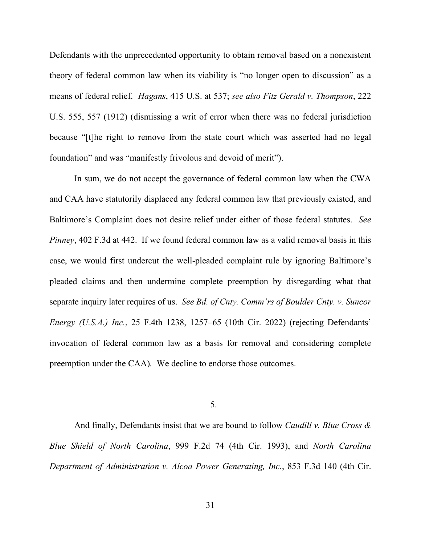Defendants with the unprecedented opportunity to obtain removal based on a nonexistent theory of federal common law when its viability is "no longer open to discussion" as a means of federal relief. *Hagans*, 415 U.S. at 537; *see also Fitz Gerald v. Thompson*, 222 U.S. 555, 557 (1912) (dismissing a writ of error when there was no federal jurisdiction because "[t]he right to remove from the state court which was asserted had no legal foundation" and was "manifestly frivolous and devoid of merit").

In sum, we do not accept the governance of federal common law when the CWA and CAA have statutorily displaced any federal common law that previously existed, and Baltimore's Complaint does not desire relief under either of those federal statutes. *See Pinney*, 402 F.3d at 442.If we found federal common law as a valid removal basis in this case, we would first undercut the well-pleaded complaint rule by ignoring Baltimore's pleaded claims and then undermine complete preemption by disregarding what that separate inquiry later requires of us. *See Bd. of Cnty. Comm'rs of Boulder Cnty. v. Suncor Energy (U.S.A.) Inc.*, 25 F.4th 1238, 1257–65 (10th Cir. 2022) (rejecting Defendants' invocation of federal common law as a basis for removal and considering complete preemption under the CAA)*.* We decline to endorse those outcomes.

5.

And finally, Defendants insist that we are bound to follow *Caudill v. Blue Cross & Blue Shield of North Carolina*, 999 F.2d 74 (4th Cir. 1993), and *North Carolina Department of Administration v. Alcoa Power Generating, Inc.*, 853 F.3d 140 (4th Cir.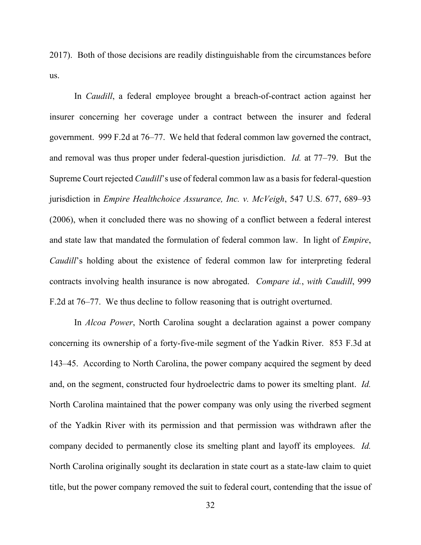2017). Both of those decisions are readily distinguishable from the circumstances before us.

In *Caudill*, a federal employee brought a breach-of-contract action against her insurer concerning her coverage under a contract between the insurer and federal government. 999 F.2d at 76–77. We held that federal common law governed the contract, and removal was thus proper under federal-question jurisdiction. *Id.* at 77–79. But the Supreme Court rejected *Caudill*'s use of federal common law as a basis for federal-question jurisdiction in *Empire Healthchoice Assurance, Inc. v. McVeigh*, 547 U.S. 677, 689–93 (2006), when it concluded there was no showing of a conflict between a federal interest and state law that mandated the formulation of federal common law.In light of *Empire*, *Caudill*'s holding about the existence of federal common law for interpreting federal contracts involving health insurance is now abrogated. *Compare id.*, *with Caudill*, 999 F.2d at 76–77. We thus decline to follow reasoning that is outright overturned.

In *Alcoa Power*, North Carolina sought a declaration against a power company concerning its ownership of a forty-five-mile segment of the Yadkin River. 853 F.3d at 143–45.According to North Carolina, the power company acquired the segment by deed and, on the segment, constructed four hydroelectric dams to power its smelting plant. *Id.* North Carolina maintained that the power company was only using the riverbed segment of the Yadkin River with its permission and that permission was withdrawn after the company decided to permanently close its smelting plant and layoff its employees. *Id.*  North Carolina originally sought its declaration in state court as a state-law claim to quiet title, but the power company removed the suit to federal court, contending that the issue of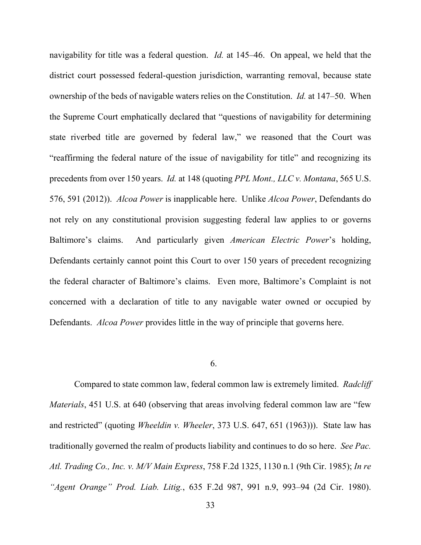navigability for title was a federal question. *Id.* at 145–46. On appeal, we held that the district court possessed federal-question jurisdiction, warranting removal, because state ownership of the beds of navigable waters relies on the Constitution. *Id.* at 147–50. When the Supreme Court emphatically declared that "questions of navigability for determining state riverbed title are governed by federal law," we reasoned that the Court was "reaffirming the federal nature of the issue of navigability for title" and recognizing its precedents from over 150 years. *Id.* at 148 (quoting *PPL Mont., LLC v. Montana*, 565 U.S. 576, 591 (2012)). *Alcoa Power* is inapplicable here. Unlike *Alcoa Power*, Defendants do not rely on any constitutional provision suggesting federal law applies to or governs Baltimore's claims. And particularly given *American Electric Power*'s holding, Defendants certainly cannot point this Court to over 150 years of precedent recognizing the federal character of Baltimore's claims. Even more, Baltimore's Complaint is not concerned with a declaration of title to any navigable water owned or occupied by Defendants. *Alcoa Power* provides little in the way of principle that governs here.

## 6.

Compared to state common law, federal common law is extremely limited. *Radcliff Materials*, 451 U.S. at 640 (observing that areas involving federal common law are "few and restricted" (quoting *Wheeldin v. Wheeler*, 373 U.S. 647, 651 (1963))). State law has traditionally governed the realm of products liability and continues to do so here. *See Pac. Atl. Trading Co., Inc. v. M/V Main Express*, 758 F.2d 1325, 1130 n.1 (9th Cir. 1985); *In re "Agent Orange" Prod. Liab. Litig.*, 635 F.2d 987, 991 n.9, 993–94 (2d Cir. 1980).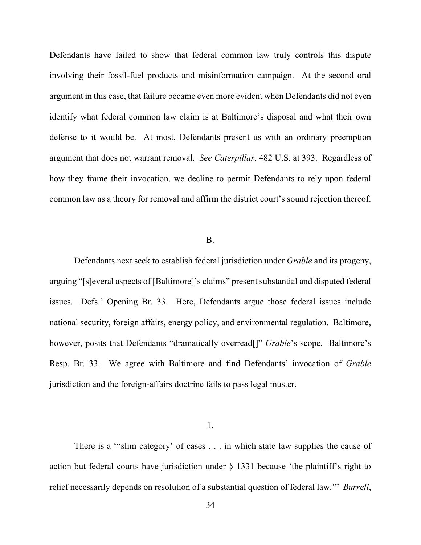Defendants have failed to show that federal common law truly controls this dispute involving their fossil-fuel products and misinformation campaign. At the second oral argument in this case, that failure became even more evident when Defendants did not even identify what federal common law claim is at Baltimore's disposal and what their own defense to it would be. At most, Defendants present us with an ordinary preemption argument that does not warrant removal. *See Caterpillar*, 482 U.S. at 393. Regardless of how they frame their invocation, we decline to permit Defendants to rely upon federal common law as a theory for removal and affirm the district court's sound rejection thereof.

## B.

Defendants next seek to establish federal jurisdiction under *Grable* and its progeny, arguing "[s]everal aspects of [Baltimore]'s claims" present substantial and disputed federal issues. Defs.' Opening Br. 33. Here, Defendants argue those federal issues include national security, foreign affairs, energy policy, and environmental regulation. Baltimore, however, posits that Defendants "dramatically overread<sup>[]"</sup> *Grable*'s scope. Baltimore's Resp. Br. 33. We agree with Baltimore and find Defendants' invocation of *Grable*  jurisdiction and the foreign-affairs doctrine fails to pass legal muster.

1.

There is a "'slim category' of cases . . . in which state law supplies the cause of action but federal courts have jurisdiction under § 1331 because 'the plaintiff's right to relief necessarily depends on resolution of a substantial question of federal law.'" *Burrell*,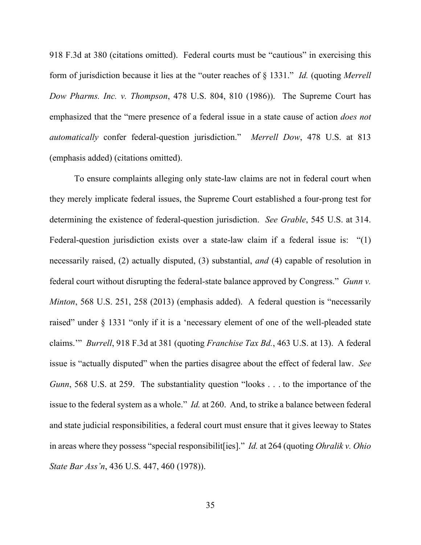918 F.3d at 380 (citations omitted). Federal courts must be "cautious" in exercising this form of jurisdiction because it lies at the "outer reaches of § 1331." *Id.* (quoting *Merrell Dow Pharms. Inc. v. Thompson*, 478 U.S. 804, 810 (1986)). The Supreme Court has emphasized that the "mere presence of a federal issue in a state cause of action *does not automatically* confer federal-question jurisdiction." *Merrell Dow*, 478 U.S. at 813 (emphasis added) (citations omitted).

To ensure complaints alleging only state-law claims are not in federal court when they merely implicate federal issues, the Supreme Court established a four-prong test for determining the existence of federal-question jurisdiction. *See Grable*, 545 U.S. at 314. Federal-question jurisdiction exists over a state-law claim if a federal issue is: "(1) necessarily raised, (2) actually disputed, (3) substantial, *and* (4) capable of resolution in federal court without disrupting the federal-state balance approved by Congress." *Gunn v. Minton*, 568 U.S. 251, 258 (2013) (emphasis added). A federal question is "necessarily raised" under § 1331 "only if it is a 'necessary element of one of the well-pleaded state claims.'" *Burrell*, 918 F.3d at 381 (quoting *Franchise Tax Bd.*, 463 U.S. at 13). A federal issue is "actually disputed" when the parties disagree about the effect of federal law. *See Gunn*, 568 U.S. at 259. The substantiality question "looks . . . to the importance of the issue to the federal system as a whole." *Id.* at 260. And, to strike a balance between federal and state judicial responsibilities, a federal court must ensure that it gives leeway to States in areas where they possess "special responsibilit[ies]." *Id.* at 264 (quoting *Ohralik v. Ohio State Bar Ass'n*, 436 U.S. 447, 460 (1978)).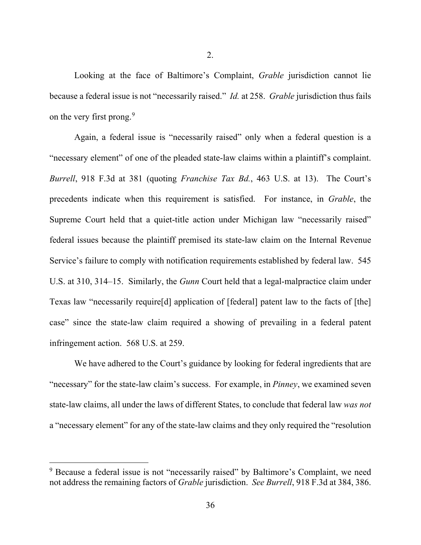Looking at the face of Baltimore's Complaint, *Grable* jurisdiction cannot lie because a federal issue is not "necessarily raised." *Id.* at 258. *Grable* jurisdiction thus fails on the very first prong.<sup>[9](#page-35-0)</sup>

Again, a federal issue is "necessarily raised" only when a federal question is a "necessary element" of one of the pleaded state-law claims within a plaintiff's complaint. *Burrell*, 918 F.3d at 381 (quoting *Franchise Tax Bd.*, 463 U.S. at 13). The Court's precedents indicate when this requirement is satisfied. For instance, in *Grable*, the Supreme Court held that a quiet-title action under Michigan law "necessarily raised" federal issues because the plaintiff premised its state-law claim on the Internal Revenue Service's failure to comply with notification requirements established by federal law. 545 U.S. at 310, 314–15. Similarly, the *Gunn* Court held that a legal-malpractice claim under Texas law "necessarily require[d] application of [federal] patent law to the facts of [the] case" since the state-law claim required a showing of prevailing in a federal patent infringement action. 568 U.S. at 259.

We have adhered to the Court's guidance by looking for federal ingredients that are "necessary" for the state-law claim's success. For example, in *Pinney*, we examined seven state-law claims, all under the laws of different States, to conclude that federal law *was not* a "necessary element" for any of the state-law claims and they only required the "resolution

<span id="page-35-0"></span><sup>&</sup>lt;sup>9</sup> Because a federal issue is not "necessarily raised" by Baltimore's Complaint, we need not address the remaining factors of *Grable* jurisdiction. *See Burrell*, 918 F.3d at 384, 386.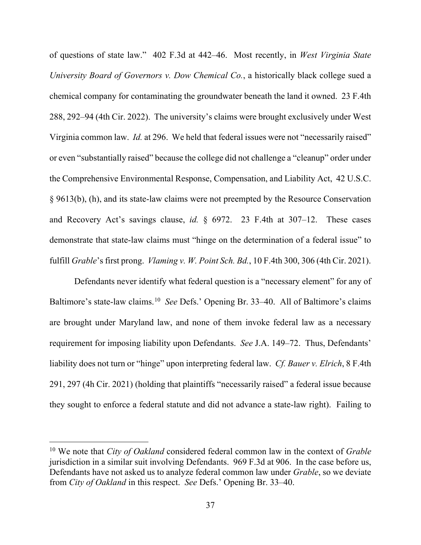of questions of state law." 402 F.3d at 442–46. Most recently, in *West Virginia State University Board of Governors v. Dow Chemical Co.*, a historically black college sued a chemical company for contaminating the groundwater beneath the land it owned. 23 F.4th 288, 292–94 (4th Cir. 2022). The university's claims were brought exclusively under West Virginia common law. *Id.* at 296. We held that federal issues were not "necessarily raised" or even "substantially raised" because the college did not challenge a "cleanup" order under the Comprehensive Environmental Response, Compensation, and Liability Act, 42 U.S.C. § 9613(b), (h), and its state-law claims were not preempted by the Resource Conservation and Recovery Act's savings clause, *id.* § 6972. 23 F.4th at 307–12. These cases demonstrate that state-law claims must "hinge on the determination of a federal issue" to fulfill *Grable*'s first prong. *Vlaming v. W. Point Sch. Bd.*, 10 F.4th 300, 306 (4th Cir. 2021).

Defendants never identify what federal question is a "necessary element" for any of Baltimore's state-law claims.[10](#page-36-0) *See* Defs.' Opening Br. 33–40. All of Baltimore's claims are brought under Maryland law, and none of them invoke federal law as a necessary requirement for imposing liability upon Defendants. *See* J.A. 149–72. Thus, Defendants' liability does not turn or "hinge" upon interpreting federal law. *Cf. Bauer v. Elrich*, 8 F.4th 291, 297 (4h Cir. 2021) (holding that plaintiffs "necessarily raised" a federal issue because they sought to enforce a federal statute and did not advance a state-law right). Failing to

<span id="page-36-0"></span><sup>10</sup> We note that *City of Oakland* considered federal common law in the context of *Grable*  jurisdiction in a similar suit involving Defendants. 969 F.3d at 906. In the case before us, Defendants have not asked us to analyze federal common law under *Grable*, so we deviate from *City of Oakland* in this respect. *See* Defs.' Opening Br. 33–40.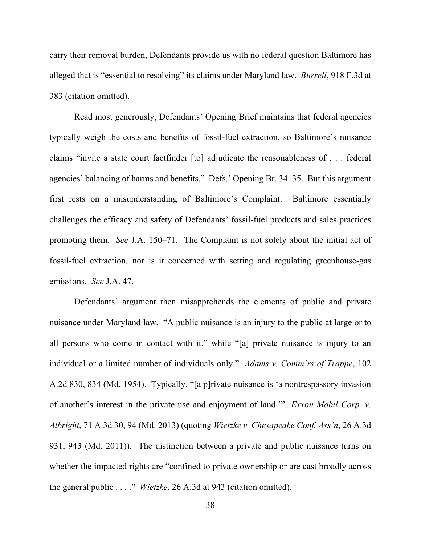carry their removal burden, Defendants provide us with no federal question Baltimore has alleged that is "essential to resolving" its claims under Maryland law. *Burrell*, 918 F.3d at 383 (citation omitted).

Read most generously, Defendants' Opening Brief maintains that federal agencies typically weigh the costs and benefits of fossil-fuel extraction, so Baltimore's nuisance claims "invite a state court factfinder [to] adjudicate the reasonableness of . . . federal agencies' balancing of harms and benefits." Defs.' Opening Br. 34–35. But this argument first rests on a misunderstanding of Baltimore's Complaint. Baltimore essentially challenges the efficacy and safety of Defendants' fossil-fuel products and sales practices promoting them. *See* J.A. 150–71. The Complaint is not solely about the initial act of fossil-fuel extraction, nor is it concerned with setting and regulating greenhouse-gas emissions. *See* J.A. 47.

Defendants' argument then misapprehends the elements of public and private nuisance under Maryland law. "A public nuisance is an injury to the public at large or to all persons who come in contact with it," while "[a] private nuisance is injury to an individual or a limited number of individuals only." *Adams v. Comm'rs of Trappe*, 102 A.2d 830, 834 (Md. 1954). Typically, "[a p]rivate nuisance is 'a nontrespassory invasion of another's interest in the private use and enjoyment of land.'" *Exxon Mobil Corp. v. Albright*, 71 A.3d 30, 94 (Md. 2013) (quoting *Wietzke v. Chesapeake Conf. Ass'n*, 26 A.3d 931, 943 (Md. 2011)). The distinction between a private and public nuisance turns on whether the impacted rights are "confined to private ownership or are cast broadly across the general public . . . ." *Wietzke*, 26 A.3d at 943 (citation omitted).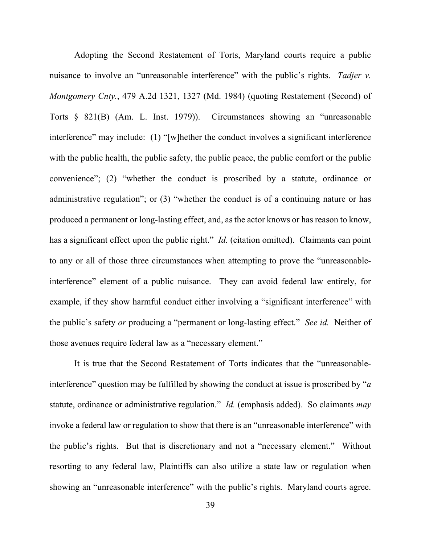Adopting the Second Restatement of Torts, Maryland courts require a public nuisance to involve an "unreasonable interference" with the public's rights. *Tadjer v. Montgomery Cnty.*, 479 A.2d 1321, 1327 (Md. 1984) (quoting Restatement (Second) of Torts § 821(B) (Am. L. Inst. 1979)). Circumstances showing an "unreasonable interference" may include: (1) "[w]hether the conduct involves a significant interference with the public health, the public safety, the public peace, the public comfort or the public convenience"; (2) "whether the conduct is proscribed by a statute, ordinance or administrative regulation"; or (3) "whether the conduct is of a continuing nature or has produced a permanent or long-lasting effect, and, as the actor knows or has reason to know, has a significant effect upon the public right." *Id.* (citation omitted). Claimants can point to any or all of those three circumstances when attempting to prove the "unreasonableinterference" element of a public nuisance. They can avoid federal law entirely, for example, if they show harmful conduct either involving a "significant interference" with the public's safety *or* producing a "permanent or long-lasting effect." *See id.* Neither of those avenues require federal law as a "necessary element."

It is true that the Second Restatement of Torts indicates that the "unreasonableinterference" question may be fulfilled by showing the conduct at issue is proscribed by "*a*  statute, ordinance or administrative regulation." *Id.* (emphasis added). So claimants *may*  invoke a federal law or regulation to show that there is an "unreasonable interference" with the public's rights. But that is discretionary and not a "necessary element." Without resorting to any federal law, Plaintiffs can also utilize a state law or regulation when showing an "unreasonable interference" with the public's rights. Maryland courts agree.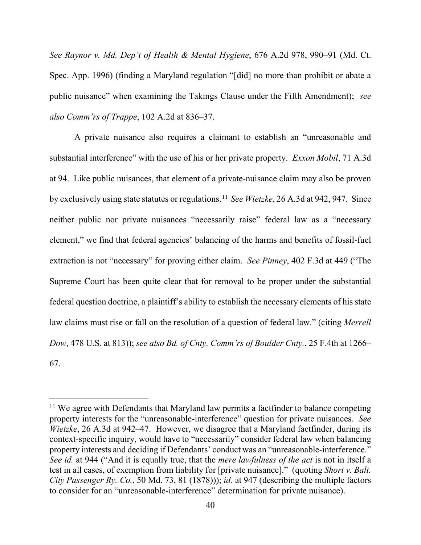*See Raynor v. Md. Dep't of Health & Mental Hygiene*, 676 A.2d 978, 990–91 (Md. Ct. Spec. App. 1996) (finding a Maryland regulation "[did] no more than prohibit or abate a public nuisance" when examining the Takings Clause under the Fifth Amendment); *see also Comm'rs of Trappe*, 102 A.2d at 836–37.

A private nuisance also requires a claimant to establish an "unreasonable and substantial interference" with the use of his or her private property. *Exxon Mobil*, 71 A.3d at 94. Like public nuisances, that element of a private-nuisance claim may also be proven by exclusively using state statutes or regulations. [11](#page-39-0) *See Wietzke*, 26 A.3d at 942, 947. Since neither public nor private nuisances "necessarily raise" federal law as a "necessary element," we find that federal agencies' balancing of the harms and benefits of fossil-fuel extraction is not "necessary" for proving either claim. *See Pinney*, 402 F.3d at 449 ("The Supreme Court has been quite clear that for removal to be proper under the substantial federal question doctrine, a plaintiff's ability to establish the necessary elements of his state law claims must rise or fall on the resolution of a question of federal law." (citing *Merrell Dow*, 478 U.S. at 813)); *see also Bd. of Cnty. Comm'rs of Boulder Cnty.*, 25 F.4th at 1266– 67.

<span id="page-39-0"></span> $11$  We agree with Defendants that Maryland law permits a factfinder to balance competing property interests for the "unreasonable-interference" question for private nuisances. *See Wietzke*, 26 A.3d at 942–47. However, we disagree that a Maryland factfinder, during its context-specific inquiry, would have to "necessarily" consider federal law when balancing property interests and deciding if Defendants' conduct was an "unreasonable-interference." *See id.* at 944 ("And it is equally true, that the *mere lawfulness of the act* is not in itself a test in all cases, of exemption from liability for [private nuisance]." (quoting *Short v. Balt. City Passenger Ry. Co.*, 50 Md. 73, 81 (1878))); *id.* at 947 (describing the multiple factors to consider for an "unreasonable-interference" determination for private nuisance).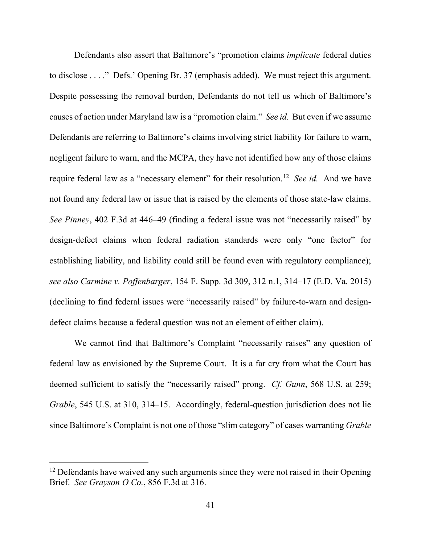Defendants also assert that Baltimore's "promotion claims *implicate* federal duties to disclose . . . ." Defs.' Opening Br. 37 (emphasis added). We must reject this argument. Despite possessing the removal burden, Defendants do not tell us which of Baltimore's causes of action under Maryland law is a "promotion claim." *See id.* But even if we assume Defendants are referring to Baltimore's claims involving strict liability for failure to warn, negligent failure to warn, and the MCPA, they have not identified how any of those claims require federal law as a "necessary element" for their resolution. [12](#page-40-0) *See id.* And we have not found any federal law or issue that is raised by the elements of those state-law claims. *See Pinney*, 402 F.3d at 446–49 (finding a federal issue was not "necessarily raised" by design-defect claims when federal radiation standards were only "one factor" for establishing liability, and liability could still be found even with regulatory compliance); *see also Carmine v. Poffenbarger*, 154 F. Supp. 3d 309, 312 n.1, 314–17 (E.D. Va. 2015) (declining to find federal issues were "necessarily raised" by failure-to-warn and designdefect claims because a federal question was not an element of either claim).

We cannot find that Baltimore's Complaint "necessarily raises" any question of federal law as envisioned by the Supreme Court. It is a far cry from what the Court has deemed sufficient to satisfy the "necessarily raised" prong. *Cf. Gunn*, 568 U.S. at 259; *Grable*, 545 U.S. at 310, 314–15. Accordingly, federal-question jurisdiction does not lie since Baltimore's Complaint is not one of those "slim category" of cases warranting *Grable*

<span id="page-40-0"></span> $12$  Defendants have waived any such arguments since they were not raised in their Opening Brief. *See Grayson O Co.*, 856 F.3d at 316.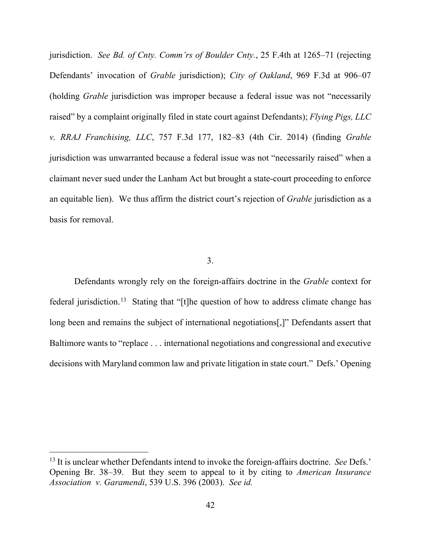jurisdiction. *See Bd. of Cnty. Comm'rs of Boulder Cnty.*, 25 F.4th at 1265–71 (rejecting Defendants' invocation of *Grable* jurisdiction); *City of Oakland*, 969 F.3d at 906–07 (holding *Grable* jurisdiction was improper because a federal issue was not "necessarily raised" by a complaint originally filed in state court against Defendants); *Flying Pigs, LLC v. RRAJ Franchising, LLC*, 757 F.3d 177, 182–83 (4th Cir. 2014) (finding *Grable*  jurisdiction was unwarranted because a federal issue was not "necessarily raised" when a claimant never sued under the Lanham Act but brought a state-court proceeding to enforce an equitable lien). We thus affirm the district court's rejection of *Grable* jurisdiction as a basis for removal.

# 3.

Defendants wrongly rely on the foreign-affairs doctrine in the *Grable* context for federal jurisdiction.<sup>13</sup> Stating that "[t]he question of how to address climate change has long been and remains the subject of international negotiations[,]" Defendants assert that Baltimore wants to "replace . . . international negotiations and congressional and executive decisions with Maryland common law and private litigation in state court." Defs.' Opening

<span id="page-41-0"></span><sup>13</sup> It is unclear whether Defendants intend to invoke the foreign-affairs doctrine. *See* Defs.' Opening Br. 38–39. But they seem to appeal to it by citing to *American Insurance Association v. Garamendi*, 539 U.S. 396 (2003). *See id.*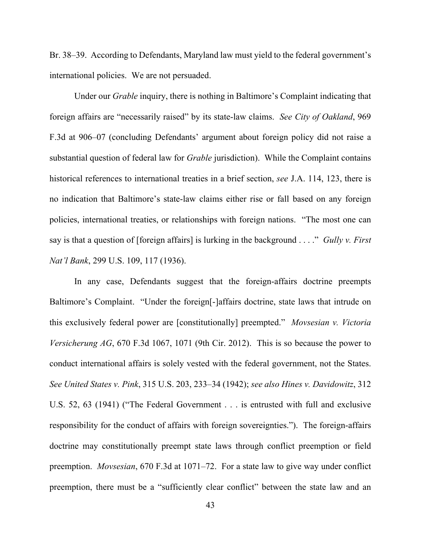Br. 38–39. According to Defendants, Maryland law must yield to the federal government's international policies. We are not persuaded.

Under our *Grable* inquiry, there is nothing in Baltimore's Complaint indicating that foreign affairs are "necessarily raised" by its state-law claims. *See City of Oakland*, 969 F.3d at 906–07 (concluding Defendants' argument about foreign policy did not raise a substantial question of federal law for *Grable* jurisdiction). While the Complaint contains historical references to international treaties in a brief section, *see* J.A. 114, 123, there is no indication that Baltimore's state-law claims either rise or fall based on any foreign policies, international treaties, or relationships with foreign nations. "The most one can say is that a question of [foreign affairs] is lurking in the background . . . ." *Gully v. First Nat'l Bank*, 299 U.S. 109, 117 (1936).

In any case, Defendants suggest that the foreign-affairs doctrine preempts Baltimore's Complaint. "Under the foreign[-]affairs doctrine, state laws that intrude on this exclusively federal power are [constitutionally] preempted." *Movsesian v. Victoria Versicherung AG*, 670 F.3d 1067, 1071 (9th Cir. 2012). This is so because the power to conduct international affairs is solely vested with the federal government, not the States. *See United States v. Pink*, 315 U.S. 203, 233–34 (1942); *see also Hines v. Davidowitz*, 312 U.S. 52, 63 (1941) ("The Federal Government . . . is entrusted with full and exclusive responsibility for the conduct of affairs with foreign sovereignties."). The foreign-affairs doctrine may constitutionally preempt state laws through conflict preemption or field preemption. *Movsesian*, 670 F.3d at 1071–72. For a state law to give way under conflict preemption, there must be a "sufficiently clear conflict" between the state law and an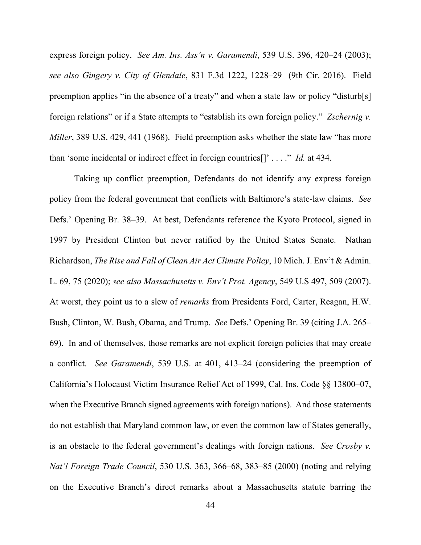express foreign policy. *See Am. Ins. Ass'n v. Garamendi*, 539 U.S. 396, 420–24 (2003); *see also Gingery v. City of Glendale*, 831 F.3d 1222, 1228–29 (9th Cir. 2016). Field preemption applies "in the absence of a treaty" and when a state law or policy "disturb[s] foreign relations" or if a State attempts to "establish its own foreign policy." *Zschernig v. Miller*, 389 U.S. 429, 441 (1968). Field preemption asks whether the state law "has more than 'some incidental or indirect effect in foreign countries[]' . . . ." *Id.* at 434.

Taking up conflict preemption, Defendants do not identify any express foreign policy from the federal government that conflicts with Baltimore's state-law claims. *See*  Defs.' Opening Br. 38–39. At best, Defendants reference the Kyoto Protocol, signed in 1997 by President Clinton but never ratified by the United States Senate. Nathan Richardson, *The Rise and Fall of Clean Air Act Climate Policy*, 10 Mich. J. Env't & Admin. L. 69, 75 (2020); *see also Massachusetts v. Env't Prot. Agency*, 549 U.S 497, 509 (2007). At worst, they point us to a slew of *remarks* from Presidents Ford, Carter, Reagan, H.W. Bush, Clinton, W. Bush, Obama, and Trump. *See* Defs.' Opening Br. 39 (citing J.A. 265– 69). In and of themselves, those remarks are not explicit foreign policies that may create a conflict. *See Garamendi*, 539 U.S. at 401, 413–24 (considering the preemption of California's Holocaust Victim Insurance Relief Act of 1999, Cal. Ins. Code §§ 13800–07, when the Executive Branch signed agreements with foreign nations).And those statements do not establish that Maryland common law, or even the common law of States generally, is an obstacle to the federal government's dealings with foreign nations. *See Crosby v. Nat'l Foreign Trade Council*, 530 U.S. 363, 366–68, 383–85 (2000) (noting and relying on the Executive Branch's direct remarks about a Massachusetts statute barring the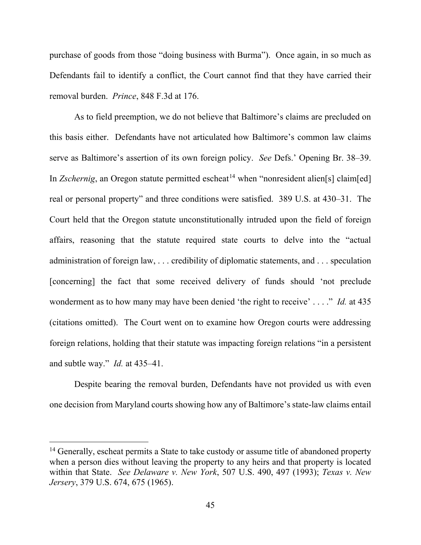purchase of goods from those "doing business with Burma"). Once again, in so much as Defendants fail to identify a conflict, the Court cannot find that they have carried their removal burden. *Prince*, 848 F.3d at 176.

As to field preemption, we do not believe that Baltimore's claims are precluded on this basis either. Defendants have not articulated how Baltimore's common law claims serve as Baltimore's assertion of its own foreign policy. *See* Defs.' Opening Br. 38–39. In *Zschernig*, an Oregon statute permitted escheat<sup>[14](#page-44-0)</sup> when "nonresident alien[s] claim[ed] real or personal property" and three conditions were satisfied. 389 U.S. at 430–31. The Court held that the Oregon statute unconstitutionally intruded upon the field of foreign affairs, reasoning that the statute required state courts to delve into the "actual administration of foreign law, . . . credibility of diplomatic statements, and . . . speculation [concerning] the fact that some received delivery of funds should 'not preclude wonderment as to how many may have been denied 'the right to receive' . . . ." *Id.* at 435 (citations omitted). The Court went on to examine how Oregon courts were addressing foreign relations, holding that their statute was impacting foreign relations "in a persistent and subtle way." *Id.* at 435–41.

Despite bearing the removal burden, Defendants have not provided us with even one decision from Maryland courts showing how any of Baltimore's state-law claims entail

<span id="page-44-0"></span><sup>&</sup>lt;sup>14</sup> Generally, escheat permits a State to take custody or assume title of abandoned property when a person dies without leaving the property to any heirs and that property is located within that State. *See Delaware v. New York*, 507 U.S. 490, 497 (1993); *Texas v. New Jersery*, 379 U.S. 674, 675 (1965).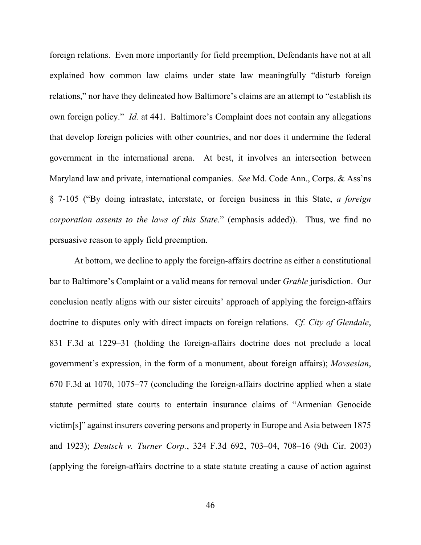foreign relations. Even more importantly for field preemption, Defendants have not at all explained how common law claims under state law meaningfully "disturb foreign relations," nor have they delineated how Baltimore's claims are an attempt to "establish its own foreign policy." *Id.* at 441. Baltimore's Complaint does not contain any allegations that develop foreign policies with other countries, and nor does it undermine the federal government in the international arena. At best, it involves an intersection between Maryland law and private, international companies. *See* Md. Code Ann., Corps. & Ass'ns § 7-105 ("By doing intrastate, interstate, or foreign business in this State, *a foreign corporation assents to the laws of this State*." (emphasis added)). Thus, we find no persuasive reason to apply field preemption.

At bottom, we decline to apply the foreign-affairs doctrine as either a constitutional bar to Baltimore's Complaint or a valid means for removal under *Grable* jurisdiction. Our conclusion neatly aligns with our sister circuits' approach of applying the foreign-affairs doctrine to disputes only with direct impacts on foreign relations. *Cf. City of Glendale*, 831 F.3d at 1229–31 (holding the foreign-affairs doctrine does not preclude a local government's expression, in the form of a monument, about foreign affairs); *Movsesian*, 670 F.3d at 1070, 1075–77 (concluding the foreign-affairs doctrine applied when a state statute permitted state courts to entertain insurance claims of "Armenian Genocide victim[s]" against insurers covering persons and property in Europe and Asia between 1875 and 1923); *Deutsch v. Turner Corp.*, 324 F.3d 692, 703–04, 708–16 (9th Cir. 2003) (applying the foreign-affairs doctrine to a state statute creating a cause of action against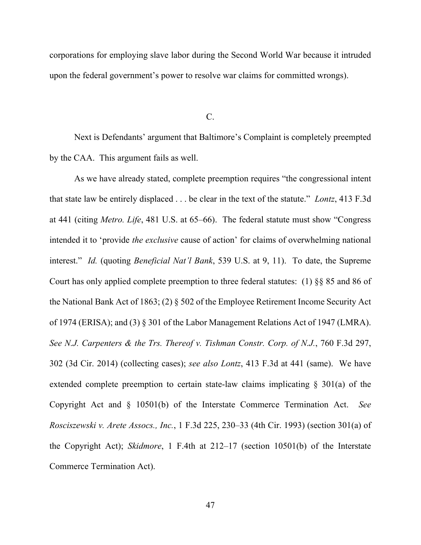corporations for employing slave labor during the Second World War because it intruded upon the federal government's power to resolve war claims for committed wrongs).

C.

Next is Defendants' argument that Baltimore's Complaint is completely preempted by the CAA. This argument fails as well.

As we have already stated, complete preemption requires "the congressional intent that state law be entirely displaced . . . be clear in the text of the statute." *Lontz*, 413 F.3d at 441 (citing *Metro. Life*, 481 U.S. at 65–66). The federal statute must show "Congress intended it to 'provide *the exclusive* cause of action' for claims of overwhelming national interest." *Id.* (quoting *Beneficial Nat'l Bank*, 539 U.S. at 9, 11). To date, the Supreme Court has only applied complete preemption to three federal statutes: (1) §§ 85 and 86 of the National Bank Act of 1863; (2) § 502 of the Employee Retirement Income Security Act of 1974 (ERISA); and (3) § 301 of the Labor Management Relations Act of 1947 (LMRA). *See N.J. Carpenters & the Trs. Thereof v. Tishman Constr. Corp. of N.J.*, 760 F.3d 297, 302 (3d Cir. 2014) (collecting cases); *see also Lontz*, 413 F.3d at 441 (same). We have extended complete preemption to certain state-law claims implicating § 301(a) of the Copyright Act and § 10501(b) of the Interstate Commerce Termination Act. *See Rosciszewski v. Arete Assocs., Inc.*, 1 F.3d 225, 230–33 (4th Cir. 1993) (section 301(a) of the Copyright Act); *Skidmore*, 1 F.4th at 212–17 (section 10501(b) of the Interstate Commerce Termination Act).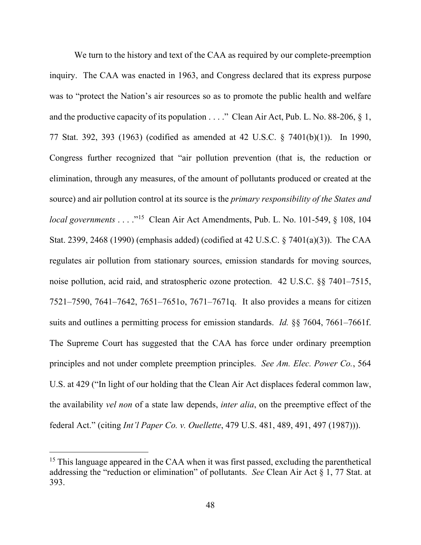We turn to the history and text of the CAA as required by our complete-preemption inquiry. The CAA was enacted in 1963, and Congress declared that its express purpose was to "protect the Nation's air resources so as to promote the public health and welfare and the productive capacity of its population  $\dots$  ." Clean Air Act, Pub. L. No. 88-206, § 1, 77 Stat. 392, 393 (1963) (codified as amended at 42 U.S.C. § 7401(b)(1)). In 1990, Congress further recognized that "air pollution prevention (that is, the reduction or elimination, through any measures, of the amount of pollutants produced or created at the source) and air pollution control at its source is the *primary responsibility of the States and local governments* . . . .<sup>"15</sup> Clean Air Act Amendments, Pub. L. No. 101-549, § 108, 104 Stat. 2399, 2468 (1990) (emphasis added) (codified at 42 U.S.C. § 7401(a)(3)). The CAA regulates air pollution from stationary sources, emission standards for moving sources, noise pollution, acid raid, and stratospheric ozone protection. 42 U.S.C. §§ 7401–7515, 7521–7590, 7641–7642, 7651–7651o, 7671–7671q. It also provides a means for citizen suits and outlines a permitting process for emission standards. *Id.* §§ 7604, 7661–7661f. The Supreme Court has suggested that the CAA has force under ordinary preemption principles and not under complete preemption principles. *See Am. Elec. Power Co.*, 564 U.S. at 429 ("In light of our holding that the Clean Air Act displaces federal common law, the availability *vel non* of a state law depends, *inter alia*, on the preemptive effect of the federal Act." (citing *Int'l Paper Co. v. Ouellette*, 479 U.S. 481, 489, 491, 497 (1987))).

<span id="page-47-0"></span><sup>&</sup>lt;sup>15</sup> This language appeared in the CAA when it was first passed, excluding the parenthetical addressing the "reduction or elimination" of pollutants. *See* Clean Air Act § 1, 77 Stat. at 393.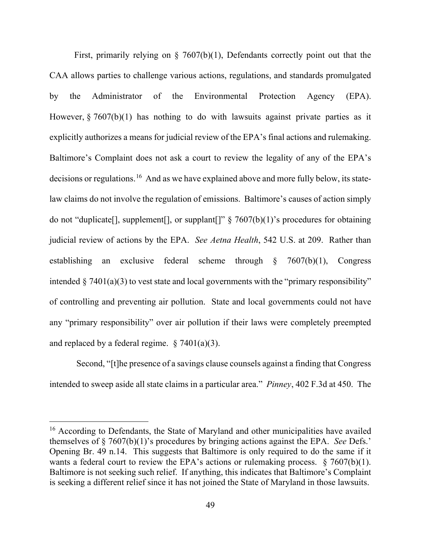First, primarily relying on  $\S$  7607(b)(1), Defendants correctly point out that the CAA allows parties to challenge various actions, regulations, and standards promulgated by the Administrator of the Environmental Protection Agency (EPA). However,  $\S 7607(b)(1)$  has nothing to do with lawsuits against private parties as it explicitly authorizes a means for judicial review of the EPA's final actions and rulemaking. Baltimore's Complaint does not ask a court to review the legality of any of the EPA's decisions or regulations.<sup>16</sup> And as we have explained above and more fully below, its statelaw claims do not involve the regulation of emissions. Baltimore's causes of action simply do not "duplicate", supplement, or supplant  $\mathbb{R}^3$   $\{7607(b)(1)$ " sprocedures for obtaining judicial review of actions by the EPA. *See Aetna Health*, 542 U.S. at 209. Rather than establishing an exclusive federal scheme through § 7607(b)(1), Congress intended  $\S$  7401(a)(3) to vest state and local governments with the "primary responsibility" of controlling and preventing air pollution. State and local governments could not have any "primary responsibility" over air pollution if their laws were completely preempted and replaced by a federal regime.  $\S 7401(a)(3)$ .

Second, "[t]he presence of a savings clause counsels against a finding that Congress intended to sweep aside all state claims in a particular area." *Pinney*, 402 F.3d at 450.The

<span id="page-48-0"></span><sup>&</sup>lt;sup>16</sup> According to Defendants, the State of Maryland and other municipalities have availed themselves of § 7607(b)(1)'s procedures by bringing actions against the EPA. *See* Defs.' Opening Br. 49 n.14. This suggests that Baltimore is only required to do the same if it wants a federal court to review the EPA's actions or rulemaking process.  $\S 7607(b)(1)$ . Baltimore is not seeking such relief. If anything, this indicates that Baltimore's Complaint is seeking a different relief since it has not joined the State of Maryland in those lawsuits.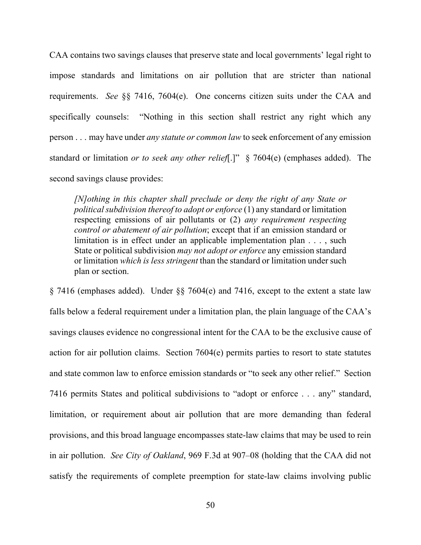CAA contains two savings clauses that preserve state and local governments' legal right to impose standards and limitations on air pollution that are stricter than national requirements. *See* §§ 7416, 7604(e). One concerns citizen suits under the CAA and specifically counsels: "Nothing in this section shall restrict any right which any person . . . may have under *any statute or common law* to seek enforcement of any emission standard or limitation *or to seek any other relief*[.]" § 7604(e) (emphases added). The second savings clause provides:

*[N]othing in this chapter shall preclude or deny the right of any State or political subdivision thereof to adopt or enforce* (1) any standard or limitation respecting emissions of air pollutants or (2) *any requirement respecting control or abatement of air pollution*; except that if an emission standard or limitation is in effect under an applicable implementation plan . . . , such State or political subdivision *may not adopt or enforce* any emission standard or limitation *which is less stringent* than the standard or limitation under such plan or section.

§ 7416 (emphases added). Under §§ 7604(e) and 7416, except to the extent a state law falls below a federal requirement under a limitation plan, the plain language of the CAA's savings clauses evidence no congressional intent for the CAA to be the exclusive cause of action for air pollution claims. Section 7604(e) permits parties to resort to state statutes and state common law to enforce emission standards or "to seek any other relief." Section 7416 permits States and political subdivisions to "adopt or enforce . . . any" standard, limitation, or requirement about air pollution that are more demanding than federal provisions, and this broad language encompasses state-law claims that may be used to rein in air pollution. *See City of Oakland*, 969 F.3d at 907–08 (holding that the CAA did not satisfy the requirements of complete preemption for state-law claims involving public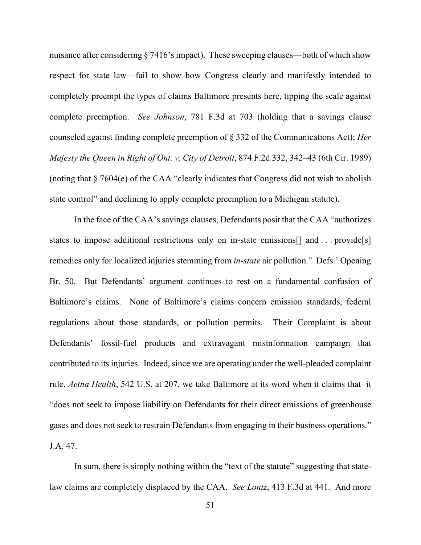nuisance after considering § 7416's impact). These sweeping clauses—both of which show respect for state law—fail to show how Congress clearly and manifestly intended to completely preempt the types of claims Baltimore presents here, tipping the scale against complete preemption. *See Johnson*, 781 F.3d at 703 (holding that a savings clause counseled against finding complete preemption of § 332 of the Communications Act); *Her Majesty the Queen in Right of Ont. v. City of Detroit*, 874 F.2d 332, 342–43 (6th Cir. 1989) (noting that § 7604(e) of the CAA "clearly indicates that Congress did not wish to abolish state control" and declining to apply complete preemption to a Michigan statute).

In the face of the CAA's savings clauses, Defendants posit that the CAA "authorizes states to impose additional restrictions only on in-state emissions<sup>[]</sup> and . . . provide<sup>[s]</sup> remedies only for localized injuries stemming from *in-state* air pollution." Defs.' Opening Br. 50. But Defendants' argument continues to rest on a fundamental confusion of Baltimore's claims. None of Baltimore's claims concern emission standards, federal regulations about those standards, or pollution permits. Their Complaint is about Defendants' fossil-fuel products and extravagant misinformation campaign that contributed to its injuries. Indeed, since we are operating under the well-pleaded complaint rule, *Aetna Health*, 542 U.S. at 207, we take Baltimore at its word when it claims that it "does not seek to impose liability on Defendants for their direct emissions of greenhouse gases and does not seek to restrain Defendants from engaging in their business operations." J.A. 47.

In sum, there is simply nothing within the "text of the statute" suggesting that statelaw claims are completely displaced by the CAA. *See Lontz*, 413 F.3d at 441. And more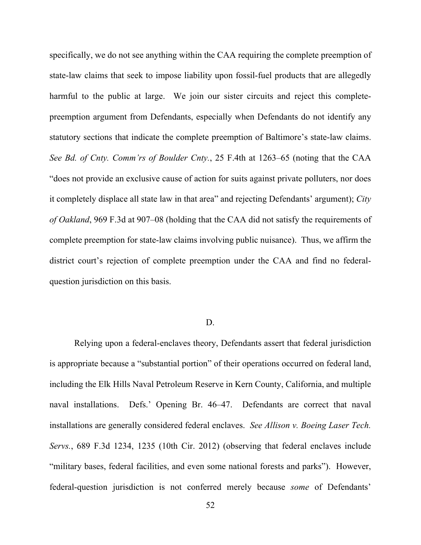specifically, we do not see anything within the CAA requiring the complete preemption of state-law claims that seek to impose liability upon fossil-fuel products that are allegedly harmful to the public at large. We join our sister circuits and reject this completepreemption argument from Defendants, especially when Defendants do not identify any statutory sections that indicate the complete preemption of Baltimore's state-law claims. *See Bd. of Cnty. Comm'rs of Boulder Cnty.*, 25 F.4th at 1263–65 (noting that the CAA "does not provide an exclusive cause of action for suits against private polluters, nor does it completely displace all state law in that area" and rejecting Defendants' argument); *City of Oakland*, 969 F.3d at 907–08 (holding that the CAA did not satisfy the requirements of complete preemption for state-law claims involving public nuisance). Thus, we affirm the district court's rejection of complete preemption under the CAA and find no federalquestion jurisdiction on this basis.

# D.

Relying upon a federal-enclaves theory, Defendants assert that federal jurisdiction is appropriate because a "substantial portion" of their operations occurred on federal land, including the Elk Hills Naval Petroleum Reserve in Kern County, California, and multiple naval installations. Defs.' Opening Br. 46–47. Defendants are correct that naval installations are generally considered federal enclaves. *See Allison v. Boeing Laser Tech. Servs.*, 689 F.3d 1234, 1235 (10th Cir. 2012) (observing that federal enclaves include "military bases, federal facilities, and even some national forests and parks"). However, federal-question jurisdiction is not conferred merely because *some* of Defendants'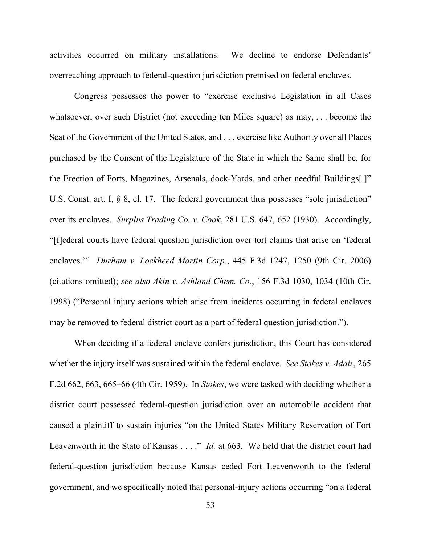activities occurred on military installations. We decline to endorse Defendants' overreaching approach to federal-question jurisdiction premised on federal enclaves.

Congress possesses the power to "exercise exclusive Legislation in all Cases whatsoever, over such District (not exceeding ten Miles square) as may, . . . become the Seat of the Government of the United States, and . . . exercise like Authority over all Places purchased by the Consent of the Legislature of the State in which the Same shall be, for the Erection of Forts, Magazines, Arsenals, dock-Yards, and other needful Buildings[.]" U.S. Const. art. I, § 8, cl. 17. The federal government thus possesses "sole jurisdiction" over its enclaves. *Surplus Trading Co. v. Cook*, 281 U.S. 647, 652 (1930). Accordingly, "[f]ederal courts have federal question jurisdiction over tort claims that arise on 'federal enclaves.'" *Durham v. Lockheed Martin Corp.*, 445 F.3d 1247, 1250 (9th Cir. 2006) (citations omitted); *see also Akin v. Ashland Chem. Co.*, 156 F.3d 1030, 1034 (10th Cir. 1998) ("Personal injury actions which arise from incidents occurring in federal enclaves may be removed to federal district court as a part of federal question jurisdiction.").

When deciding if a federal enclave confers jurisdiction, this Court has considered whether the injury itself was sustained within the federal enclave. *See Stokes v. Adair*, 265 F.2d 662, 663, 665–66 (4th Cir. 1959). In *Stokes*, we were tasked with deciding whether a district court possessed federal-question jurisdiction over an automobile accident that caused a plaintiff to sustain injuries "on the United States Military Reservation of Fort Leavenworth in the State of Kansas . . . ." *Id.* at 663. We held that the district court had federal-question jurisdiction because Kansas ceded Fort Leavenworth to the federal government, and we specifically noted that personal-injury actions occurring "on a federal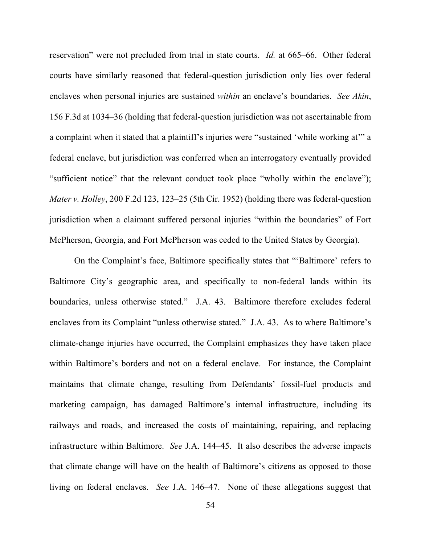reservation" were not precluded from trial in state courts. *Id.* at 665–66. Other federal courts have similarly reasoned that federal-question jurisdiction only lies over federal enclaves when personal injuries are sustained *within* an enclave's boundaries. *See Akin*, 156 F.3d at 1034–36 (holding that federal-question jurisdiction was not ascertainable from a complaint when it stated that a plaintiff's injuries were "sustained 'while working at'" a federal enclave, but jurisdiction was conferred when an interrogatory eventually provided "sufficient notice" that the relevant conduct took place "wholly within the enclave"); *Mater v. Holley*, 200 F.2d 123, 123–25 (5th Cir. 1952) (holding there was federal-question jurisdiction when a claimant suffered personal injuries "within the boundaries" of Fort McPherson, Georgia, and Fort McPherson was ceded to the United States by Georgia).

On the Complaint's face, Baltimore specifically states that "'Baltimore' refers to Baltimore City's geographic area, and specifically to non-federal lands within its boundaries, unless otherwise stated." J.A. 43. Baltimore therefore excludes federal enclaves from its Complaint "unless otherwise stated." J.A. 43. As to where Baltimore's climate-change injuries have occurred, the Complaint emphasizes they have taken place within Baltimore's borders and not on a federal enclave. For instance, the Complaint maintains that climate change, resulting from Defendants' fossil-fuel products and marketing campaign, has damaged Baltimore's internal infrastructure, including its railways and roads, and increased the costs of maintaining, repairing, and replacing infrastructure within Baltimore. *See* J.A. 144–45. It also describes the adverse impacts that climate change will have on the health of Baltimore's citizens as opposed to those living on federal enclaves. *See* J.A. 146–47. None of these allegations suggest that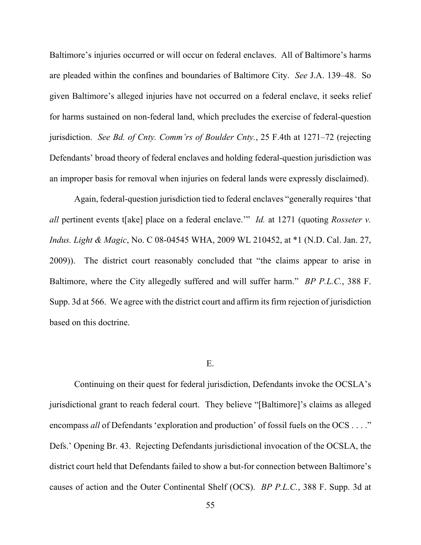Baltimore's injuries occurred or will occur on federal enclaves. All of Baltimore's harms are pleaded within the confines and boundaries of Baltimore City. *See* J.A. 139–48. So given Baltimore's alleged injuries have not occurred on a federal enclave, it seeks relief for harms sustained on non-federal land, which precludes the exercise of federal-question jurisdiction. *See Bd. of Cnty. Comm'rs of Boulder Cnty.*, 25 F.4th at 1271–72 (rejecting Defendants' broad theory of federal enclaves and holding federal-question jurisdiction was an improper basis for removal when injuries on federal lands were expressly disclaimed).

Again, federal-question jurisdiction tied to federal enclaves "generally requires 'that *all* pertinent events t[ake] place on a federal enclave.'" *Id.* at 1271 (quoting *Rosseter v. Indus. Light & Magic*, No. C 08-04545 WHA, 2009 WL 210452, at \*1 (N.D. Cal. Jan. 27, 2009)). The district court reasonably concluded that "the claims appear to arise in Baltimore, where the City allegedly suffered and will suffer harm." *BP P.L.C.*, 388 F. Supp. 3d at 566. We agree with the district court and affirm its firm rejection of jurisdiction based on this doctrine.

#### E.

Continuing on their quest for federal jurisdiction, Defendants invoke the OCSLA's jurisdictional grant to reach federal court. They believe "[Baltimore]'s claims as alleged encompass *all* of Defendants 'exploration and production' of fossil fuels on the OCS . . . ." Defs.' Opening Br. 43. Rejecting Defendants jurisdictional invocation of the OCSLA, the district court held that Defendants failed to show a but-for connection between Baltimore's causes of action and the Outer Continental Shelf (OCS). *BP P.L.C.*, 388 F. Supp. 3d at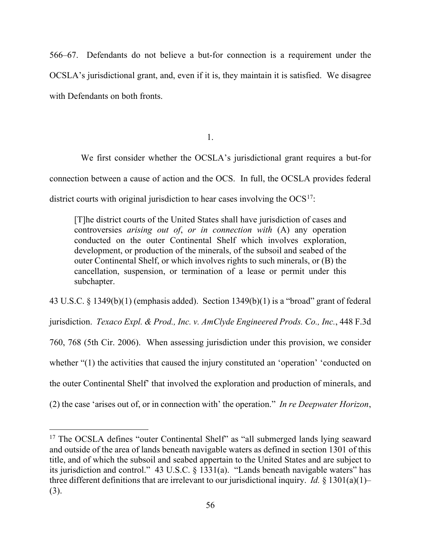566–67. Defendants do not believe a but-for connection is a requirement under the OCSLA's jurisdictional grant, and, even if it is, they maintain it is satisfied. We disagree with Defendants on both fronts.

1.

 We first consider whether the OCSLA's jurisdictional grant requires a but-for connection between a cause of action and the OCS. In full, the OCSLA provides federal district courts with original jurisdiction to hear cases involving the  $OCS<sup>17</sup>$  $OCS<sup>17</sup>$  $OCS<sup>17</sup>$ :

[T]he district courts of the United States shall have jurisdiction of cases and controversies *arising out of*, *or in connection with* (A) any operation conducted on the outer Continental Shelf which involves exploration, development, or production of the minerals, of the subsoil and seabed of the outer Continental Shelf, or which involves rights to such minerals, or (B) the cancellation, suspension, or termination of a lease or permit under this subchapter.

43 U.S.C. § 1349(b)(1) (emphasis added). Section 1349(b)(1) is a "broad" grant of federal jurisdiction. *Texaco Expl. & Prod., Inc. v. AmClyde Engineered Prods. Co., Inc.*, 448 F.3d 760, 768 (5th Cir. 2006).When assessing jurisdiction under this provision, we consider whether "(1) the activities that caused the injury constituted an 'operation' 'conducted on the outer Continental Shelf' that involved the exploration and production of minerals, and (2) the case 'arises out of, or in connection with' the operation." *In re Deepwater Horizon*,

<span id="page-55-0"></span><sup>&</sup>lt;sup>17</sup> The OCSLA defines "outer Continental Shelf" as "all submerged lands lying seaward and outside of the area of lands beneath navigable waters as defined in section 1301 of this title, and of which the subsoil and seabed appertain to the United States and are subject to its jurisdiction and control." 43 U.S.C. § 1331(a). "Lands beneath navigable waters" has three different definitions that are irrelevant to our jurisdictional inquiry. *Id.*  $\S$  1301(a)(1)– (3).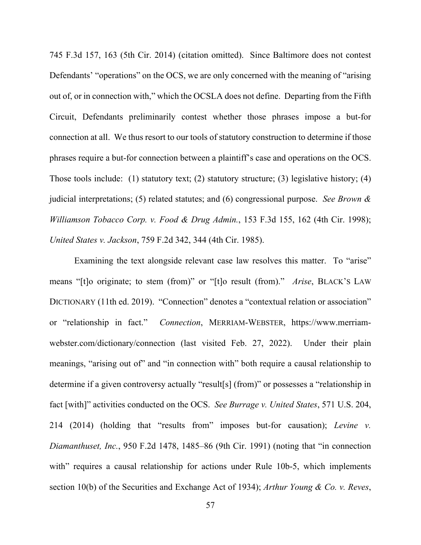745 F.3d 157, 163 (5th Cir. 2014) (citation omitted). Since Baltimore does not contest Defendants' "operations" on the OCS, we are only concerned with the meaning of "arising" out of, or in connection with," which the OCSLA does not define. Departing from the Fifth Circuit, Defendants preliminarily contest whether those phrases impose a but-for connection at all. We thus resort to our tools of statutory construction to determine if those phrases require a but-for connection between a plaintiff's case and operations on the OCS. Those tools include: (1) statutory text; (2) statutory structure; (3) legislative history; (4) judicial interpretations; (5) related statutes; and (6) congressional purpose. *See Brown & Williamson Tobacco Corp. v. Food & Drug Admin.*, 153 F.3d 155, 162 (4th Cir. 1998); *United States v. Jackson*, 759 F.2d 342, 344 (4th Cir. 1985).

Examining the text alongside relevant case law resolves this matter. To "arise" means "[t]o originate; to stem (from)" or "[t]o result (from)." *Arise*, BLACK'S LAW DICTIONARY (11th ed. 2019)."Connection" denotes a "contextual relation or association" or "relationship in fact." *Connection*, MERRIAM-WEBSTER, https://www.merriamwebster.com/dictionary/connection (last visited Feb. 27, 2022). Under their plain meanings, "arising out of" and "in connection with" both require a causal relationship to determine if a given controversy actually "result[s] (from)" or possesses a "relationship in fact [with]" activities conducted on the OCS. *See Burrage v. United States*, 571 U.S. 204, 214 (2014) (holding that "results from" imposes but-for causation); *Levine v. Diamanthuset, Inc.*, 950 F.2d 1478, 1485–86 (9th Cir. 1991) (noting that "in connection with" requires a causal relationship for actions under Rule 10b-5, which implements section 10(b) of the Securities and Exchange Act of 1934); *Arthur Young & Co. v. Reves*,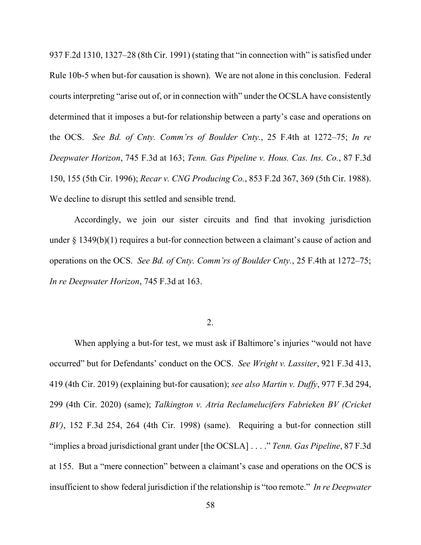937 F.2d 1310, 1327–28 (8th Cir. 1991) (stating that "in connection with" is satisfied under Rule 10b-5 when but-for causation is shown). We are not alone in this conclusion. Federal courts interpreting "arise out of, or in connection with" under the OCSLA have consistently determined that it imposes a but-for relationship between a party's case and operations on the OCS. *See Bd. of Cnty. Comm'rs of Boulder Cnty.*, 25 F.4th at 1272–75; *In re Deepwater Horizon*, 745 F.3d at 163; *Tenn. Gas Pipeline v. Hous. Cas. Ins. Co.*, 87 F.3d 150, 155 (5th Cir. 1996); *Recar v. CNG Producing Co.*, 853 F.2d 367, 369 (5th Cir. 1988). We decline to disrupt this settled and sensible trend.

Accordingly, we join our sister circuits and find that invoking jurisdiction under § 1349(b)(1) requires a but-for connection between a claimant's cause of action and operations on the OCS. *See Bd. of Cnty. Comm'rs of Boulder Cnty.*, 25 F.4th at 1272–75; *In re Deepwater Horizon*, 745 F.3d at 163.

2.

When applying a but-for test, we must ask if Baltimore's injuries "would not have occurred" but for Defendants' conduct on the OCS. *See Wright v. Lassiter*, 921 F.3d 413, 419 (4th Cir. 2019) (explaining but-for causation); *see also Martin v. Duffy*, 977 F.3d 294, 299 (4th Cir. 2020) (same); *Talkington v. Atria Reclamelucifers Fabrieken BV (Cricket BV)*, 152 F.3d 254, 264 (4th Cir. 1998) (same). Requiring a but-for connection still "implies a broad jurisdictional grant under [the OCSLA] . . . ." *Tenn. Gas Pipeline*, 87 F.3d at 155. But a "mere connection" between a claimant's case and operations on the OCS is insufficient to show federal jurisdiction if the relationship is "too remote." *In re Deepwater*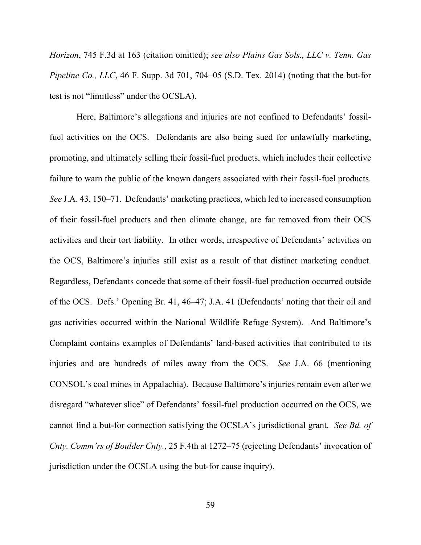*Horizon*, 745 F.3d at 163 (citation omitted); *see also Plains Gas Sols., LLC v. Tenn. Gas Pipeline Co., LLC*, 46 F. Supp. 3d 701, 704–05 (S.D. Tex. 2014) (noting that the but-for test is not "limitless" under the OCSLA).

Here, Baltimore's allegations and injuries are not confined to Defendants' fossilfuel activities on the OCS. Defendants are also being sued for unlawfully marketing, promoting, and ultimately selling their fossil-fuel products, which includes their collective failure to warn the public of the known dangers associated with their fossil-fuel products. *See* J.A. 43, 150–71. Defendants' marketing practices, which led to increased consumption of their fossil-fuel products and then climate change, are far removed from their OCS activities and their tort liability. In other words, irrespective of Defendants' activities on the OCS, Baltimore's injuries still exist as a result of that distinct marketing conduct. Regardless, Defendants concede that some of their fossil-fuel production occurred outside of the OCS. Defs.' Opening Br. 41, 46–47; J.A. 41 (Defendants' noting that their oil and gas activities occurred within the National Wildlife Refuge System). And Baltimore's Complaint contains examples of Defendants' land-based activities that contributed to its injuries and are hundreds of miles away from the OCS. *See* J.A. 66 (mentioning CONSOL's coal mines in Appalachia). Because Baltimore's injuries remain even after we disregard "whatever slice" of Defendants' fossil-fuel production occurred on the OCS, we cannot find a but-for connection satisfying the OCSLA's jurisdictional grant. *See Bd. of Cnty. Comm'rs of Boulder Cnty.*, 25 F.4th at 1272–75 (rejecting Defendants' invocation of jurisdiction under the OCSLA using the but-for cause inquiry).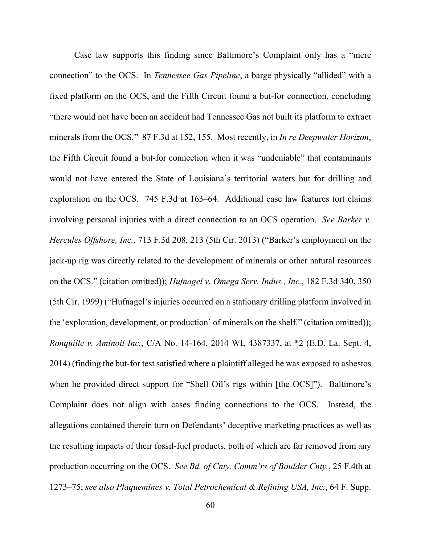Case law supports this finding since Baltimore's Complaint only has a "mere connection" to the OCS. In *Tennessee Gas Pipeline*, a barge physically "allided" with a fixed platform on the OCS, and the Fifth Circuit found a but-for connection, concluding "there would not have been an accident had Tennessee Gas not built its platform to extract minerals from the OCS*.*" 87 F.3d at 152, 155. Most recently, in *In re Deepwater Horizon*, the Fifth Circuit found a but-for connection when it was "undeniable" that contaminants would not have entered the State of Louisiana's territorial waters but for drilling and exploration on the OCS. 745 F.3d at 163–64. Additional case law features tort claims involving personal injuries with a direct connection to an OCS operation. *See Barker v. Hercules Offshore, Inc.*, 713 F.3d 208, 213 (5th Cir. 2013) ("Barker's employment on the jack-up rig was directly related to the development of minerals or other natural resources on the OCS." (citation omitted)); *Hufnagel v. Omega Serv. Indus., Inc.*, 182 F.3d 340, 350 (5th Cir. 1999) ("Hufnagel's injuries occurred on a stationary drilling platform involved in the 'exploration, development, or production' of minerals on the shelf." (citation omitted)); *Ronquille v. Aminoil Inc.*, C/A No. 14-164, 2014 WL 4387337, at \*2 (E.D. La. Sept. 4, 2014) (finding the but-for test satisfied where a plaintiff alleged he was exposed to asbestos when he provided direct support for "Shell Oil's rigs within [the OCS]"). Baltimore's Complaint does not align with cases finding connections to the OCS. Instead, the allegations contained therein turn on Defendants' deceptive marketing practices as well as the resulting impacts of their fossil-fuel products, both of which are far removed from any production occurring on the OCS. *See Bd. of Cnty. Comm'rs of Boulder Cnty.*, 25 F.4th at 1273–75; *see also Plaquemines v. Total Petrochemical & Refining USA, Inc.*, 64 F. Supp.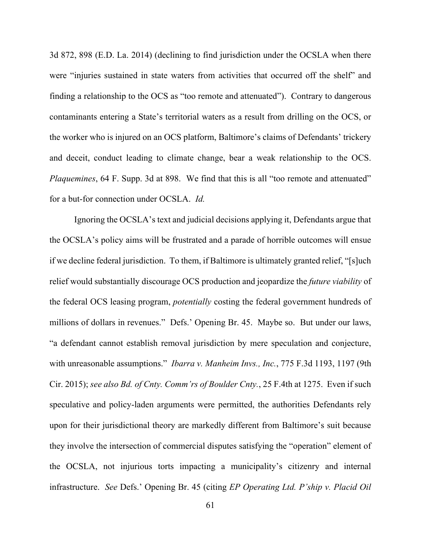3d 872, 898 (E.D. La. 2014) (declining to find jurisdiction under the OCSLA when there were "injuries sustained in state waters from activities that occurred off the shelf" and finding a relationship to the OCS as "too remote and attenuated"). Contrary to dangerous contaminants entering a State's territorial waters as a result from drilling on the OCS, or the worker who is injured on an OCS platform, Baltimore's claims of Defendants' trickery and deceit, conduct leading to climate change, bear a weak relationship to the OCS. *Plaquemines*, 64 F. Supp. 3d at 898. We find that this is all "too remote and attenuated" for a but-for connection under OCSLA. *Id.*

Ignoring the OCSLA's text and judicial decisions applying it, Defendants argue that the OCSLA's policy aims will be frustrated and a parade of horrible outcomes will ensue if we decline federal jurisdiction. To them, if Baltimore is ultimately granted relief, "[s]uch relief would substantially discourage OCS production and jeopardize the *future viability* of the federal OCS leasing program, *potentially* costing the federal government hundreds of millions of dollars in revenues." Defs.' Opening Br. 45. Maybe so. But under our laws, "a defendant cannot establish removal jurisdiction by mere speculation and conjecture, with unreasonable assumptions." *Ibarra v. Manheim Invs., Inc.*, 775 F.3d 1193, 1197 (9th Cir. 2015); *see also Bd. of Cnty. Comm'rs of Boulder Cnty.*, 25 F.4th at 1275. Even if such speculative and policy-laden arguments were permitted, the authorities Defendants rely upon for their jurisdictional theory are markedly different from Baltimore's suit because they involve the intersection of commercial disputes satisfying the "operation" element of the OCSLA, not injurious torts impacting a municipality's citizenry and internal infrastructure. *See* Defs.' Opening Br. 45 (citing *EP Operating Ltd. P'ship v. Placid Oil*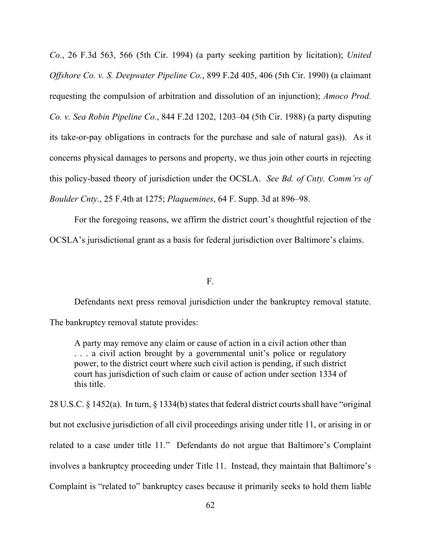*Co.*, 26 F.3d 563, 566 (5th Cir. 1994) (a party seeking partition by licitation); *United Offshore Co. v. S. Deepwater Pipeline Co.*, 899 F.2d 405, 406 (5th Cir. 1990) (a claimant requesting the compulsion of arbitration and dissolution of an injunction); *Amoco Prod. Co. v. Sea Robin Pipeline Co.*, 844 F.2d 1202, 1203–04 (5th Cir. 1988) (a party disputing its take-or-pay obligations in contracts for the purchase and sale of natural gas)). As it concerns physical damages to persons and property, we thus join other courts in rejecting this policy-based theory of jurisdiction under the OCSLA. *See Bd. of Cnty. Comm'rs of Boulder Cnty.*, 25 F.4th at 1275; *Plaquemines*, 64 F. Supp. 3d at 896–98.

For the foregoing reasons, we affirm the district court's thoughtful rejection of the OCSLA's jurisdictional grant as a basis for federal jurisdiction over Baltimore's claims.

F.

Defendants next press removal jurisdiction under the bankruptcy removal statute.

The bankruptcy removal statute provides:

A party may remove any claim or cause of action in a civil action other than . . . a civil action brought by a governmental unit's police or regulatory power, to the district court where such civil action is pending, if such district court has jurisdiction of such claim or cause of action under section 1334 of this title.

28 U.S.C. § 1452(a).In turn, § 1334(b) states that federal district courts shall have "original but not exclusive jurisdiction of all civil proceedings arising under title 11, or arising in or related to a case under title 11." Defendants do not argue that Baltimore's Complaint involves a bankruptcy proceeding under Title 11. Instead, they maintain that Baltimore's Complaint is "related to" bankruptcy cases because it primarily seeks to hold them liable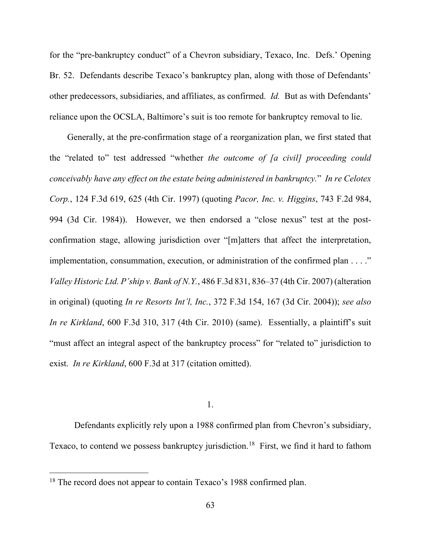for the "pre-bankruptcy conduct" of a Chevron subsidiary, Texaco, Inc. Defs.' Opening Br. 52. Defendants describe Texaco's bankruptcy plan, along with those of Defendants' other predecessors, subsidiaries, and affiliates, as confirmed. *Id.* But as with Defendants' reliance upon the OCSLA, Baltimore's suit is too remote for bankruptcy removal to lie.

 Generally, at the pre-confirmation stage of a reorganization plan, we first stated that the "related to" test addressed "whether *the outcome of [a civil] proceeding could conceivably have any effect on the estate being administered in bankruptcy.*" *In re Celotex Corp.*, 124 F.3d 619, 625 (4th Cir. 1997) (quoting *Pacor, Inc. v. Higgins*, 743 F.2d 984, 994 (3d Cir. 1984)). However, we then endorsed a "close nexus" test at the postconfirmation stage, allowing jurisdiction over "[m]atters that affect the interpretation, implementation, consummation, execution, or administration of the confirmed plan . . . ." *Valley Historic Ltd. P'ship v. Bank of N.Y.*, 486 F.3d 831, 836–37 (4th Cir. 2007) (alteration in original) (quoting *In re Resorts Int'l, Inc.*, 372 F.3d 154, 167 (3d Cir. 2004)); *see also In re Kirkland*, 600 F.3d 310, 317 (4th Cir. 2010) (same). Essentially, a plaintiff's suit "must affect an integral aspect of the bankruptcy process" for "related to" jurisdiction to exist. *In re Kirkland*, 600 F.3d at 317 (citation omitted).

1.

Defendants explicitly rely upon a 1988 confirmed plan from Chevron's subsidiary, Texaco, to contend we possess bankruptcy jurisdiction.<sup>18</sup> First, we find it hard to fathom

<span id="page-62-0"></span><sup>&</sup>lt;sup>18</sup> The record does not appear to contain Texaco's 1988 confirmed plan.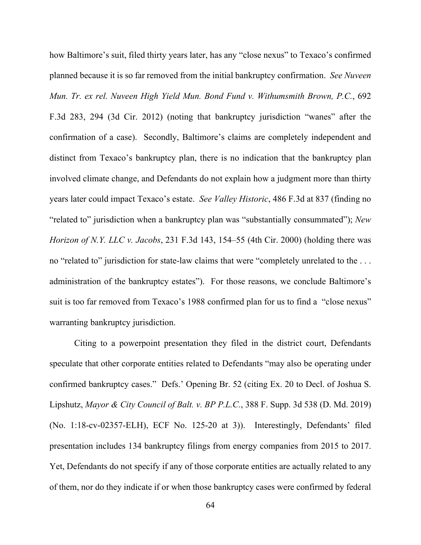how Baltimore's suit, filed thirty years later, has any "close nexus" to Texaco's confirmed planned because it is so far removed from the initial bankruptcy confirmation. *See Nuveen Mun. Tr. ex rel. Nuveen High Yield Mun. Bond Fund v. Withumsmith Brown, P.C.*, 692 F.3d 283, 294 (3d Cir. 2012) (noting that bankruptcy jurisdiction "wanes" after the confirmation of a case). Secondly, Baltimore's claims are completely independent and distinct from Texaco's bankruptcy plan, there is no indication that the bankruptcy plan involved climate change, and Defendants do not explain how a judgment more than thirty years later could impact Texaco's estate. *See Valley Historic*, 486 F.3d at 837 (finding no "related to" jurisdiction when a bankruptcy plan was "substantially consummated"); *New Horizon of N.Y. LLC v. Jacobs*, 231 F.3d 143, 154–55 (4th Cir. 2000) (holding there was no "related to" jurisdiction for state-law claims that were "completely unrelated to the . . . administration of the bankruptcy estates"). For those reasons, we conclude Baltimore's suit is too far removed from Texaco's 1988 confirmed plan for us to find a "close nexus" warranting bankruptcy jurisdiction.

Citing to a powerpoint presentation they filed in the district court, Defendants speculate that other corporate entities related to Defendants "may also be operating under confirmed bankruptcy cases." Defs.' Opening Br. 52 (citing Ex. 20 to Decl. of Joshua S. Lipshutz, *Mayor & City Council of Balt. v. BP P.L.C.*, 388 F. Supp. 3d 538 (D. Md. 2019) (No. 1:18-cv-02357-ELH), ECF No. 125-20 at 3)). Interestingly, Defendants' filed presentation includes 134 bankruptcy filings from energy companies from 2015 to 2017. Yet, Defendants do not specify if any of those corporate entities are actually related to any of them, nor do they indicate if or when those bankruptcy cases were confirmed by federal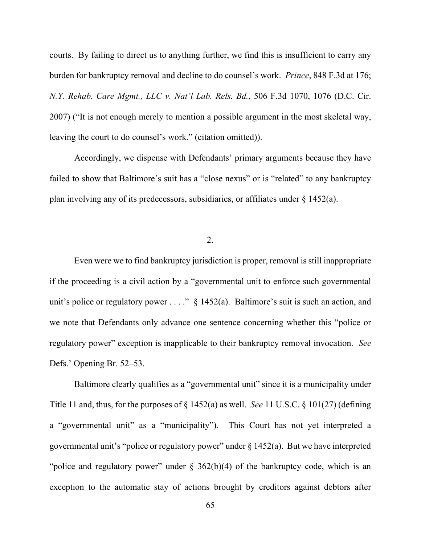courts. By failing to direct us to anything further, we find this is insufficient to carry any burden for bankruptcy removal and decline to do counsel's work. *Prince*, 848 F.3d at 176; *N.Y. Rehab. Care Mgmt., LLC v. Nat'l Lab. Rels. Bd.*, 506 F.3d 1070, 1076 (D.C. Cir. 2007) ("It is not enough merely to mention a possible argument in the most skeletal way, leaving the court to do counsel's work." (citation omitted)).

Accordingly, we dispense with Defendants' primary arguments because they have failed to show that Baltimore's suit has a "close nexus" or is "related" to any bankruptcy plan involving any of its predecessors, subsidiaries, or affiliates under § 1452(a).

2.

Even were we to find bankruptcy jurisdiction is proper, removal is still inappropriate if the proceeding is a civil action by a "governmental unit to enforce such governmental unit's police or regulatory power . . . ."  $\S$  1452(a). Baltimore's suit is such an action, and we note that Defendants only advance one sentence concerning whether this "police or regulatory power" exception is inapplicable to their bankruptcy removal invocation. *See*  Defs.' Opening Br. 52–53.

Baltimore clearly qualifies as a "governmental unit" since it is a municipality under Title 11 and, thus, for the purposes of § 1452(a) as well. *See* 11 U.S.C. § 101(27) (defining a "governmental unit" as a "municipality"). This Court has not yet interpreted a governmental unit's "police or regulatory power" under  $\S 1452(a)$ . But we have interpreted "police and regulatory power" under  $\S$  362(b)(4) of the bankruptcy code, which is an exception to the automatic stay of actions brought by creditors against debtors after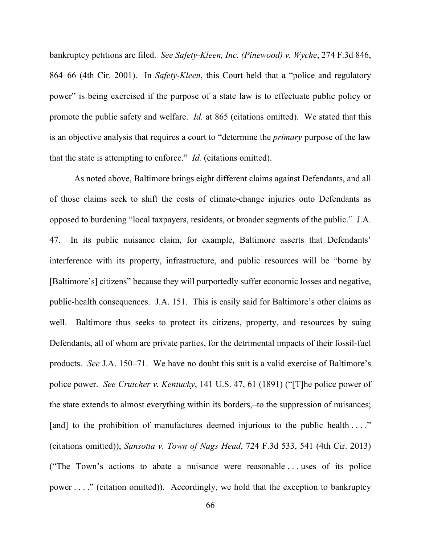bankruptcy petitions are filed. *See Safety-Kleen, Inc. (Pinewood) v. Wyche*, 274 F.3d 846, 864–66 (4th Cir. 2001). In *Safety-Kleen*, this Court held that a "police and regulatory power" is being exercised if the purpose of a state law is to effectuate public policy or promote the public safety and welfare. *Id.* at 865 (citations omitted). We stated that this is an objective analysis that requires a court to "determine the *primary* purpose of the law that the state is attempting to enforce." *Id.* (citations omitted).

As noted above, Baltimore brings eight different claims against Defendants, and all of those claims seek to shift the costs of climate-change injuries onto Defendants as opposed to burdening "local taxpayers, residents, or broader segments of the public." J.A. 47. In its public nuisance claim, for example, Baltimore asserts that Defendants' interference with its property, infrastructure, and public resources will be "borne by [Baltimore's] citizens" because they will purportedly suffer economic losses and negative, public-health consequences. J.A. 151. This is easily said for Baltimore's other claims as well. Baltimore thus seeks to protect its citizens, property, and resources by suing Defendants, all of whom are private parties, for the detrimental impacts of their fossil-fuel products. *See* J.A. 150–71. We have no doubt this suit is a valid exercise of Baltimore's police power. *See Crutcher v. Kentucky*, 141 U.S. 47, 61 (1891) ("[T]he police power of the state extends to almost everything within its borders,–to the suppression of nuisances; [and] to the prohibition of manufactures deemed injurious to the public health . . . ." (citations omitted)); *Sansotta v. Town of Nags Head*, 724 F.3d 533, 541 (4th Cir. 2013) ("The Town's actions to abate a nuisance were reasonable . . . uses of its police power . . . ." (citation omitted)). Accordingly, we hold that the exception to bankruptcy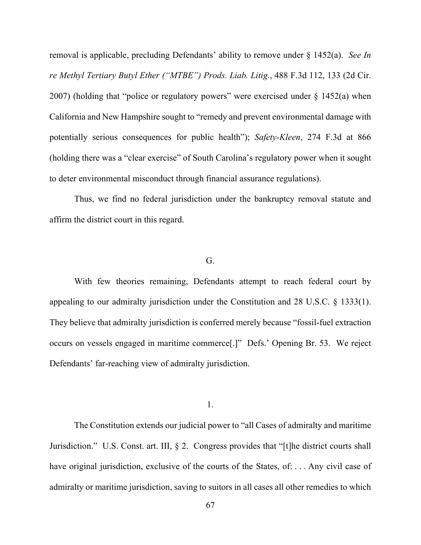removal is applicable, precluding Defendants' ability to remove under § 1452(a). *See In re Methyl Tertiary Butyl Ether ("MTBE") Prods. Liab. Litig.*, 488 F.3d 112, 133 (2d Cir. 2007) (holding that "police or regulatory powers" were exercised under § 1452(a) when California and New Hampshire sought to "remedy and prevent environmental damage with potentially serious consequences for public health"); *Safety-Kleen*, 274 F.3d at 866 (holding there was a "clear exercise" of South Carolina's regulatory power when it sought to deter environmental misconduct through financial assurance regulations).

Thus, we find no federal jurisdiction under the bankruptcy removal statute and affirm the district court in this regard.

## G.

With few theories remaining, Defendants attempt to reach federal court by appealing to our admiralty jurisdiction under the Constitution and 28 U.S.C. § 1333(1). They believe that admiralty jurisdiction is conferred merely because "fossil-fuel extraction occurs on vessels engaged in maritime commerce[.]" Defs.' Opening Br. 53. We reject Defendants' far-reaching view of admiralty jurisdiction.

1.

The Constitution extends our judicial power to "all Cases of admiralty and maritime Jurisdiction." U.S. Const. art. III, § 2. Congress provides that "[t]he district courts shall have original jurisdiction, exclusive of the courts of the States, of: ... Any civil case of admiralty or maritime jurisdiction, saving to suitors in all cases all other remedies to which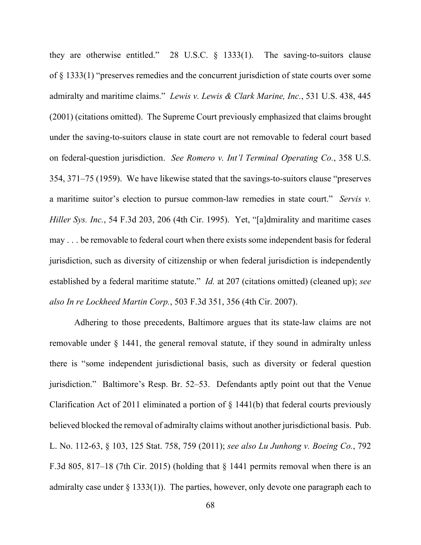they are otherwise entitled." 28 U.S.C. § 1333(1). The saving-to-suitors clause of § 1333(1) "preserves remedies and the concurrent jurisdiction of state courts over some admiralty and maritime claims." *Lewis v. Lewis & Clark Marine, Inc.*, 531 U.S. 438, 445 (2001) (citations omitted). The Supreme Court previously emphasized that claims brought under the saving-to-suitors clause in state court are not removable to federal court based on federal-question jurisdiction. *See Romero v. Int'l Terminal Operating Co.*, 358 U.S. 354, 371–75 (1959).We have likewise stated that the savings-to-suitors clause "preserves a maritime suitor's election to pursue common-law remedies in state court." *Servis v. Hiller Sys. Inc.*, 54 F.3d 203, 206 (4th Cir. 1995). Yet, "[a]dmirality and maritime cases may . . . be removable to federal court when there exists some independent basis for federal jurisdiction, such as diversity of citizenship or when federal jurisdiction is independently established by a federal maritime statute." *Id.* at 207 (citations omitted) (cleaned up); *see also In re Lockheed Martin Corp.*, 503 F.3d 351, 356 (4th Cir. 2007).

Adhering to those precedents, Baltimore argues that its state-law claims are not removable under § 1441, the general removal statute, if they sound in admiralty unless there is "some independent jurisdictional basis, such as diversity or federal question jurisdiction." Baltimore's Resp. Br. 52–53. Defendants aptly point out that the Venue Clarification Act of 2011 eliminated a portion of § 1441(b) that federal courts previously believed blocked the removal of admiralty claims without another jurisdictional basis. Pub. L. No. 112-63, § 103, 125 Stat. 758, 759 (2011); *see also Lu Junhong v. Boeing Co.*, 792 F.3d 805, 817–18 (7th Cir. 2015) (holding that § 1441 permits removal when there is an admiralty case under  $\S$  1333(1)). The parties, however, only devote one paragraph each to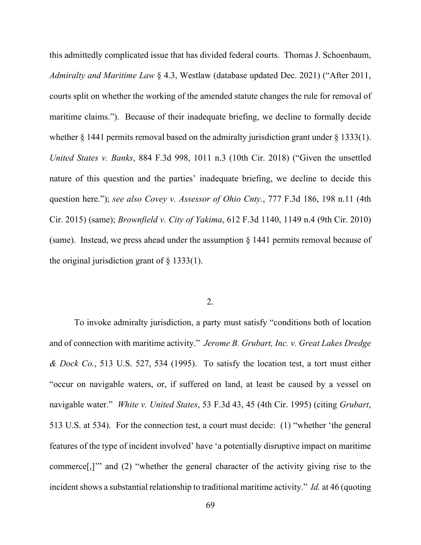this admittedly complicated issue that has divided federal courts. Thomas J. Schoenbaum, *Admiralty and Maritime Law* § 4.3, Westlaw (database updated Dec. 2021) ("After 2011, courts split on whether the working of the amended statute changes the rule for removal of maritime claims."). Because of their inadequate briefing, we decline to formally decide whether  $\S$  1441 permits removal based on the admiralty jurisdiction grant under  $\S$  1333(1). *United States v. Banks*, 884 F.3d 998, 1011 n.3 (10th Cir. 2018) ("Given the unsettled nature of this question and the parties' inadequate briefing, we decline to decide this question here."); *see also Covey v. Assessor of Ohio Cnty.*, 777 F.3d 186, 198 n.11 (4th Cir. 2015) (same); *Brownfield v. City of Yakima*, 612 F.3d 1140, 1149 n.4 (9th Cir. 2010) (same). Instead, we press ahead under the assumption  $\S$  1441 permits removal because of the original jurisdiction grant of  $\S$  1333(1).

### 2.

To invoke admiralty jurisdiction, a party must satisfy "conditions both of location and of connection with maritime activity." *Jerome B. Grubart, Inc. v. Great Lakes Dredge & Dock Co.*, 513 U.S. 527, 534 (1995). To satisfy the location test, a tort must either "occur on navigable waters, or, if suffered on land, at least be caused by a vessel on navigable water." *White v. United States*, 53 F.3d 43, 45 (4th Cir. 1995) (citing *Grubart*, 513 U.S. at 534). For the connection test, a court must decide: (1) "whether 'the general features of the type of incident involved' have 'a potentially disruptive impact on maritime commerce[,]'" and (2) "whether the general character of the activity giving rise to the incident shows a substantial relationship to traditional maritime activity." *Id.* at 46 (quoting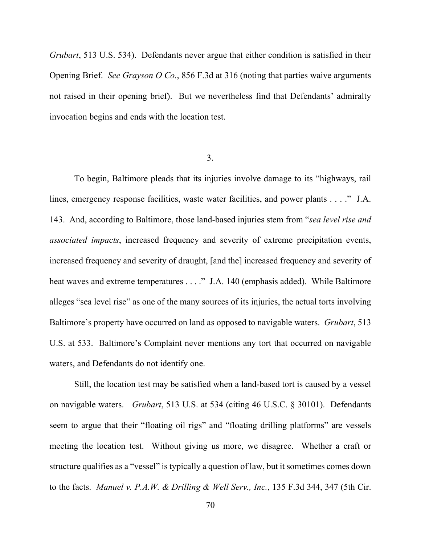*Grubart*, 513 U.S. 534). Defendants never argue that either condition is satisfied in their Opening Brief. *See Grayson O Co.*, 856 F.3d at 316 (noting that parties waive arguments not raised in their opening brief). But we nevertheless find that Defendants' admiralty invocation begins and ends with the location test.

#### 3.

To begin, Baltimore pleads that its injuries involve damage to its "highways, rail lines, emergency response facilities, waste water facilities, and power plants . . . ." J.A. 143. And, according to Baltimore, those land-based injuries stem from "*sea level rise and associated impacts*, increased frequency and severity of extreme precipitation events, increased frequency and severity of draught, [and the] increased frequency and severity of heat waves and extreme temperatures . . . ." J.A. 140 (emphasis added). While Baltimore alleges "sea level rise" as one of the many sources of its injuries, the actual torts involving Baltimore's property have occurred on land as opposed to navigable waters. *Grubart*, 513 U.S. at 533. Baltimore's Complaint never mentions any tort that occurred on navigable waters, and Defendants do not identify one.

Still, the location test may be satisfied when a land-based tort is caused by a vessel on navigable waters. *Grubart*, 513 U.S. at 534 (citing 46 U.S.C. § 30101). Defendants seem to argue that their "floating oil rigs" and "floating drilling platforms" are vessels meeting the location test. Without giving us more, we disagree. Whether a craft or structure qualifies as a "vessel" is typically a question of law, but it sometimes comes down to the facts. *Manuel v. P.A.W. & Drilling & Well Serv., Inc.*, 135 F.3d 344, 347 (5th Cir.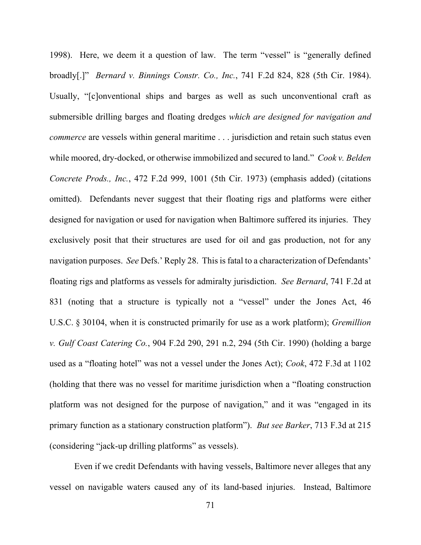1998). Here, we deem it a question of law. The term "vessel" is "generally defined broadly[.]" *Bernard v. Binnings Constr. Co., Inc.*, 741 F.2d 824, 828 (5th Cir. 1984). Usually, "[c]onventional ships and barges as well as such unconventional craft as submersible drilling barges and floating dredges *which are designed for navigation and commerce* are vessels within general maritime . . . jurisdiction and retain such status even while moored, dry-docked, or otherwise immobilized and secured to land." *Cook v. Belden Concrete Prods., Inc.*, 472 F.2d 999, 1001 (5th Cir. 1973) (emphasis added) (citations omitted). Defendants never suggest that their floating rigs and platforms were either designed for navigation or used for navigation when Baltimore suffered its injuries. They exclusively posit that their structures are used for oil and gas production, not for any navigation purposes. *See* Defs.' Reply 28. This is fatal to a characterization of Defendants' floating rigs and platforms as vessels for admiralty jurisdiction. *See Bernard*, 741 F.2d at 831 (noting that a structure is typically not a "vessel" under the Jones Act, 46 U.S.C. § 30104, when it is constructed primarily for use as a work platform); *Gremillion v. Gulf Coast Catering Co.*, 904 F.2d 290, 291 n.2, 294 (5th Cir. 1990) (holding a barge used as a "floating hotel" was not a vessel under the Jones Act); *Cook*, 472 F.3d at 1102 (holding that there was no vessel for maritime jurisdiction when a "floating construction platform was not designed for the purpose of navigation," and it was "engaged in its primary function as a stationary construction platform"). *But see Barker*, 713 F.3d at 215 (considering "jack-up drilling platforms" as vessels).

Even if we credit Defendants with having vessels, Baltimore never alleges that any vessel on navigable waters caused any of its land-based injuries. Instead, Baltimore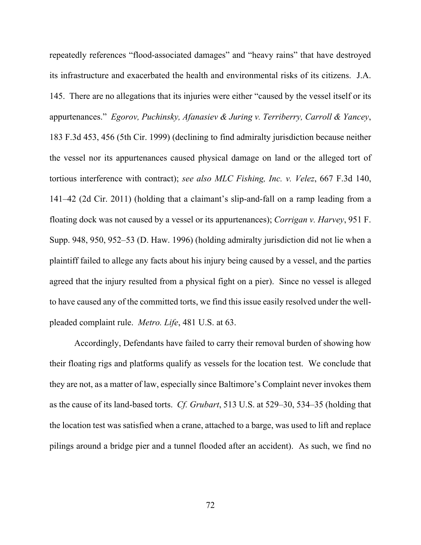repeatedly references "flood-associated damages" and "heavy rains" that have destroyed its infrastructure and exacerbated the health and environmental risks of its citizens. J.A. 145. There are no allegations that its injuries were either "caused by the vessel itself or its appurtenances." *Egorov, Puchinsky, Afanasiev & Juring v. Terriberry, Carroll & Yancey*, 183 F.3d 453, 456 (5th Cir. 1999) (declining to find admiralty jurisdiction because neither the vessel nor its appurtenances caused physical damage on land or the alleged tort of tortious interference with contract); *see also MLC Fishing, Inc. v. Velez*, 667 F.3d 140, 141–42 (2d Cir. 2011) (holding that a claimant's slip-and-fall on a ramp leading from a floating dock was not caused by a vessel or its appurtenances); *Corrigan v. Harvey*, 951 F. Supp. 948, 950, 952–53 (D. Haw. 1996) (holding admiralty jurisdiction did not lie when a plaintiff failed to allege any facts about his injury being caused by a vessel, and the parties agreed that the injury resulted from a physical fight on a pier). Since no vessel is alleged to have caused any of the committed torts, we find this issue easily resolved under the wellpleaded complaint rule. *Metro. Life*, 481 U.S. at 63.

Accordingly, Defendants have failed to carry their removal burden of showing how their floating rigs and platforms qualify as vessels for the location test. We conclude that they are not, as a matter of law, especially since Baltimore's Complaint never invokes them as the cause of its land-based torts. *Cf. Grubart*, 513 U.S. at 529–30, 534–35 (holding that the location test was satisfied when a crane, attached to a barge, was used to lift and replace pilings around a bridge pier and a tunnel flooded after an accident). As such, we find no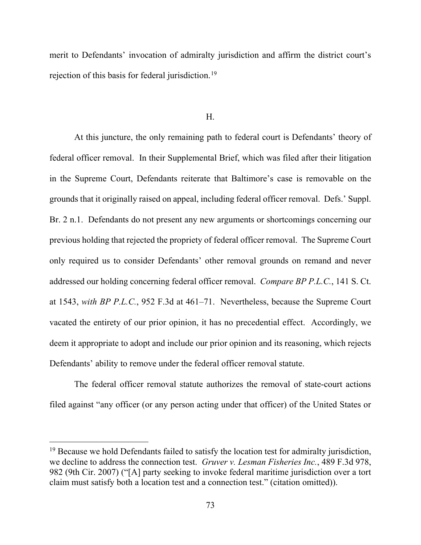merit to Defendants' invocation of admiralty jurisdiction and affirm the district court's rejection of this basis for federal jurisdiction.<sup>[19](#page-72-0)</sup>

H.

At this juncture, the only remaining path to federal court is Defendants' theory of federal officer removal. In their Supplemental Brief, which was filed after their litigation in the Supreme Court, Defendants reiterate that Baltimore's case is removable on the grounds that it originally raised on appeal, including federal officer removal. Defs.' Suppl. Br. 2 n.1. Defendants do not present any new arguments or shortcomings concerning our previous holding that rejected the propriety of federal officer removal. The Supreme Court only required us to consider Defendants' other removal grounds on remand and never addressed our holding concerning federal officer removal. *Compare BP P.L.C.*, 141 S. Ct. at 1543, *with BP P.L.C.*, 952 F.3d at 461–71. Nevertheless, because the Supreme Court vacated the entirety of our prior opinion, it has no precedential effect. Accordingly, we deem it appropriate to adopt and include our prior opinion and its reasoning, which rejects Defendants' ability to remove under the federal officer removal statute.

The federal officer removal statute authorizes the removal of state-court actions filed against "any officer (or any person acting under that officer) of the United States or

<span id="page-72-0"></span> $19$  Because we hold Defendants failed to satisfy the location test for admiralty jurisdiction, we decline to address the connection test. *Gruver v. Lesman Fisheries Inc.*, 489 F.3d 978, 982 (9th Cir. 2007) ("[A] party seeking to invoke federal maritime jurisdiction over a tort claim must satisfy both a location test and a connection test." (citation omitted)).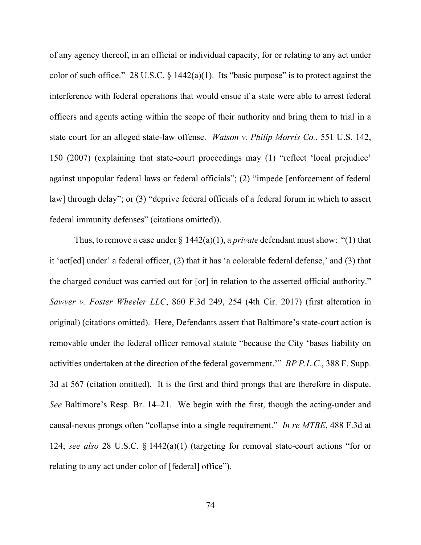of any agency thereof, in an official or individual capacity, for or relating to any act under color of such office." 28 U.S.C.  $\S$  1442(a)(1). Its "basic purpose" is to protect against the interference with federal operations that would ensue if a state were able to arrest federal officers and agents acting within the scope of their authority and bring them to trial in a state court for an alleged state-law offense. *Watson v. Philip Morris Co.*, 551 U.S. 142, 150 (2007) (explaining that state-court proceedings may (1) "reflect 'local prejudice' against unpopular federal laws or federal officials"; (2) "impede [enforcement of federal law] through delay"; or (3) "deprive federal officials of a federal forum in which to assert federal immunity defenses" (citations omitted)).

Thus, to remove a case under  $\S 1442(a)(1)$ , a *private* defendant must show: "(1) that it 'act[ed] under' a federal officer, (2) that it has 'a colorable federal defense,' and (3) that the charged conduct was carried out for [or] in relation to the asserted official authority." *Sawyer v. Foster Wheeler LLC*, 860 F.3d 249, 254 (4th Cir. 2017) (first alteration in original) (citations omitted). Here, Defendants assert that Baltimore's state-court action is removable under the federal officer removal statute "because the City 'bases liability on activities undertaken at the direction of the federal government.'" *BP P.L.C.*, 388 F. Supp. 3d at 567 (citation omitted). It is the first and third prongs that are therefore in dispute. *See* Baltimore's Resp. Br. 14–21. We begin with the first, though the acting-under and causal-nexus prongs often "collapse into a single requirement." *In re MTBE*, 488 F.3d at 124; *see also* 28 U.S.C. § 1442(a)(1) (targeting for removal state-court actions "for or relating to any act under color of [federal] office").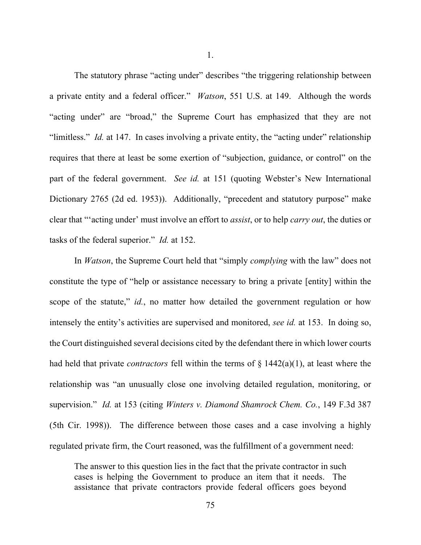The statutory phrase "acting under" describes "the triggering relationship between a private entity and a federal officer." *Watson*, 551 U.S. at 149. Although the words "acting under" are "broad," the Supreme Court has emphasized that they are not "limitless." *Id.* at 147. In cases involving a private entity, the "acting under" relationship requires that there at least be some exertion of "subjection, guidance, or control" on the part of the federal government. *See id.* at 151 (quoting Webster's New International Dictionary 2765 (2d ed. 1953)). Additionally, "precedent and statutory purpose" make clear that "'acting under' must involve an effort to *assist*, or to help *carry out*, the duties or tasks of the federal superior." *Id.* at 152.

In *Watson*, the Supreme Court held that "simply *complying* with the law" does not constitute the type of "help or assistance necessary to bring a private [entity] within the scope of the statute," *id.*, no matter how detailed the government regulation or how intensely the entity's activities are supervised and monitored, *see id.* at 153. In doing so, the Court distinguished several decisions cited by the defendant there in which lower courts had held that private *contractors* fell within the terms of § 1442(a)(1), at least where the relationship was "an unusually close one involving detailed regulation, monitoring, or supervision." *Id.* at 153 (citing *Winters v. Diamond Shamrock Chem. Co.*, 149 F.3d 387 (5th Cir. 1998)). The difference between those cases and a case involving a highly regulated private firm, the Court reasoned, was the fulfillment of a government need:

The answer to this question lies in the fact that the private contractor in such cases is helping the Government to produce an item that it needs. The assistance that private contractors provide federal officers goes beyond

1.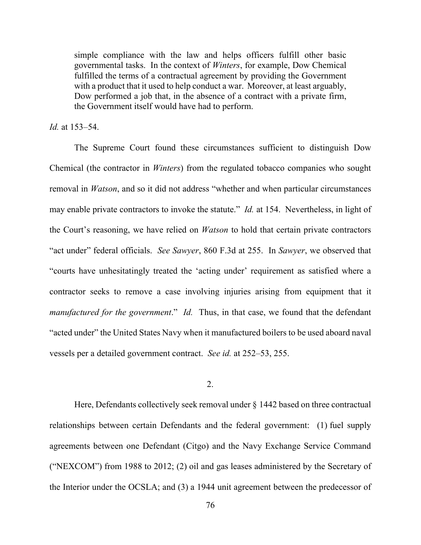simple compliance with the law and helps officers fulfill other basic governmental tasks. In the context of *Winters*, for example, Dow Chemical fulfilled the terms of a contractual agreement by providing the Government with a product that it used to help conduct a war. Moreover, at least arguably, Dow performed a job that, in the absence of a contract with a private firm, the Government itself would have had to perform.

# *Id.* at 153–54.

The Supreme Court found these circumstances sufficient to distinguish Dow Chemical (the contractor in *Winters*) from the regulated tobacco companies who sought removal in *Watson*, and so it did not address "whether and when particular circumstances may enable private contractors to invoke the statute." *Id.* at 154. Nevertheless, in light of the Court's reasoning, we have relied on *Watson* to hold that certain private contractors "act under" federal officials. *See Sawyer*, 860 F.3d at 255. In *Sawyer*, we observed that "courts have unhesitatingly treated the 'acting under' requirement as satisfied where a contractor seeks to remove a case involving injuries arising from equipment that it *manufactured for the government*." *Id.* Thus, in that case, we found that the defendant "acted under" the United States Navy when it manufactured boilers to be used aboard naval vessels per a detailed government contract. *See id.* at 252–53, 255.

# 2.

Here, Defendants collectively seek removal under § 1442 based on three contractual relationships between certain Defendants and the federal government: (1) fuel supply agreements between one Defendant (Citgo) and the Navy Exchange Service Command ("NEXCOM") from 1988 to 2012; (2) oil and gas leases administered by the Secretary of the Interior under the OCSLA; and (3) a 1944 unit agreement between the predecessor of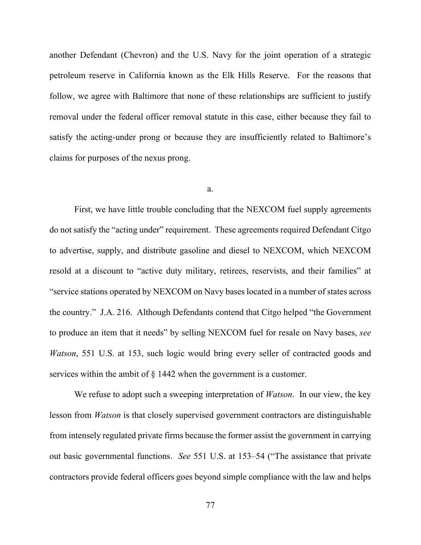another Defendant (Chevron) and the U.S. Navy for the joint operation of a strategic petroleum reserve in California known as the Elk Hills Reserve. For the reasons that follow, we agree with Baltimore that none of these relationships are sufficient to justify removal under the federal officer removal statute in this case, either because they fail to satisfy the acting-under prong or because they are insufficiently related to Baltimore's claims for purposes of the nexus prong.

### a.

First, we have little trouble concluding that the NEXCOM fuel supply agreements do not satisfy the "acting under" requirement. These agreements required Defendant Citgo to advertise, supply, and distribute gasoline and diesel to NEXCOM, which NEXCOM resold at a discount to "active duty military, retirees, reservists, and their families" at "service stations operated by NEXCOM on Navy bases located in a number of states across the country." J.A. 216. Although Defendants contend that Citgo helped "the Government to produce an item that it needs" by selling NEXCOM fuel for resale on Navy bases, *see Watson*, 551 U.S. at 153, such logic would bring every seller of contracted goods and services within the ambit of  $\S$  1442 when the government is a customer.

We refuse to adopt such a sweeping interpretation of *Watson*. In our view, the key lesson from *Watson* is that closely supervised government contractors are distinguishable from intensely regulated private firms because the former assist the government in carrying out basic governmental functions. *See* 551 U.S. at 153–54 ("The assistance that private contractors provide federal officers goes beyond simple compliance with the law and helps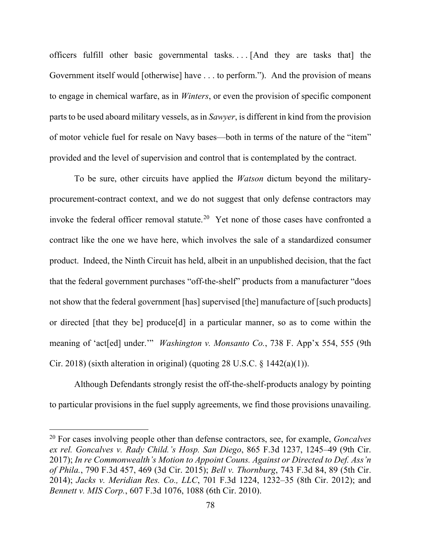officers fulfill other basic governmental tasks. . . . [And they are tasks that] the Government itself would [otherwise] have ... to perform."). And the provision of means to engage in chemical warfare, as in *Winters*, or even the provision of specific component parts to be used aboard military vessels, as in *Sawyer*, is different in kind from the provision of motor vehicle fuel for resale on Navy bases—both in terms of the nature of the "item" provided and the level of supervision and control that is contemplated by the contract.

To be sure, other circuits have applied the *Watson* dictum beyond the militaryprocurement-contract context, and we do not suggest that only defense contractors may invoke the federal officer removal statute.<sup>20</sup> Yet none of those cases have confronted a contract like the one we have here, which involves the sale of a standardized consumer product. Indeed, the Ninth Circuit has held, albeit in an unpublished decision, that the fact that the federal government purchases "off-the-shelf" products from a manufacturer "does not show that the federal government [has] supervised [the] manufacture of [such products] or directed [that they be] produce[d] in a particular manner, so as to come within the meaning of 'act[ed] under.'" *Washington v. Monsanto Co.*, 738 F. App'x 554, 555 (9th Cir. 2018) (sixth alteration in original) (quoting 28 U.S.C.  $\S$  1442(a)(1)).

Although Defendants strongly resist the off-the-shelf-products analogy by pointing to particular provisions in the fuel supply agreements, we find those provisions unavailing.

<span id="page-77-0"></span><sup>20</sup> For cases involving people other than defense contractors, see, for example, *Goncalves ex rel. Goncalves v. Rady Child.'s Hosp. San Diego*, 865 F.3d 1237, 1245–49 (9th Cir. 2017); *In re Commonwealth's Motion to Appoint Couns. Against or Directed to Def. Ass'n of Phila.*, 790 F.3d 457, 469 (3d Cir. 2015); *Bell v. Thornburg*, 743 F.3d 84, 89 (5th Cir. 2014); *Jacks v. Meridian Res. Co., LLC*, 701 F.3d 1224, 1232–35 (8th Cir. 2012); and *Bennett v. MIS Corp.*, 607 F.3d 1076, 1088 (6th Cir. 2010).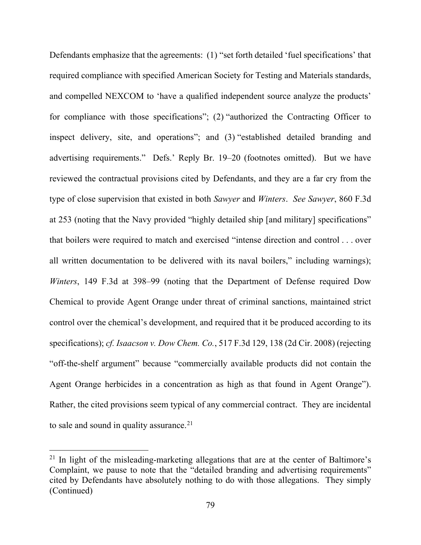Defendants emphasize that the agreements: (1) "set forth detailed 'fuel specifications' that required compliance with specified American Society for Testing and Materials standards, and compelled NEXCOM to 'have a qualified independent source analyze the products' for compliance with those specifications"; (2) "authorized the Contracting Officer to inspect delivery, site, and operations"; and (3) "established detailed branding and advertising requirements." Defs.' Reply Br. 19–20 (footnotes omitted). But we have reviewed the contractual provisions cited by Defendants, and they are a far cry from the type of close supervision that existed in both *Sawyer* and *Winters*. *See Sawyer*, 860 F.3d at 253 (noting that the Navy provided "highly detailed ship [and military] specifications" that boilers were required to match and exercised "intense direction and control . . . over all written documentation to be delivered with its naval boilers," including warnings); *Winters*, 149 F.3d at 398–99 (noting that the Department of Defense required Dow Chemical to provide Agent Orange under threat of criminal sanctions, maintained strict control over the chemical's development, and required that it be produced according to its specifications); *cf. Isaacson v. Dow Chem. Co.*, 517 F.3d 129, 138 (2d Cir. 2008) (rejecting "off-the-shelf argument" because "commercially available products did not contain the Agent Orange herbicides in a concentration as high as that found in Agent Orange"). Rather, the cited provisions seem typical of any commercial contract. They are incidental to sale and sound in quality assurance. $21$ 

<span id="page-78-0"></span> $21$  In light of the misleading-marketing allegations that are at the center of Baltimore's Complaint, we pause to note that the "detailed branding and advertising requirements" cited by Defendants have absolutely nothing to do with those allegations. They simply (Continued)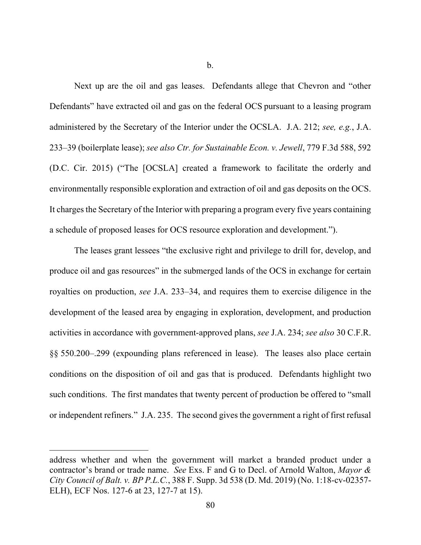b.

Next up are the oil and gas leases. Defendants allege that Chevron and "other Defendants" have extracted oil and gas on the federal OCS pursuant to a leasing program administered by the Secretary of the Interior under the OCSLA. J.A. 212; *see, e.g.*, J.A. 233–39 (boilerplate lease); *see also Ctr. for Sustainable Econ. v. Jewell*, 779 F.3d 588, 592 (D.C. Cir. 2015) ("The [OCSLA] created a framework to facilitate the orderly and environmentally responsible exploration and extraction of oil and gas deposits on the OCS. It charges the Secretary of the Interior with preparing a program every five years containing a schedule of proposed leases for OCS resource exploration and development.").

The leases grant lessees "the exclusive right and privilege to drill for, develop, and produce oil and gas resources" in the submerged lands of the OCS in exchange for certain royalties on production, *see* J.A. 233–34, and requires them to exercise diligence in the development of the leased area by engaging in exploration, development, and production activities in accordance with government-approved plans, *see* J.A. 234; *see also* 30 C.F.R. §§ 550.200–.299 (expounding plans referenced in lease). The leases also place certain conditions on the disposition of oil and gas that is produced. Defendants highlight two such conditions. The first mandates that twenty percent of production be offered to "small or independent refiners." J.A. 235. The second gives the government a right of first refusal

address whether and when the government will market a branded product under a contractor's brand or trade name. *See* Exs. F and G to Decl. of Arnold Walton, *Mayor & City Council of Balt. v. BP P.L.C.*, 388 F. Supp. 3d 538 (D. Md. 2019) (No. 1:18-cv-02357- ELH), ECF Nos. 127-6 at 23, 127-7 at 15).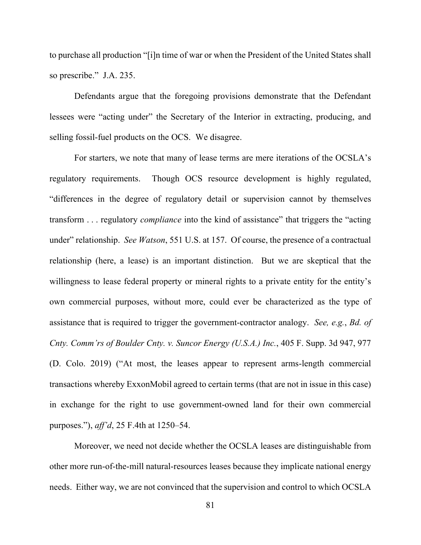to purchase all production "[i]n time of war or when the President of the United States shall so prescribe." J.A. 235.

Defendants argue that the foregoing provisions demonstrate that the Defendant lessees were "acting under" the Secretary of the Interior in extracting, producing, and selling fossil-fuel products on the OCS. We disagree.

For starters, we note that many of lease terms are mere iterations of the OCSLA's regulatory requirements. Though OCS resource development is highly regulated, "differences in the degree of regulatory detail or supervision cannot by themselves transform . . . regulatory *compliance* into the kind of assistance" that triggers the "acting under" relationship. *See Watson*, 551 U.S. at 157. Of course, the presence of a contractual relationship (here, a lease) is an important distinction. But we are skeptical that the willingness to lease federal property or mineral rights to a private entity for the entity's own commercial purposes, without more, could ever be characterized as the type of assistance that is required to trigger the government-contractor analogy. *See, e.g.*, *Bd. of Cnty. Comm'rs of Boulder Cnty. v. Suncor Energy (U.S.A.) Inc.*, 405 F. Supp. 3d 947, 977 (D. Colo. 2019) ("At most, the leases appear to represent arms-length commercial transactions whereby ExxonMobil agreed to certain terms (that are not in issue in this case) in exchange for the right to use government-owned land for their own commercial purposes."), *aff'd*, 25 F.4th at 1250–54.

Moreover, we need not decide whether the OCSLA leases are distinguishable from other more run-of-the-mill natural-resources leases because they implicate national energy needs. Either way, we are not convinced that the supervision and control to which OCSLA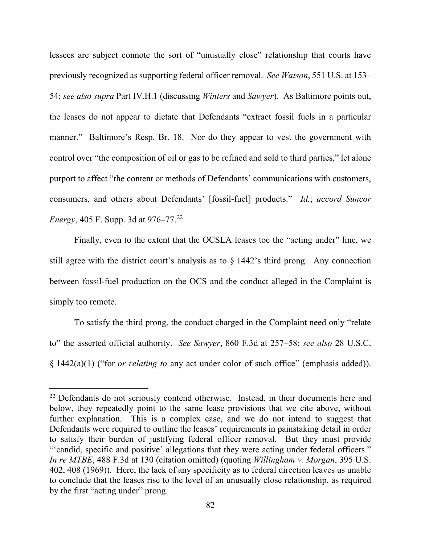lessees are subject connote the sort of "unusually close" relationship that courts have previously recognized as supporting federal officer removal. *See Watson*, 551 U.S. at 153– 54; *see also supra* Part IV.H.1 (discussing *Winters* and *Sawyer*). As Baltimore points out, the leases do not appear to dictate that Defendants "extract fossil fuels in a particular manner." Baltimore's Resp. Br. 18. Nor do they appear to vest the government with control over "the composition of oil or gas to be refined and sold to third parties," let alone purport to affect "the content or methods of Defendants' communications with customers, consumers, and others about Defendants' [fossil-fuel] products." *Id.*; *accord Suncor Energy*, 405 F. Supp. 3d at 976–77.<sup>[22](#page-81-0)</sup>

Finally, even to the extent that the OCSLA leases toe the "acting under" line, we still agree with the district court's analysis as to § 1442's third prong. Any connection between fossil-fuel production on the OCS and the conduct alleged in the Complaint is simply too remote.

To satisfy the third prong, the conduct charged in the Complaint need only "relate to" the asserted official authority. *See Sawyer*, 860 F.3d at 257–58; *see also* 28 U.S.C. § 1442(a)(1) ("for *or relating to* any act under color of such office" (emphasis added)).

<span id="page-81-0"></span><sup>&</sup>lt;sup>22</sup> Defendants do not seriously contend otherwise. Instead, in their documents here and below, they repeatedly point to the same lease provisions that we cite above, without further explanation. This is a complex case, and we do not intend to suggest that Defendants were required to outline the leases' requirements in painstaking detail in order to satisfy their burden of justifying federal officer removal. But they must provide "'candid, specific and positive' allegations that they were acting under federal officers." *In re MTBE*, 488 F.3d at 130 (citation omitted) (quoting *Willingham v. Morgan*, 395 U.S. 402, 408 (1969)). Here, the lack of any specificity as to federal direction leaves us unable to conclude that the leases rise to the level of an unusually close relationship, as required by the first "acting under" prong.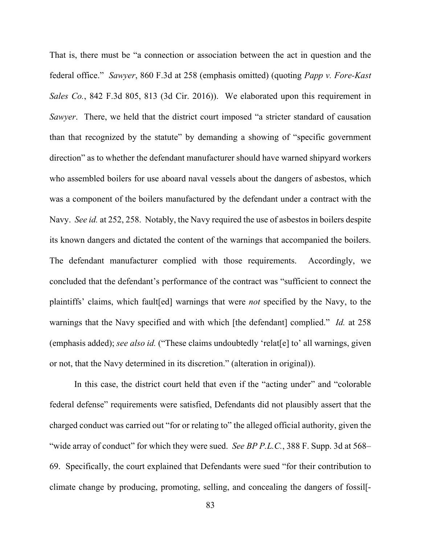That is, there must be "a connection or association between the act in question and the federal office." *Sawyer*, 860 F.3d at 258 (emphasis omitted) (quoting *Papp v. Fore-Kast Sales Co.*, 842 F.3d 805, 813 (3d Cir. 2016)). We elaborated upon this requirement in *Sawyer*. There, we held that the district court imposed "a stricter standard of causation than that recognized by the statute" by demanding a showing of "specific government direction" as to whether the defendant manufacturer should have warned shipyard workers who assembled boilers for use aboard naval vessels about the dangers of asbestos, which was a component of the boilers manufactured by the defendant under a contract with the Navy. *See id.* at 252, 258. Notably, the Navy required the use of asbestos in boilers despite its known dangers and dictated the content of the warnings that accompanied the boilers. The defendant manufacturer complied with those requirements. Accordingly, we concluded that the defendant's performance of the contract was "sufficient to connect the plaintiffs' claims, which fault[ed] warnings that were *not* specified by the Navy, to the warnings that the Navy specified and with which [the defendant] complied." *Id.* at 258 (emphasis added); *see also id.* ("These claims undoubtedly 'relat[e] to' all warnings, given or not, that the Navy determined in its discretion." (alteration in original)).

In this case, the district court held that even if the "acting under" and "colorable federal defense" requirements were satisfied, Defendants did not plausibly assert that the charged conduct was carried out "for or relating to" the alleged official authority, given the "wide array of conduct" for which they were sued. *See BP P.L.C.*, 388 F. Supp. 3d at 568– 69. Specifically, the court explained that Defendants were sued "for their contribution to climate change by producing, promoting, selling, and concealing the dangers of fossil[-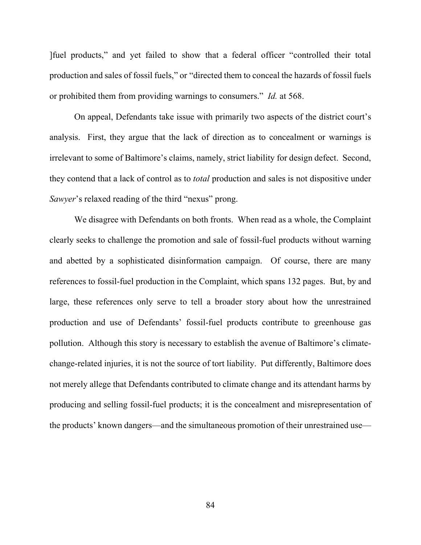]fuel products," and yet failed to show that a federal officer "controlled their total production and sales of fossil fuels," or "directed them to conceal the hazards of fossil fuels or prohibited them from providing warnings to consumers." *Id.* at 568.

On appeal, Defendants take issue with primarily two aspects of the district court's analysis. First, they argue that the lack of direction as to concealment or warnings is irrelevant to some of Baltimore's claims, namely, strict liability for design defect. Second, they contend that a lack of control as to *total* production and sales is not dispositive under *Sawyer*'s relaxed reading of the third "nexus" prong.

We disagree with Defendants on both fronts. When read as a whole, the Complaint clearly seeks to challenge the promotion and sale of fossil-fuel products without warning and abetted by a sophisticated disinformation campaign. Of course, there are many references to fossil-fuel production in the Complaint, which spans 132 pages. But, by and large, these references only serve to tell a broader story about how the unrestrained production and use of Defendants' fossil-fuel products contribute to greenhouse gas pollution. Although this story is necessary to establish the avenue of Baltimore's climatechange-related injuries, it is not the source of tort liability. Put differently, Baltimore does not merely allege that Defendants contributed to climate change and its attendant harms by producing and selling fossil-fuel products; it is the concealment and misrepresentation of the products' known dangers—and the simultaneous promotion of their unrestrained use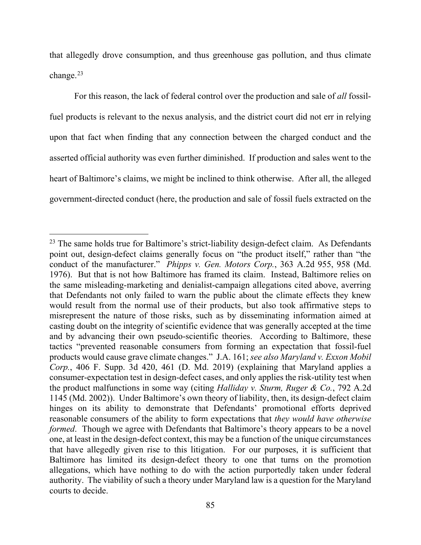that allegedly drove consumption, and thus greenhouse gas pollution, and thus climate change. $^{23}$  $^{23}$  $^{23}$ 

For this reason, the lack of federal control over the production and sale of *all* fossilfuel products is relevant to the nexus analysis, and the district court did not err in relying upon that fact when finding that any connection between the charged conduct and the asserted official authority was even further diminished. If production and sales went to the heart of Baltimore's claims, we might be inclined to think otherwise. After all, the alleged government-directed conduct (here, the production and sale of fossil fuels extracted on the

<span id="page-84-0"></span><sup>&</sup>lt;sup>23</sup> The same holds true for Baltimore's strict-liability design-defect claim. As Defendants point out, design-defect claims generally focus on "the product itself," rather than "the conduct of the manufacturer." *Phipps v. Gen. Motors Corp.*, 363 A.2d 955, 958 (Md. 1976). But that is not how Baltimore has framed its claim. Instead, Baltimore relies on the same misleading-marketing and denialist-campaign allegations cited above, averring that Defendants not only failed to warn the public about the climate effects they knew would result from the normal use of their products, but also took affirmative steps to misrepresent the nature of those risks, such as by disseminating information aimed at casting doubt on the integrity of scientific evidence that was generally accepted at the time and by advancing their own pseudo-scientific theories. According to Baltimore, these tactics "prevented reasonable consumers from forming an expectation that fossil-fuel products would cause grave climate changes." J.A. 161; *see also Maryland v. Exxon Mobil Corp.*, 406 F. Supp. 3d 420, 461 (D. Md. 2019) (explaining that Maryland applies a consumer-expectation test in design-defect cases, and only applies the risk-utility test when the product malfunctions in some way (citing *Halliday v. Sturm, Ruger & Co.*, 792 A.2d 1145 (Md. 2002)). Under Baltimore's own theory of liability, then, its design-defect claim hinges on its ability to demonstrate that Defendants' promotional efforts deprived reasonable consumers of the ability to form expectations that *they would have otherwise formed*. Though we agree with Defendants that Baltimore's theory appears to be a novel one, at least in the design-defect context, this may be a function of the unique circumstances that have allegedly given rise to this litigation. For our purposes, it is sufficient that Baltimore has limited its design-defect theory to one that turns on the promotion allegations, which have nothing to do with the action purportedly taken under federal authority. The viability of such a theory under Maryland law is a question for the Maryland courts to decide.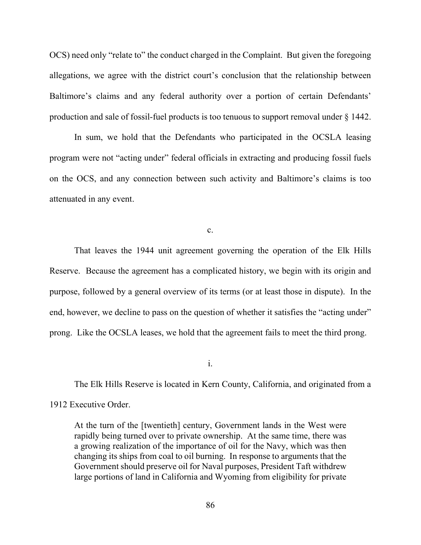OCS) need only "relate to" the conduct charged in the Complaint. But given the foregoing allegations, we agree with the district court's conclusion that the relationship between Baltimore's claims and any federal authority over a portion of certain Defendants' production and sale of fossil-fuel products is too tenuous to support removal under § 1442.

In sum, we hold that the Defendants who participated in the OCSLA leasing program were not "acting under" federal officials in extracting and producing fossil fuels on the OCS, and any connection between such activity and Baltimore's claims is too attenuated in any event.

c.

That leaves the 1944 unit agreement governing the operation of the Elk Hills Reserve. Because the agreement has a complicated history, we begin with its origin and purpose, followed by a general overview of its terms (or at least those in dispute). In the end, however, we decline to pass on the question of whether it satisfies the "acting under" prong. Like the OCSLA leases, we hold that the agreement fails to meet the third prong.

i.

The Elk Hills Reserve is located in Kern County, California, and originated from a 1912 Executive Order.

At the turn of the [twentieth] century, Government lands in the West were rapidly being turned over to private ownership. At the same time, there was a growing realization of the importance of oil for the Navy, which was then changing its ships from coal to oil burning. In response to arguments that the Government should preserve oil for Naval purposes, President Taft withdrew large portions of land in California and Wyoming from eligibility for private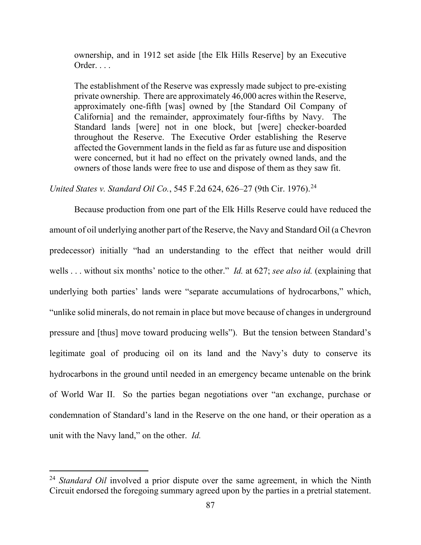ownership, and in 1912 set aside [the Elk Hills Reserve] by an Executive Order. . . .

The establishment of the Reserve was expressly made subject to pre-existing private ownership. There are approximately 46,000 acres within the Reserve, approximately one-fifth [was] owned by [the Standard Oil Company of California] and the remainder, approximately four-fifths by Navy. The Standard lands [were] not in one block, but [were] checker-boarded throughout the Reserve. The Executive Order establishing the Reserve affected the Government lands in the field as far as future use and disposition were concerned, but it had no effect on the privately owned lands, and the owners of those lands were free to use and dispose of them as they saw fit.

*United States v. Standard Oil Co.*, 545 F.2d 624, 626–27 (9th Cir. 1976).[24](#page-86-0)

Because production from one part of the Elk Hills Reserve could have reduced the amount of oil underlying another part of the Reserve, the Navy and Standard Oil (a Chevron predecessor) initially "had an understanding to the effect that neither would drill wells . . . without six months' notice to the other." *Id.* at 627; *see also id.* (explaining that underlying both parties' lands were "separate accumulations of hydrocarbons," which, "unlike solid minerals, do not remain in place but move because of changes in underground pressure and [thus] move toward producing wells"). But the tension between Standard's legitimate goal of producing oil on its land and the Navy's duty to conserve its hydrocarbons in the ground until needed in an emergency became untenable on the brink of World War II. So the parties began negotiations over "an exchange, purchase or condemnation of Standard's land in the Reserve on the one hand, or their operation as a unit with the Navy land," on the other. *Id.*

<span id="page-86-0"></span><sup>&</sup>lt;sup>24</sup> *Standard Oil* involved a prior dispute over the same agreement, in which the Ninth Circuit endorsed the foregoing summary agreed upon by the parties in a pretrial statement.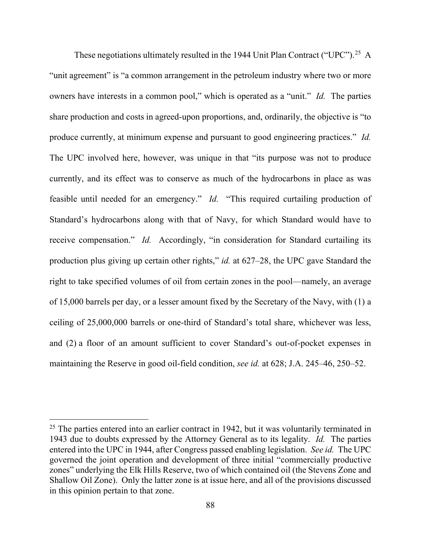These negotiations ultimately resulted in the 1944 Unit Plan Contract ("UPC").<sup>[25](#page-87-0)</sup> A "unit agreement" is "a common arrangement in the petroleum industry where two or more owners have interests in a common pool," which is operated as a "unit." *Id.* The parties share production and costs in agreed-upon proportions, and, ordinarily, the objective is "to produce currently, at minimum expense and pursuant to good engineering practices." *Id.*  The UPC involved here, however, was unique in that "its purpose was not to produce currently, and its effect was to conserve as much of the hydrocarbons in place as was feasible until needed for an emergency." *Id.* "This required curtailing production of Standard's hydrocarbons along with that of Navy, for which Standard would have to receive compensation." *Id.* Accordingly, "in consideration for Standard curtailing its production plus giving up certain other rights," *id.* at 627–28, the UPC gave Standard the right to take specified volumes of oil from certain zones in the pool—namely, an average of 15,000 barrels per day, or a lesser amount fixed by the Secretary of the Navy, with (1) a ceiling of 25,000,000 barrels or one-third of Standard's total share, whichever was less, and (2) a floor of an amount sufficient to cover Standard's out-of-pocket expenses in maintaining the Reserve in good oil-field condition, *see id.* at 628; J.A. 245–46, 250–52.

<span id="page-87-0"></span> $25$  The parties entered into an earlier contract in 1942, but it was voluntarily terminated in 1943 due to doubts expressed by the Attorney General as to its legality. *Id.* The parties entered into the UPC in 1944, after Congress passed enabling legislation. *See id.* The UPC governed the joint operation and development of three initial "commercially productive zones" underlying the Elk Hills Reserve, two of which contained oil (the Stevens Zone and Shallow Oil Zone). Only the latter zone is at issue here, and all of the provisions discussed in this opinion pertain to that zone.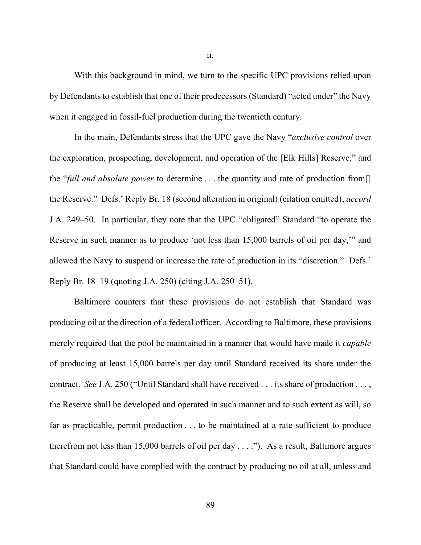With this background in mind, we turn to the specific UPC provisions relied upon by Defendants to establish that one of their predecessors (Standard) "acted under" the Navy when it engaged in fossil-fuel production during the twentieth century.

In the main, Defendants stress that the UPC gave the Navy "*exclusive control* over the exploration, prospecting, development, and operation of the [Elk Hills] Reserve," and the "*full and absolute power* to determine . . . the quantity and rate of production from[] the Reserve." Defs.' Reply Br. 18 (second alteration in original) (citation omitted); *accord* J.A. 249–50. In particular, they note that the UPC "obligated" Standard "to operate the Reserve in such manner as to produce 'not less than 15,000 barrels of oil per day,'" and allowed the Navy to suspend or increase the rate of production in its "discretion." Defs.' Reply Br. 18–19 (quoting J.A. 250) (citing J.A. 250–51).

Baltimore counters that these provisions do not establish that Standard was producing oil at the direction of a federal officer. According to Baltimore, these provisions merely required that the pool be maintained in a manner that would have made it *capable* of producing at least 15,000 barrels per day until Standard received its share under the contract. *See* J.A. 250 ("Until Standard shall have received . . . its share of production . . . , the Reserve shall be developed and operated in such manner and to such extent as will, so far as practicable, permit production . . . to be maintained at a rate sufficient to produce therefrom not less than 15,000 barrels of oil per day . . . ."). As a result, Baltimore argues that Standard could have complied with the contract by producing no oil at all, unless and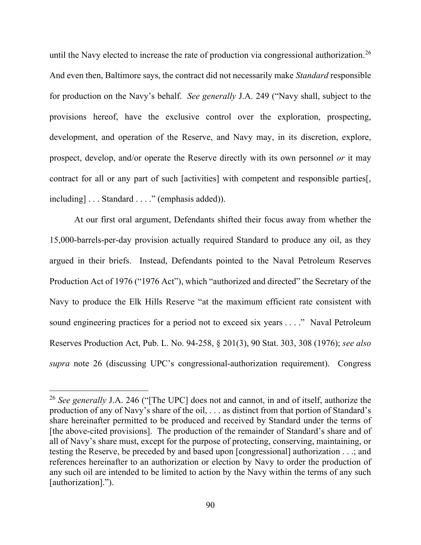until the Navy elected to increase the rate of production via congressional authorization.<sup>[26](#page-89-0)</sup> And even then, Baltimore says, the contract did not necessarily make *Standard* responsible for production on the Navy's behalf. *See generally* J.A. 249 ("Navy shall, subject to the provisions hereof, have the exclusive control over the exploration, prospecting, development, and operation of the Reserve, and Navy may, in its discretion, explore, prospect, develop, and/or operate the Reserve directly with its own personnel *or* it may contract for all or any part of such [activities] with competent and responsible parties[, including] . . . Standard . . . ." (emphasis added)).

At our first oral argument, Defendants shifted their focus away from whether the 15,000-barrels-per-day provision actually required Standard to produce any oil, as they argued in their briefs. Instead, Defendants pointed to the Naval Petroleum Reserves Production Act of 1976 ("1976 Act"), which "authorized and directed" the Secretary of the Navy to produce the Elk Hills Reserve "at the maximum efficient rate consistent with sound engineering practices for a period not to exceed six years . . . ." Naval Petroleum Reserves Production Act, Pub. L. No. 94-258, § 201(3), 90 Stat. 303, 308 (1976); *see also supra* note 26 (discussing UPC's congressional-authorization requirement). Congress

<span id="page-89-0"></span><sup>26</sup> *See generally* J.A. 246 ("[The UPC] does not and cannot, in and of itself, authorize the production of any of Navy's share of the oil, . . . as distinct from that portion of Standard's share hereinafter permitted to be produced and received by Standard under the terms of [the above-cited provisions]. The production of the remainder of Standard's share and of all of Navy's share must, except for the purpose of protecting, conserving, maintaining, or testing the Reserve, be preceded by and based upon [congressional] authorization . . .; and references hereinafter to an authorization or election by Navy to order the production of any such oil are intended to be limited to action by the Navy within the terms of any such [authorization].").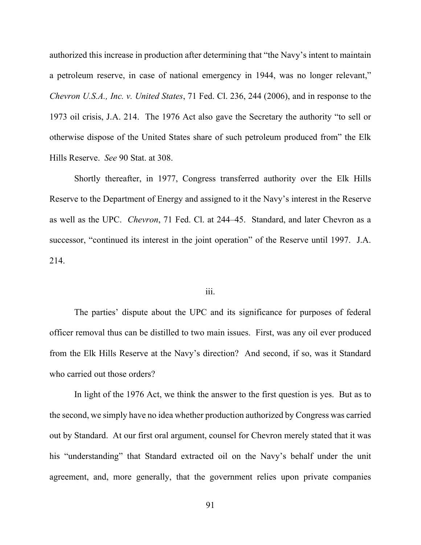authorized this increase in production after determining that "the Navy's intent to maintain a petroleum reserve, in case of national emergency in 1944, was no longer relevant," *Chevron U.S.A., Inc. v. United States*, 71 Fed. Cl. 236, 244 (2006), and in response to the 1973 oil crisis, J.A. 214. The 1976 Act also gave the Secretary the authority "to sell or otherwise dispose of the United States share of such petroleum produced from" the Elk Hills Reserve. *See* 90 Stat. at 308.

Shortly thereafter, in 1977, Congress transferred authority over the Elk Hills Reserve to the Department of Energy and assigned to it the Navy's interest in the Reserve as well as the UPC. *Chevron*, 71 Fed. Cl. at 244–45. Standard, and later Chevron as a successor, "continued its interest in the joint operation" of the Reserve until 1997. J.A. 214.

## iii.

The parties' dispute about the UPC and its significance for purposes of federal officer removal thus can be distilled to two main issues. First, was any oil ever produced from the Elk Hills Reserve at the Navy's direction? And second, if so, was it Standard who carried out those orders?

In light of the 1976 Act, we think the answer to the first question is yes. But as to the second, we simply have no idea whether production authorized by Congress was carried out by Standard. At our first oral argument, counsel for Chevron merely stated that it was his "understanding" that Standard extracted oil on the Navy's behalf under the unit agreement, and, more generally, that the government relies upon private companies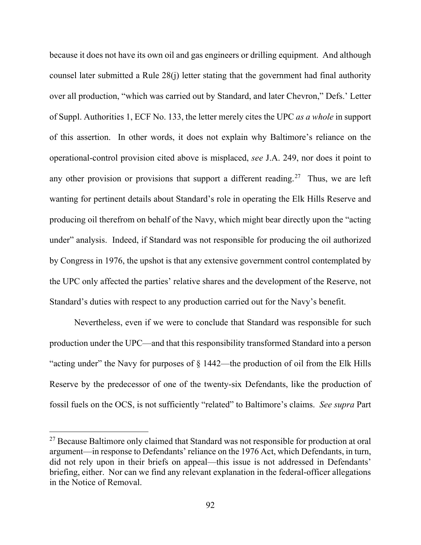because it does not have its own oil and gas engineers or drilling equipment. And although counsel later submitted a Rule 28(j) letter stating that the government had final authority over all production, "which was carried out by Standard, and later Chevron," Defs.' Letter of Suppl. Authorities 1, ECF No. 133, the letter merely cites the UPC *as a whole* in support of this assertion. In other words, it does not explain why Baltimore's reliance on the operational-control provision cited above is misplaced, *see* J.A. 249, nor does it point to any other provision or provisions that support a different reading.<sup>[27](#page-91-0)</sup> Thus, we are left wanting for pertinent details about Standard's role in operating the Elk Hills Reserve and producing oil therefrom on behalf of the Navy, which might bear directly upon the "acting under" analysis. Indeed, if Standard was not responsible for producing the oil authorized by Congress in 1976, the upshot is that any extensive government control contemplated by the UPC only affected the parties' relative shares and the development of the Reserve, not Standard's duties with respect to any production carried out for the Navy's benefit.

Nevertheless, even if we were to conclude that Standard was responsible for such production under the UPC—and that this responsibility transformed Standard into a person "acting under" the Navy for purposes of § 1442—the production of oil from the Elk Hills Reserve by the predecessor of one of the twenty-six Defendants, like the production of fossil fuels on the OCS, is not sufficiently "related" to Baltimore's claims. *See supra* Part

<span id="page-91-0"></span><sup>&</sup>lt;sup>27</sup> Because Baltimore only claimed that Standard was not responsible for production at oral argument—in response to Defendants' reliance on the 1976 Act, which Defendants, in turn, did not rely upon in their briefs on appeal—this issue is not addressed in Defendants' briefing, either. Nor can we find any relevant explanation in the federal-officer allegations in the Notice of Removal.